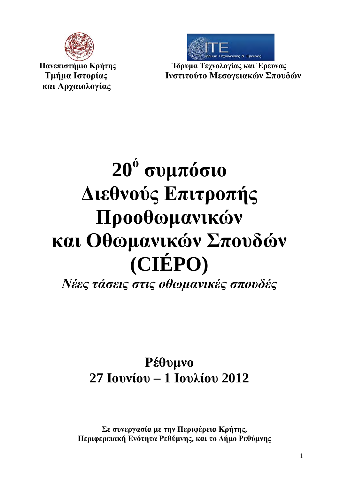

 **και Αρχαιολογίας**

 **Πανεπιστήμιο Κρήτης Ίδρυμα Τεχνολογίας και Έρευνας Τμήμα Ιστορίας Ινστιτούτο Μεσογειακών Σπουδών**

# **20<sup>ό</sup> συμπόσιο Διεθνούς Επιτροπής Προοθωμανικών και Οθωμανικών Σπουδών (CIÉPO)**

*Νέες τάσεις στις οθωμανικές σπουδές*

# **Ρέθυμνο 27 Ιουνίου – 1 Ιουλίου 2012**

**Σε συνεργασία με την Περιφέρεια Κρήτης, Περιφερειακή Ενότητα Ρεθύμνης, και το Δήμο Ρεθύμνης**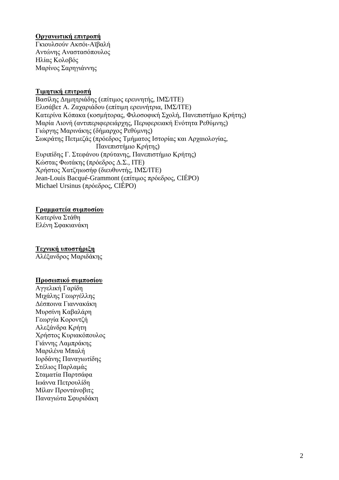#### **Οργανωτική επιτροπή**

Γκιουλσούν Ακσόι-Αϊβαλή Αντώνης Αναστασόπουλος Ηλίας Κολοβός Μαρίνος Σαρηγιάννης

#### **Τιμητική επιτροπή**

Βασίλης Δημητριάδης (επίτιμος ερευνητής, ΙΜΣ/ΙΤΕ) Ελισάβετ Α. Ζαχαριάδου (επίτιμη ερευνήτρια, ΙΜΣ/ΙΤΕ) Κατερίνα Κόπακα (κοσμήτορας, Φιλοσοφική Σχολή, Πανεπιστήμιο Κρήτης) Μαρία Λιονή (αντιπεριφερειάρχης, Περιφερειακή Ενότητα Ρεθύμνης) Γιώργης Μαρινάκης (δήμαρχος Ρεθύμνης) Σωκράτης Πετμεζάς (πρόεδρος Τμήματος Ιστορίας και Αρχαιολογίας, Πανεπιστήμιο Κρήτης) Ευριπίδης Γ. Στεφάνου (πρύτανης, Πανεπιστήμιο Κρήτης) Κώστας Φωτάκης (πρόεδρος Δ.Σ., ΙΤΕ) Χρήστος Χατζηιωσήφ (διευθυντής, ΙΜΣ/ΙΤΕ) Jean-Louis Bacqué-Grammont (επίτιμος πρόεδρος, CIÉPO) Michael Ursinus (πρόεδρος, CIÉPO)

#### **Γραμματεία συμποσίου**

Κατερίνα Στάθη Ελένη Σφακιανάκη

#### **Τεχνική υποστήριξη**

Αλέξανδρος Μαριδάκης

#### **Προσωπικό συμποσίου**

Αγγελική Γαρίδη Μιχάλης Γεωργέλλης Δέσποινα Γιαννακάκη Μυρσίνη Καβαλάρη Γεωργία Κοροντζή Αλεξάνδρα Κρήτη Χρήστος Κυριακόπουλος Γιάννης Λαμπράκης Μαριλένα Μπαλή Ιορδάνης Παναγιωτίδης Στέλιος Παρλαμάς Σταματία Παρτσάφα Ιωάννα Πετρουλίδη Μίλαν Προντάνοβιτς Παναγιώτα Σφυριδάκη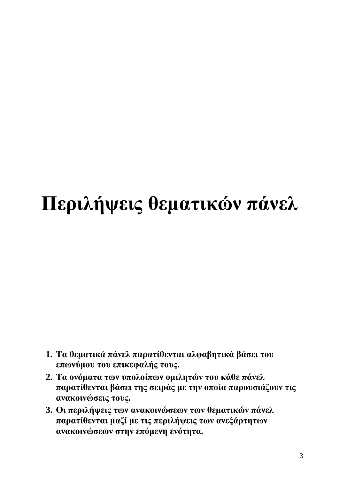# **Περιλήψεις θεματικών πάνελ**

- **1. Τα θεματικά πάνελ παρατίθενται αλφαβητικά βάσει του επωνύμου του επικεφαλής τους.**
- **2. Τα ονόματα των υπολοίπων ομιλητών του κάθε πάνελ παρατίθενται βάσει της σειράς με την οποία παρουσιάζουν τις ανακοινώσεις τους.**
- **3. Οι περιλήψεις των ανακοινώσεων των θεματικών πάνελ παρατίθενται μαζί με τις περιλήψεις των ανεξάρτητων ανακοινώσεων στην επόμενη ενότητα.**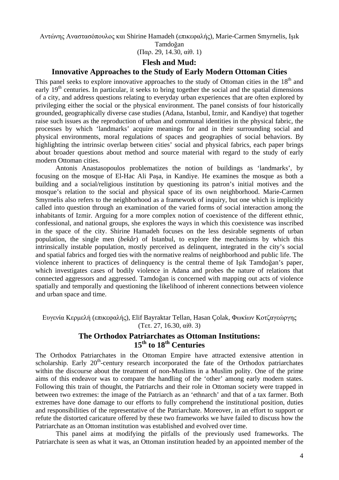Αντώνης Αναστασόπουλος και Shirine Hamadeh (επικεφαλής), Marie-Carmen Smyrnelis, Işık

Tamdoğan (Παρ. 29, 14.30, αίθ. 1)

#### **Flesh and Mud:**

#### **Innovative Approaches to the Study of Early Modern Ottoman Cities**

This panel seeks to explore innovative approaches to the study of Ottoman cities in the 18<sup>th</sup> and early  $19<sup>th</sup>$  centuries. In particular, it seeks to bring together the social and the spatial dimensions of a city, and address questions relating to everyday urban experiences that are often explored by privileging either the social or the physical environment. The panel consists of four historically grounded, geographically diverse case studies (Adana, Istanbul, Izmir, and Kandiye) that together raise such issues as the reproduction of urban and communal identities in the physical fabric, the processes by which 'landmarks' acquire meanings for and in their surrounding social and physical environments, moral regulations of spaces and geographies of social behaviors. By highlighting the intrinsic overlap between cities' social and physical fabrics, each paper brings about broader questions about method and source material with regard to the study of early modern Ottoman cities.

Antonis Anastasopoulos problematizes the notion of buildings as 'landmarks', by focusing on the mosque of El-Hac Ali Paşa, in Kandiye. He examines the mosque as both a building and a social/religious institution by questioning its patron's initial motives and the mosque's relation to the social and physical space of its own neighborhood. Marie-Carmen Smyrnelis also refers to the neighborhood as a framework of inquiry, but one which is implicitly called into question through an examination of the varied forms of social interaction among the inhabitants of Izmir. Arguing for a more complex notion of coexistence of the different ethnic, confessional, and national groups, she explores the ways in which this coexistence was inscribed in the space of the city. Shirine Hamadeh focuses on the less desirable segments of urban population, the single men (*bekâr*) of Istanbul, to explore the mechanisms by which this intrinsically instable population, mostly perceived as delinquent, integrated in the city's social and spatial fabrics and forged ties with the normative realms of neighborhood and public life. The violence inherent to practices of delinquency is the central theme of Işık Tamdoğan's paper, which investigates cases of bodily violence in Adana and probes the nature of relations that connected aggressors and aggressed. Tamdoğan is concerned with mapping out acts of violence spatially and temporally and questioning the likelihood of inherent connections between violence and urban space and time.

Ευγενία Κερμελή (επικεφαλής), Elif Bayraktar Tellan, Hasan Çolak, Φωκίων Κοτζαγεώργης (Τετ. 27, 16.30, αίθ. 3)

# **The Orthodox Patriarchates as Ottoman Institutions: 15th to 18th Centuries**

The Orthodox Patriarchates in the Ottoman Empire have attracted extensive attention in scholarship. Early  $20<sup>th</sup>$ -century research incorporated the fate of the Orthodox patriarchates within the discourse about the treatment of non-Muslims in a Muslim polity. One of the prime aims of this endeavor was to compare the handling of the 'other' among early modern states. Following this train of thought, the Patriarchs and their role in Ottoman society were trapped in between two extremes: the image of the Patriarch as an 'ethnarch' and that of a tax farmer. Both extremes have done damage to our efforts to fully comprehend the institutional position, duties and responsibilities of the representative of the Patriarchate. Moreover, in an effort to support or refute the distorted caricature offered by these two frameworks we have failed to discuss how the Patriarchate as an Ottoman institution was established and evolved over time.

This panel aims at modifying the pitfalls of the previously used frameworks. The Patriarchate is seen as what it was, an Ottoman institution headed by an appointed member of the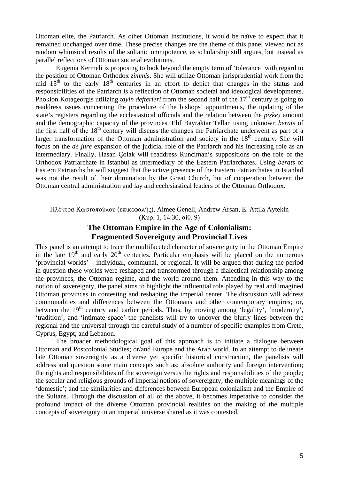Ottoman elite, the Patriarch. As other Ottoman institutions, it would be naïve to expect that it remained unchanged over time. These precise changes are the theme of this panel viewed not as random whimsical results of the sultanic omnipotence, as scholarship still argues, but instead as parallel reflections of Ottoman societal evolutions.

Eugenia Kermeli is proposing to look beyond the empty term of 'tolerance' with regard to the position of Ottoman Orthodox *zimmi*s. She will utilize Ottoman jurisprudential work from the mid  $15<sup>th</sup>$  to the early  $18<sup>th</sup>$  centuries in an effort to depict that changes in the status and responsibilities of the Patriarch is a reflection of Ottoman societal and ideological developments. Phokion Kotageorgis utilizing *tayin defterleri* from the second half of the 17<sup>th</sup> century is going to readdress issues concerning the procedure of the bishops' appointments, the updating of the state's registers regarding the ecclesiastical officials and the relation between the *pişkeş* amount and the demographic capacity of the provinces. Elif Bayraktar Tellan using unknown *berat*s of the first half of the  $18<sup>th</sup>$  century will discuss the changes the Patriarchate underwent as part of a larger transformation of the Ottoman administration and society in the  $18<sup>th</sup>$  century. She will focus on the *de jure* expansion of the judicial role of the Patriarch and his increasing role as an intermediary. Finally, Hasan Çolak will readdress Runciman's suppositions on the role of the Orthodox Patriarchate in Istanbul as intermediary of the Eastern Patriarchates. Using *berat*s of Eastern Patriarchs he will suggest that the active presence of the Eastern Patriarchates in Istanbul was not the result of their domination by the Great Church, but of cooperation between the Ottoman central administration and lay and ecclesiastical leaders of the Ottoman Orthodox.

#### Ηλέκτρα Κωστοπούλου (επικεφαλής), Aimee Genell, Andrew Arsan, E. Attila Aytekin (Κυρ. 1, 14.30, αίθ. 9)

#### **The Ottoman Empire in the Age of Colonialism: Fragmented Sovereignty and Provincial Lives**

This panel is an attempt to trace the multifaceted character of sovereignty in the Ottoman Empire in the late  $19<sup>th</sup>$  and early  $20<sup>th</sup>$  centuries. Particular emphasis will be placed on the numerous 'provincial worlds' – individual, communal, or regional. It will be argued that during the period in question these worlds were reshaped and transformed through a dialectical relationship among the provinces, the Ottoman regime, and the world around them. Attending in this way to the notion of sovereignty, the panel aims to highlight the influential role played by real and imagined Ottoman provinces in contesting and reshaping the imperial center. The discussion will address communalities and differences between the Ottomans and other contemporary empires; or, between the  $19<sup>th</sup>$  century and earlier periods. Thus, by moving among 'legality', 'modernity', 'tradition', and 'intimate space' the panelists will try to uncover the blurry lines between the regional and the universal through the careful study of a number of specific examples from Crete, Cyprus, Egypt, and Lebanon.

The broader methodological goal of this approach is to initiate a dialogue between Ottoman and Postcolonial Studies; or/and Europe and the Arab world. In an attempt to delineate late Ottoman sovereignty as a diverse yet specific historical construction, the panelists will address and question some main concepts such as: absolute authority and foreign intervention; the rights and responsibilities of the sovereign versus the rights and responsibilities of the people; the secular and religious grounds of imperial notions of sovereignty; the multiple meanings of the 'domestic'; and the similarities and differences between European colonialism and the Empire of the Sultans. Through the discussion of all of the above, it becomes imperative to consider the profound impact of the diverse Ottoman provincial realities on the making of the multiple concepts of sovereignty in an imperial universe shared as it was contested.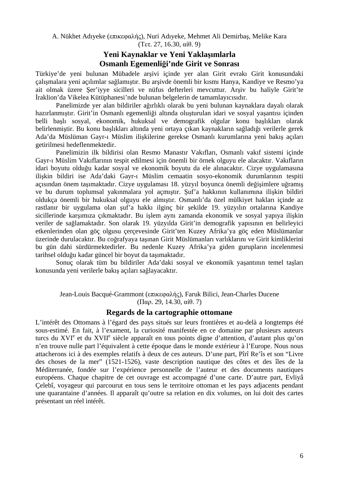A. Nükhet Adıyeke (επικεφαλής), Nuri Adıyeke, Mehmet Ali Demirbaş, Melike Kara (Τετ. 27, 16.30, αίθ. 9)

#### **Yeni Kaynaklar ve Yeni Yaklaşımlarla Osmanlı Egemenliği'nde Girit ve Sonrası**

Türkiye'de yeni bulunan Mübadele arşivi içinde yer alan Girit evrakı Girit konusundaki çalışmalara yeni açılımlar sağlamıştır. Bu arşivde önemli bir kısmı Hanya, Kandiye ve Resmo'ya ait olmak üzere Şer'iyye sicilleri ve nüfus defterleri mevcuttur. Arşiv bu haliyle Girit'te İraklion'da Vikelea Kütüphanesi'nde bulunan belgelerin de tamamlayıcısıdır.

Panelimizde yer alan bildiriler ağırlıklı olarak bu yeni bulunan kaynaklara dayalı olarak hazırlanmıştır. Girit'in Osmanlı egemenliği altında oluşturulan idari ve sosyal yaşantısı içinden belli başlı sosyal, ekonomik, hukuksal ve demografik olgular konu başlıkları olarak belirlenmiştir. Bu konu başlıkları altında yeni ortaya çıkan kaynakların sağladığı verilerle gerek Ada'da Müslüman Gayr-ı Müslim ilişkilerine gerekse Osmanlı kurumlarına yeni bakış açıları getirilmesi hedeflenmektedir.

Panelimizin ilk bildirisi olan Resmo Manastır Vakıfları, Osmanlı vakıf sistemi içinde Gayr-ı Müslim Vakıflarının tespit edilmesi için önemli bir örnek olguyu ele alacaktır. Vakıfların idari boyutu olduğu kadar sosyal ve ekonomik boyutu da ele alınacaktır. Cizye uygulamasına ilişkin bildiri ise Ada'daki Gayr-ı Müslim cemaatin sosyo-ekonomik durumlarının tespiti açısından önem taşımaktadır. Cizye uygulaması 18. yüzyıl boyunca önemli değişimlere uğramış ve bu durum toplumsal yakınmalara yol açmıştır. Şuf'a hakkının kullanımına ilişkin bildiri oldukça önemli bir hukuksal olguyu ele almıştır. Osmanlı'da özel mülkiyet hakları içinde az rastlanır bir uygulama olan şuf'a hakkı ilginç bir şekilde 19. yüzyılın ortalarına Kandiye sicillerinde karşımıza çıkmaktadır. Bu işlem aynı zamanda ekonomik ve sosyal yapıya ilişkin veriler de sağlamaktadır. Son olarak 19. yüzyılda Girit'in demografik yapısının en belirleyici etkenlerinden olan göç olgusu çerçevesinde Girit'ten Kuzey Afrika'ya göç eden Müslümanlar üzerinde durulacaktır. Bu coğrafyaya taşınan Girit Müslümanları varlıklarını ve Girit kimliklerini bu gün dahi sürdürmektedirler. Bu nedenle Kuzey Afrika'ya giden gurupların incelenmesi tarihsel olduğu kadar güncel bir boyut da taşımaktadır.

Sonuç olarak tüm bu bildiriler Ada'daki sosyal ve ekonomik yaşantının temel taşları konusunda yeni verilerle bakış açıları sağlayacaktır.

Jean-Louis Bacqué-Grammont (επικεφαλής), Faruk Bilici, Jean-Charles Ducene (Παρ. 29, 14.30, αίθ. 7)

#### **Regards de la cartographie ottomane**

L'intérêt des Ottomans à l'égard des pays situés sur leurs frontières et au-delà a longtemps été sous-estimé. En fait, à l'exament, la curiosité manifestée en ce domaine par plusieurs auteurs turcs du XVI<sup>e</sup> et du XVII<sup>e</sup> siècle apparaît en tous points digne d'attention, d'autant plus qu'on n'en trouve nulle part l'équivalent à cette époque dans le monde extérieur à l'Europe. Nous nous attacherons ici à des exemples relatifs à deux de ces auteurs. D'une part, Pîrî Re'îs et son "Livre des choses de la mer" (1521-1526), vaste description nautique des côtes et des îles de la Méditerranée, fondée sur l'expérience personnelle de l'auteur et des documents nautiques européens. Chaque chapitre de cet ouvrage est accompagné d'une carte. D'autre part, Evliyâ Çelebî, voyageur qui parcourut en tous sens le territoire ottoman et les pays adjacents pendant une quarantaine d'années. Il apparaît qu'outre sa relation en dix volumes, on lui doit des cartes présentant un réel intérêt.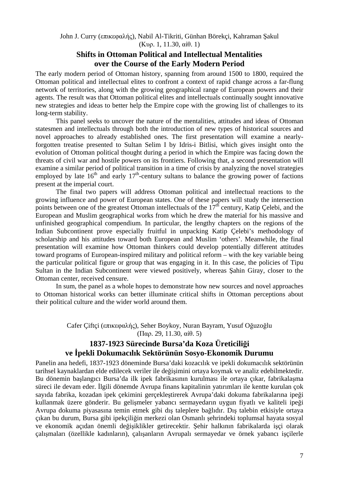John J. Curry (επικεφαλής), Nabil Al-Tikriti, Günhan Börekçi, Kahraman Şakul (Κυρ. 1, 11.30, αίθ. 1)

#### **Shifts in Ottoman Political and Intellectual Mentalities over the Course of the Early Modern Period**

The early modern period of Ottoman history, spanning from around 1500 to 1800, required the Ottoman political and intellectual elites to confront a context of rapid change across a far-flung network of territories, along with the growing geographical range of European powers and their agents. The result was that Ottoman political elites and intellectuals continually sought innovative new strategies and ideas to better help the Empire cope with the growing list of challenges to its long-term stability.

This panel seeks to uncover the nature of the mentalities, attitudes and ideas of Ottoman statesmen and intellectuals through both the introduction of new types of historical sources and novel approaches to already established ones. The first presentation will examine a nearlyforgotten treatise presented to Sultan Selim I by Idris-i Bitlisi, which gives insight onto the evolution of Ottoman political thought during a period in which the Empire was facing down the threats of civil war and hostile powers on its frontiers. Following that, a second presentation will examine a similar period of political transition in a time of crisis by analyzing the novel strategies employed by late  $16<sup>th</sup>$  and early  $17<sup>th</sup>$ -century sultans to balance the growing power of factions present at the imperial court.

The final two papers will address Ottoman political and intellectual reactions to the growing influence and power of European states. One of these papers will study the intersection points between one of the greatest Ottoman intellectuals of the  $17<sup>th</sup>$  century, Katip Çelebi, and the European and Muslim geographical works from which he drew the material for his massive and unfinished geographical compendium. In particular, the lengthy chapters on the regions of the Indian Subcontinent prove especially fruitful in unpacking Katip Çelebi's methodology of scholarship and his attitudes toward both European and Muslim 'others'. Meanwhile, the final presentation will examine how Ottoman thinkers could develop potentially different attitudes toward programs of European-inspired military and political reform – with the key variable being the particular political figure or group that was engaging in it. In this case, the policies of Tipu Sultan in the Indian Subcontinent were viewed positively, whereas Şahin Giray, closer to the Ottoman center, received censure.

In sum, the panel as a whole hopes to demonstrate how new sources and novel approaches to Ottoman historical works can better illuminate critical shifts in Ottoman perceptions about their political culture and the wider world around them.

> Cafer Çiftçi (επικεφαλής), Seher Boykoy, Nuran Bayram, Yusuf Oğuzoğlu (Παρ. 29, 11.30, αίθ. 5)

# **1837-1923 Sürecinde Bursa'da Koza Üreticiliği ve İpekli Dokumacılık Sektörünün Sosyo-Ekonomik Durumu**

Panelin ana hedefi, 1837-1923 döneminde Bursa'daki kozacılık ve ipekli dokumacılık sektörünün tarihsel kaynaklardan elde edilecek veriler ile değişimini ortaya koymak ve analiz edebilmektedir. Bu dönemin başlangıcı Bursa'da ilk ipek fabrikasının kurulması ile ortaya çıkar, fabrikalaşma süreci ile devam eder. İlgili dönemde Avrupa finans kapitalinin yatırımları ile kentte kurulan çok sayıda fabrika, kozadan ipek çekimini gerçekleştirerek Avrupa'daki dokuma fabrikalarına ipeği kullanmak üzere gönderir. Bu gelişmeler yabancı sermayedarın uygun fiyatlı ve kaliteli ipeği Avrupa dokuma piyasasına temin etmek gibi dış taleplere bağlıdır. Dış talebin etkisiyle ortaya çıkan bu durum, Bursa gibi ipekçiliğin merkezi olan Osmanlı şehrindeki toplumsal hayata sosyal ve ekonomik açıdan önemli değişiklikler getirecektir. Şehir halkının fabrikalarda işçi olarak çalışmaları (özellikle kadınların), çalışanların Avrupalı sermayedar ve örnek yabancı işçilerle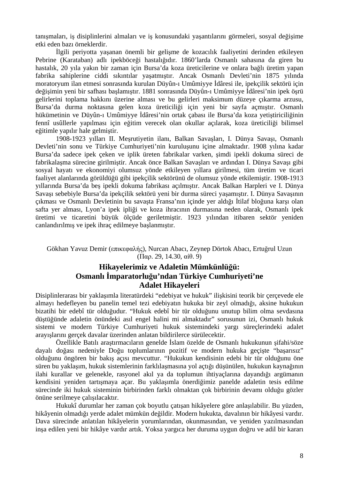tanışmaları, iş disiplinlerini almaları ve iş konusundaki yaşantılarını görmeleri, sosyal değişime etki eden bazı örneklerdir.

İlgili periyotta yaşanan önemli bir gelişme de kozacılık faaliyetini derinden etkileyen Pebrine (Karataban) adlı ipekböceği hastalığıdır. 1860'larda Osmanlı sahasına da giren bu hastalık, 20 yıla yakın bir zaman için Bursa'da koza üreticilerine ve onlara bağlı üretim yapan fabrika sahiplerine ciddi sıkıntılar yaşatmıştır. Ancak Osmanlı Devleti'nin 1875 yılında moratoryum ilan etmesi sonrasında kurulan Düyûn-ı Umûmiyye İdâresi ile, ipekçilik sektörü için değişimin yeni bir safhası başlamıştır. 1881 sonrasında Düyûn-ı Umûmiyye İdâresi'nin ipek öşrü gelirlerini toplama hakkını üzerine alması ve bu gelirleri maksimum düzeye çıkarma arzusu, Bursa'da durma noktasına gelen koza üreticiliği için yeni bir sayfa açmıştır. Osmanlı hükümetinin ve Düyûn-ı Umûmiyye İdâresi'nin ortak çabası ile Bursa'da koza yetiştiriciliğinin fennî usûllerle yapılması için eğitim verecek olan okullar açılarak, koza üreticiliği bilimsel eğitimle yapılır hale gelmiştir.

1908-1923 yılları II. Meşrutiyetin ilanı, Balkan Savaşları, I. Dünya Savaşı, Osmanlı Devleti'nin sonu ve Türkiye Cumhuriyeti'nin kuruluşunu içine almaktadır. 1908 yılına kadar Bursa'da sadece ipek çeken ve iplik üreten fabrikalar varken, şimdi ipekli dokuma süreci de fabrikalaşma sürecine girilmiştir. Ancak önce Balkan Savaşları ve ardından I. Dünya Savaşı gibi sosyal hayatı ve ekonomiyi olumsuz yönde etkileyen yıllara girilmesi, tüm üretim ve ticari faaliyet alanlarında görüldüğü gibi ipekçilik sektörünü de olumsuz yönde etkilemiştir. 1908-1913 yıllarında Bursa'da beş ipekli dokuma fabrikası açılmıştır. Ancak Balkan Harpleri ve I. Dünya Savaşı sebebiyle Bursa'da ipekçilik sektörü yeni bir durma süreci yaşamıştır. I. Dünya Savaşının çıkması ve Osmanlı Devletinin bu savaşta Fransa'nın içinde yer aldığı İtilaf bloğuna karşı olan safta yer alması, Lyon'a ipek ipliği ve koza ihracının durmasına neden olarak, Osmanlı ipek üretimi ve ticaretini büyük ölçüde geriletmiştir. 1923 yılından itibaren sektör yeniden canlandırılmış ve ipek ihraç edilmeye başlanmıştır.

#### Gökhan Yavuz Demir (επικεφαλής), Nurcan Abacı, Zeynep Dörtok Abacı, Ertuğrul Uzun (Παρ. 29, 14.30, αίθ. 9)

# **Hikayelerimiz ve Adaletin Mümkünlüğü: Osmanlı İmparatorluğu'ndan Türkiye Cumhuriyeti'ne Adalet Hikayeleri**

Disiplinlerarası bir yaklaşımla literatürdeki "edebiyat ve hukuk" ilişkisini teorik bir çerçevede ele almayı hedefleyen bu panelin temel tezi edebiyatın hukuka bir zeyl olmadığı, aksine hukukun bizatihi bir edebî tür olduğudur. "Hukuk edebî bir tür olduğunu unutup bilim olma sevdasına düştüğünde adaletin önündeki asıl engel halini mi almaktadır" sorusunun izi, Osmanlı hukuk sistemi ve modern Türkiye Cumhuriyeti hukuk sistemindeki yargı süreçlerindeki adalet arayışlarını gerçek davalar üzerinden anlatan bildirilerce sürülecektir.

Özellikle Batılı araştırmacıların genelde İslam özelde de Osmanlı hukukunun şifahi/söze dayalı doğası nedeniyle Doğu toplumlarının pozitif ve modern hukuka geçişte "başarısız" olduğunu öngören bir bakış açısı mevcuttur. "Hukukun kendisinin edebi bir tür olduğunu öne süren bu yaklaşım, hukuk sistemlerinin farklılaşmasına yol açtığı düşünülen, hukukun kaynağının ilahi kurallar ve gelenekle, rasyonel akıl ya da toplumun ihtiyaçlarına dayandığı argümanın kendisini yeniden tartışmaya açar. Bu yaklaşımla önerdiğimiz panelde adaletin tesis edilme sürecinde iki hukuk sisteminin birbirinden farklı olmaktan çok birbirinin devamı olduğu gözler önüne serilmeye çalışılacaktır.

Hukukî durumlar her zaman çok boyutlu çatışan hikâyelere göre anlaşılabilir. Bu yüzden, hikâyenin olmadığı yerde adalet mümkün değildir. Modern hukukta, davalının bir hikâyesi vardır. Dava sürecinde anlatılan hikâyelerin yorumlarından, okunmasından, ve yeniden yazılmasından inşa edilen yeni bir hikâye vardır artık. Yoksa yargıca her duruma uygun doğru ve adil bir kararı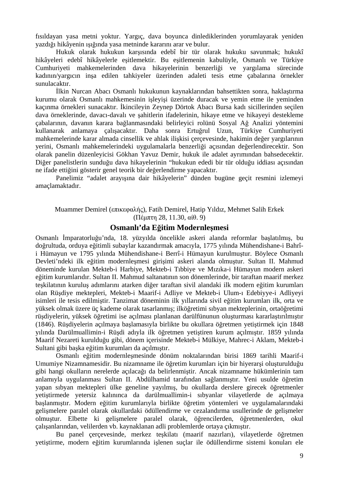fısıldayan yasa metni yoktur. Yargıç, dava boyunca dinlediklerinden yorumlayarak yeniden yazdığı hikâyenin ışığında yasa metninde kararını arar ve bulur.

Hukuk olarak hukukun karşısında edebî bir tür olarak hukuku savunmak; hukukî hikâyeleri edebî hikâyelerle eşitlemektir. Bu eşitlemenin kabulüyle, Osmanlı ve Türkiye Cumhuriyeti mahkemelerinden dava hikayelerinin benzerliği ve yargılama sürecinde kadının/yargıcın inşa edilen tahkiyeler üzerinden adaleti tesis etme çabalarına örnekler sunulacaktır.

İlkin Nurcan Abacı Osmanlı hukukunun kaynaklarından bahsettikten sonra, haklaştırma kurumu olarak Osmanlı mahkemesinin işleyişi üzerinde duracak ve yemin etme ile yeminden kaçınma örnekleri sunacaktır. İkincileyin Zeynep Dörtok Abacı Bursa kadı sicillerinden seçilen dava örneklerinde, davacı-davalı ve şahitlerin ifadelerinin, hikaye etme ve hikayeyi destekleme çabalarının, davanın karara bağlanmasındaki belirleyici rolünü Sosyal Ağ Analizi yöntemini kullanarak anlamaya çalışacaktır. Daha sonra Ertuğrul Uzun, Türkiye Cumhuriyeti mahkemelerinde karar almada cinsellik ve ahlak ilişkisi çerçevesinde, hakimin değer yargılarının yerini, Osmanlı mahkemelerindeki uygulamalarla benzerliği açısından değerlendirecektir. Son olarak panelin düzenleyicisi Gökhan Yavuz Demir, hukuk ile adalet ayrımından bahsedecektir. Diğer panelistlerin sunduğu dava hikayelerinin "hukukun ededi bir tür olduğu iddiası açısından ne ifade ettiğini gösterir genel teorik bir değerlendirme yapacaktır.

Panelimiz "adalet arayışına dair hikâyelerin" dünden bugüne geçit resmini izlemeyi amaçlamaktadır.

Muammer Demirel (επικεφαλής), Fatih Demirel, Hatip Yıldız, Mehmet Salih Erkek (Πέμπτη 28, 11.30, αίθ. 9)

#### **Osmanlı'da Eğitim Modernleşmesi**

Osmanlı İmparatorluğu'nda, 18. yüzyılda öncelikle askeri alanda reformlar başlatılmış, bu doğrultuda, orduya eğitimli subaylar kazandırmak amacıyla, 1775 yılında Mühendishane-i Bahrîi Hümayun ve 1795 yılında Mühendishane-i Berrî-i Hümayun kurulmuştur. Böylece Osmanlı Devleti'ndeki ilk eğitim modernleşmesi girişimi askeri alanda olmuştur. Sultan II. Mahmud döneminde kurulan Mekteb-i Harbiye, Mekteb-i Tıbbiye ve Mızıka-i Hümayun modern askeri eğitim kurumlarıdır. Sultan II. Mahmud saltanatının son dönemlerinde, bir taraftan maarif merkez teşkilatının kuruluş adımlarını atarken diğer taraftan sivil alandaki ilk modern eğitim kurumları olan Rüşdiye mektepleri, Mekteb-i Maarif-i Adliye ve Mekteb-i Ulum-ı Edebiyye-i Adliyeyi isimleri ile tesis edilmiştir. Tanzimat döneminin ilk yıllarında sivil eğitim kurumları ilk, orta ve yüksek olmak üzere üç kademe olarak tasarlanmış; ilköğretimi sıbyan mekteplerinin, ortaöğretimi rüşdiyelerin, yüksek öğretimi ise açılması planlanan darülfünunun oluşturması kararlaştırılmıştır (1846). Rüşdiyelerin açılmaya başlamasıyla birlikte bu okullara öğretmen yetiştirmek için 1848 yılında Darülmuallimin-i Rüşdi adıyla ilk öğretmen yetiştiren kurum açılmıştır. 1859 yılında Maarif Nezareti kurulduğu gibi, dönem içerisinde Mekteb-i Mülkiye, Mahrec-i Aklam, Mekteb-i Sultani gibi başka eğitim kurumları da açılmıştır.

Osmanlı eğitim modernleşmesinde dönüm noktalarından birisi 1869 tarihli Maarif-i Umumiye Nizamnamesidir. Bu nizamname ile öğretim kurumları için bir hiyerarşi oluşturulduğu gibi hangi okulların nerelerde açılacağı da belirlenmiştir. Ancak nizamname hükümlerinin tam anlamıyla uygulanması Sultan II. Abdülhamid tarafından sağlanmıştır. Yeni usulde öğretim yapan sıbyan mektepleri ülke geneline yayılmış, bu okullarda derslere girecek öğretmenler yetiştirmede yetersiz kalınınca da darülmuallimin-i sıbyanlar vilayetlerde de açılmaya başlanmıştır. Modern eğitim kurumlarıyla birlikte öğretim yöntemleri ve uygulamalarındaki gelişmelere paralel olarak okullardaki ödüllendirme ve cezalandırma usullerinde de gelişmeler olmuştur. Elbette ki gelişmelere paralel olarak, öğrencilerden, öğretmenlerden, okul çalışanlarından, velilerden vb. kaynaklanan adli problemlerde ortaya çıkmıştır.

Bu panel çerçevesinde, merkez teşkilatı (maarif nazırları), vilayetlerde öğretmen yetiştirme, modern eğitim kurumlarında işlenen suçlar ile ödüllendirme sistemi konuları ele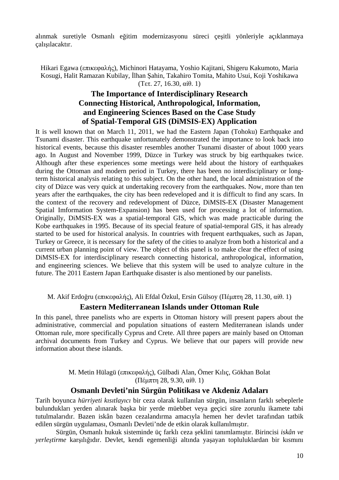alınmak suretiyle Osmanlı eğitim modernizasyonu süreci çeşitli yönleriyle açıklanmaya çalışılacaktır.

Hikari Egawa (επικεφαλής), Michinori Hatayama, Yoshio Kajitani, Shigeru Kakumoto, Maria Kosugi, Halit Ramazan Kubilay, İlhan Şahin, Takahiro Tomita, Mahito Usui, Koji Yoshikawa (Τετ. 27, 16.30, αίθ. 1)

# **The Importance of Interdisciplinary Research Connecting Historical, Anthropological, Information, and Engineering Sciences Based on the Case Study of Spatial-Temporal GIS (DiMSIS-EX) Application**

It is well known that on March 11, 2011, we had the Eastern Japan (Tohoku) Earthquake and Tsunami disaster. This earthquake unfortunately demonstrated the importance to look back into historical events, because this disaster resembles another Tsunami disaster of about 1000 years ago. In August and November 1999, Düzce in Turkey was struck by big earthquakes twice. Although after these experiences some meetings were held about the history of earthquakes during the Ottoman and modern period in Turkey, there has been no interdisciplinary or longterm historical analysis relating to this subject. On the other hand, the local administration of the city of Düzce was very quick at undertaking recovery from the earthquakes. Now, more than ten years after the earthquakes, the city has been redeveloped and it is difficult to find any scars. In the context of the recovery and redevelopment of Düzce, DiMSIS-EX (Disaster Management Spatial Imformation System-Expansion) has been used for processing a lot of information. Originally, DiMSIS-EX was a spatial-temporal GIS, which was made practicable during the Kobe earthquakes in 1995. Because of its special feature of spatial-temporal GIS, it has already started to be used for historical analysis. In countries with frequent earthquakes, such as Japan, Turkey or Greece, it is necessary for the safety of the cities to analyze from both a historical and a current urban planning point of view. The object of this panel is to make clear the effect of using DiMSIS-EX for interdisciplinary research connecting historical, anthropological, information, and engineering sciences. We believe that this system will be used to analyze culture in the future. The 2011 Eastern Japan Earthquake disaster is also mentioned by our panelists.

M. Akif Erdoğru (επικεφαλής), Ali Efdal Özkul, Ersin Gülsoy (Πέμπτη 28, 11.30, αίθ. 1)

### **Eastern Mediterranean Islands under Ottoman Rule**

In this panel, three panelists who are experts in Ottoman history will present papers about the administrative, commercial and population situations of eastern Mediterranean islands under Ottoman rule, more specifically Cyprus and Crete. All three papers are mainly based on Ottoman archival documents from Turkey and Cyprus. We believe that our papers will provide new information about these islands.

> M. Metin Hülagü (επικεφαλής), Gülbadi Alan, Ömer Kılıç, Gökhan Bolat (Πέμπτη 28, 9.30, αίθ. 1)

### **Osmanlı Devleti'nin Sürgün Politikası ve Akdeniz Adaları**

Tarih boyunca *hürriyeti kısıtlayıcı* bir ceza olarak kullanılan sürgün, insanların farklı sebeplerle bulundukları yerden alınarak başka bir yerde müebbet veya geçici süre zorunlu ikamete tabi tutulmalarıdır. Bazen iskân bazen cezalandırma amacıyla hemen her devlet tarafından tatbik edilen sürgün uygulaması, Osmanlı Devleti'nde de etkin olarak kullanılmıştır.

Sürgün, Osmanlı hukuk sisteminde üç farklı ceza şeklini tanımlamıştır. Birincisi *iskân ve yerleştirme* karşılığıdır. Devlet, kendi egemenliği altında yaşayan topluluklardan bir kısmını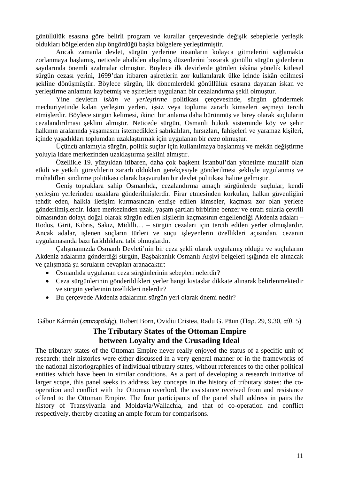gönüllülük esasına göre belirli program ve kurallar çerçevesinde değişik sebeplerle yerleşik oldukları bölgelerden alıp öngördüğü başka bölgelere yerleştirmiştir.

Ancak zamanla devlet, sürgün yerlerine insanların kolayca gitmelerini sağlamakta zorlanmaya başlamış, neticede ahaliden alışılmış düzenlerini bozarak gönüllü sürgün gidenlerin sayılarında önemli azalmalar olmuştur. Böylece ilk devirlerde görülen iskâna yönelik kitlesel sürgün cezası yerini, 1699'dan itibaren aşiretlerin zor kullanılarak ülke içinde iskân edilmesi şekline dönüşmüştür. Böylece sürgün, ilk dönemlerdeki gönüllülük esasına dayanan iskan ve yerleştirme anlamını kaybetmiş ve aşiretlere uygulanan bir cezalandırma şekli olmuştur.

Yine devletin *iskân ve yerleştirme* politikası çerçevesinde, sürgün göndermek mecburiyetinde kalan yerleşim yerleri, işsiz veya topluma zararlı kimseleri seçmeyi tercih etmişlerdir. Böylece sürgün kelimesi, ikinci bir anlama daha bürünmüş ve birey olarak suçluların cezalandırılması şeklini almıştır. Neticede sürgün, Osmanlı hukuk sisteminde köy ve şehir halkının aralarında yaşamasını istemedikleri sabıkalıları, hırsızları, fahişeleri ve yaramaz kişileri, içinde yaşadıkları toplumdan uzaklaştırmak için uygulanan bir *ceza* olmuştur.

Üçüncü anlamıyla sürgün, politik suçlar için kullanılmaya başlanmış ve mekân değiştirme yoluyla idare merkezinden uzaklaştırma şeklini almıştır.

Özellikle 19. yüzyıldan itibaren, daha çok başkent İstanbul'dan yönetime muhalif olan etkili ve yetkili görevlilerin zararlı oldukları gerekçesiyle gönderilmesi şekliyle uygulanmış ve muhalifleri sindirme politikası olarak başvurulan bir devlet politikası haline gelmiştir.

Geniş topraklara sahip Osmanlıda, cezalandırma amaçlı sürgünlerde suçlular, kendi yerleşim yerlerinden uzaklara gönderilmişlerdir. Firar etmesinden korkulan, halkın güvenliğini tehdit eden, halkla iletişim kurmasından endişe edilen kimseler, kaçması zor olan yerlere gönderilmişlerdir. İdare merkezinden uzak, yaşam şartları birbirine benzer ve etrafı sularla çevrili olmasından dolayı doğal olarak sürgün edilen kişilerin kaçmasının engellendiği Akdeniz adaları – Rodos, Girit, Kıbrıs, Sakız, Midilli… – sürgün cezaları için tercih edilen yerler olmuşlardır. Ancak adalar, işlenen suçların türleri ve suçu işleyenlerin özellikleri açısından, cezanın uygulamasında bazı farklılıklara tabi olmuşlardır.

Çalışmamızda Osmanlı Devleti'nin bir ceza şekli olarak uygulamış olduğu ve suçlularını Akdeniz adalarına gönderdiği sürgün, Başbakanlık Osmanlı Arşivi belgeleri ışığında ele alınacak ve çalışmada şu soruların cevapları aranacaktır:

- Osmanlıda uygulanan ceza sürgünlerinin sebepleri nelerdir?
- Ceza sürgünlerinin gönderildikleri yerler hangi kıstaslar dikkate alınarak belirlenmektedir ve sürgün yerlerinin özellikleri nelerdir?
- Bu çerçevede Akdeniz adalarının sürgün yeri olarak önemi nedir?

Gábor Kármán (επικεφαλής), Robert Born, Ovidiu Cristea, Radu G. Păun (Παρ. 29, 9.30, αίθ. 5)

# **The Tributary States of the Ottoman Empire between Loyalty and the Crusading Ideal**

The tributary states of the Ottoman Empire never really enjoyed the status of a specific unit of research: their histories were either discussed in a very general manner or in the frameworks of the national historiographies of individual tributary states, without references to the other political entities which have been in similar conditions. As a part of developing a research initiative of larger scope, this panel seeks to address key concepts in the history of tributary states: the cooperation and conflict with the Ottoman overlord, the assistance received from and resistance offered to the Ottoman Empire. The four participants of the panel shall address in pairs the history of Transylvania and Moldavia/Wallachia, and that of co-operation and conflict respectively, thereby creating an ample forum for comparisons.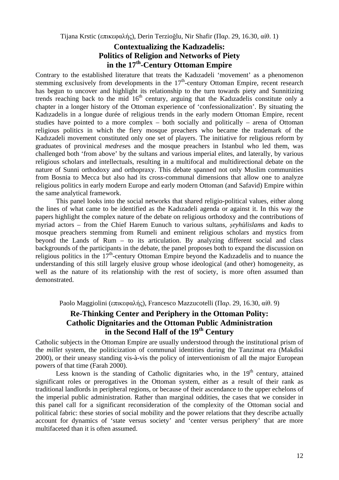Tijana Krstic (επικεφαλής), Derin Terzioğlu, Nir Shafir (Παρ. 29, 16.30, αίθ. 1)

# **Contextualizing the Kadızadelis: Politics of Religion and Networks of Piety in the 17th-Century Ottoman Empire**

Contrary to the established literature that treats the Kadızadeli 'movement' as a phenomenon stemming exclusively from developments in the  $17<sup>th</sup>$ -century Ottoman Empire, recent research has begun to uncover and highlight its relationship to the turn towards piety and Sunnitizing trends reaching back to the mid  $16<sup>th</sup>$  century, arguing that the Kadızadelis constitute only a chapter in a longer history of the Ottoman experience of 'confessionalization'. By situating the Kadızadelis in a longue durée of religious trends in the early modern Ottoman Empire, recent studies have pointed to a more complex – both socially and politically – arena of Ottoman religious politics in which the fiery mosque preachers who became the trademark of the Kadızadeli movement constituted only one set of players. The initiative for religious reform by graduates of provinical *medrese*s and the mosque preachers in Istanbul who led them, was challenged both 'from above' by the sultans and various imperial elites, and laterally, by various religious scholars and intellectuals, resulting in a multifocal and multidirectional debate on the nature of Sunni orthodoxy and orthopraxy. This debate spanned not only Muslim communities from Bosnia to Mecca but also had its cross-communal dimensions that allow one to analyze religious politics in early modern Europe and early modern Ottoman (and Safavid) Empire within the same analytical framework.

This panel looks into the social networks that shared religio-political values, either along the lines of what came to be identified as the Kadızadeli agenda or against it. In this way the papers highlight the complex nature of the debate on religious orthodoxy and the contributions of myriad actors – from the Chief Harem Eunuch to various sultans, *şeyhülislam*s and *kadı*s to mosque preachers stemming from Rumeli and eminent religious scholars and mystics from beyond the Lands of Rum – to its articulation. By analyzing different social and class backgrounds of the participants in the debate, the panel proposes both to expand the discussion on religious politics in the  $17<sup>th</sup>$ -century Ottoman Empire beyond the Kadızadelis and to nuance the understanding of this still largely elusive group whose ideological (and other) homogeneity, as well as the nature of its relationship with the rest of society, is more often assumed than demonstrated.

Paolo Maggiolini (επικεφαλής), Francesco Mazzucotelli (Παρ. 29, 16.30, αίθ. 9)

# **Re-Thinking Center and Periphery in the Ottoman Polity: Catholic Dignitaries and the Ottoman Public Administration in the Second Half of the 19th Century**

Catholic subjects in the Ottoman Empire are usually understood through the institutional prism of the *millet* system, the politicization of communal identities during the Tanzimat era (Makdisi 2000), or their uneasy standing vis-à-vis the policy of interventionism of all the major European powers of that time (Farah 2000).

Less known is the standing of Catholic dignitaries who, in the  $19<sup>th</sup>$  century, attained significant roles or prerogatives in the Ottoman system, either as a result of their rank as traditional landlords in peripheral regions, or because of their ascendance to the upper echelons of the imperial public administration. Rather than marginal oddities, the cases that we consider in this panel call for a significant reconsideration of the complexity of the Ottoman social and political fabric: these stories of social mobility and the power relations that they describe actually account for dynamics of 'state versus society' and 'center versus periphery' that are more multifaceted than it is often assumed.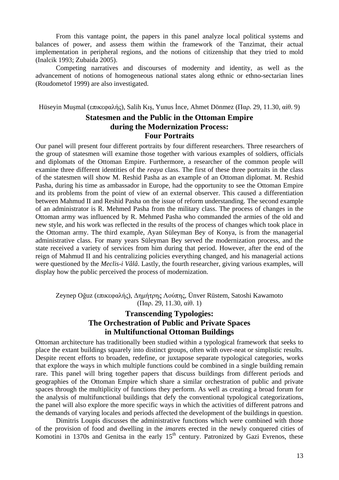From this vantage point, the papers in this panel analyze local political systems and balances of power, and assess them within the framework of the Tanzimat, their actual implementation in peripheral regions, and the notions of citizenship that they tried to mold (Inalcik 1993; Zubaida 2005).

Competing narratives and discourses of modernity and identity, as well as the advancement of notions of homogeneous national states along ethnic or ethno-sectarian lines (Roudometof 1999) are also investigated.

Hüseyin Muşmal (επικεφαλής), Salih Kış, Yunus İnce, Ahmet Dönmez (Παρ. 29, 11.30, αίθ. 9)

# **Statesmen and the Public in the Ottoman Empire during the Modernization Process: Four Portraits**

Our panel will present four different portraits by four different researchers. Three researchers of the group of statesmen will examine those together with various examples of soldiers, officials and diplomats of the Ottoman Empire. Furthermore, a researcher of the common people will examine three different identities of the *reaya* class. The first of these three portraits in the class of the statesmen will show M. Reshid Pasha as an example of an Ottoman diplomat. M. Reshid Pasha, during his time as ambassador in Europe, had the opportunity to see the Ottoman Empire and its problems from the point of view of an external observer. This caused a differentiation between Mahmud II and Reshid Pasha on the issue of reform understanding. The second example of an administrator is R. Mehmed Pasha from the military class. The process of changes in the Ottoman army was influenced by R. Mehmed Pasha who commanded the armies of the old and new style, and his work was reflected in the results of the process of changes which took place in the Ottoman army. The third example, Ayan Süleyman Bey of Konya, is from the managerial administrative class. For many years Süleyman Bey served the modernization process, and the state received a variety of services from him during that period. However, after the end of the reign of Mahmud II and his centralizing policies everything changed, and his managerial actions were questioned by the *Meclis-i Vâlâ*. Lastly, the fourth researcher, giving various examples, will display how the public perceived the process of modernization.

Zeynep Oğuz (επικεφαλής), Δημήτρης Λούπης, Ünver Rüstem, Satoshi Kawamoto (Παρ. 29, 11.30, αίθ. 1)

# **Transcending Typologies: The Orchestration of Public and Private Spaces in Multifunctional Ottoman Buildings**

Ottoman architecture has traditionally been studied within a typological framework that seeks to place the extant buildings squarely into distinct groups, often with over-neat or simplistic results. Despite recent efforts to broaden, redefine, or juxtapose separate typological categories, works that explore the ways in which multiple functions could be combined in a single building remain rare. This panel will bring together papers that discuss buildings from different periods and geographies of the Ottoman Empire which share a similar orchestration of public and private spaces through the multiplicity of functions they perform. As well as creating a broad forum for the analysis of multifunctional buildings that defy the conventional typological categorizations, the panel will also explore the more specific ways in which the activities of different patrons and the demands of varying locales and periods affected the development of the buildings in question.

Dimitris Loupis discusses the administrative functions which were combined with those of the provision of food and dwelling in the *imaret*s erected in the newly conquered cities of Komotini in 1370s and Genitsa in the early 15<sup>th</sup> century. Patronized by Gazi Evrenos, these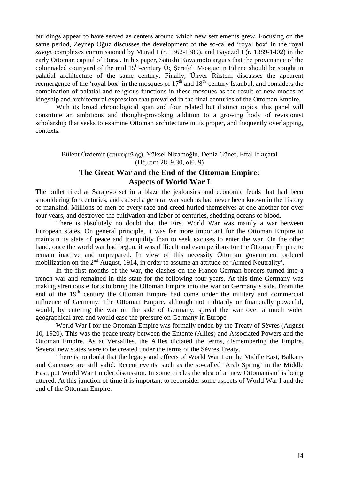buildings appear to have served as centers around which new settlements grew. Focusing on the same period, Zeynep Oğuz discusses the development of the so-called 'royal box' in the royal *zaviye* complexes commissioned by Murad I (r. 1362-1389), and Bayezid I (r. 1389-1402) in the early Ottoman capital of Bursa. In his paper, Satoshi Kawamoto argues that the provenance of the colonnaded courtyard of the mid  $15<sup>th</sup>$ -century Üç Şerefeli Mosque in Edirne should be sought in palatial architecture of the same century. Finally, Ünver Rüstem discusses the apparent reemergence of the 'royal box' in the mosques of  $17<sup>th</sup>$  and  $18<sup>th</sup>$ -century Istanbul, and considers the combination of palatial and religious functions in these mosques as the result of new modes of kingship and architectural expression that prevailed in the final centuries of the Ottoman Empire.

With its broad chronological span and four related but distinct topics, this panel will constitute an ambitious and thought-provoking addition to a growing body of revisionist scholarship that seeks to examine Ottoman architecture in its proper, and frequently overlapping, contexts.

#### Bülent Özdemir (επικεφαλής), Yüksel Nizamoğlu, Deniz Güner, Eftal Irkıçatal (Πέμπτη 28, 9.30, αίθ. 9)

# **The Great War and the End of the Ottoman Empire: Aspects of World War I**

The bullet fired at Sarajevo set in a blaze the jealousies and economic feuds that had been smouldering for centuries, and caused a general war such as had never been known in the history of mankind. Millions of men of every race and creed hurled themselves at one another for over four years, and destroyed the cultivation and labor of centuries, shedding oceans of blood.

There is absolutely no doubt that the First World War was mainly a war between European states. On general principle, it was far more important for the Ottoman Empire to maintain its state of peace and tranquility than to seek excuses to enter the war. On the other hand, once the world war had begun, it was difficult and even perilous for the Ottoman Empire to remain inactive and unprepared. In view of this necessity Ottoman government ordered mobilization on the 2<sup>nd</sup> August, 1914, in order to assume an attitude of 'Armed Neutrality'.

In the first months of the war, the clashes on the Franco-German borders turned into a trench war and remained in this state for the following four years. At this time Germany was making strenuous efforts to bring the Ottoman Empire into the war on Germany's side. From the end of the  $19<sup>th</sup>$  century the Ottoman Empire had come under the military and commercial influence of Germany. The Ottoman Empire, although not militarily or financially powerful, would, by entering the war on the side of Germany, spread the war over a much wider geographical area and would ease the pressure on Germany in Europe.

World War I for the Ottoman Empire was formally ended by the Treaty of Sèvres (August 10, 1920). This was the peace treaty between the Entente (Allies) and Associated Powers and the Ottoman Empire. As at Versailles, the Allies dictated the terms, dismembering the Empire. Several new states were to be created under the terms of the Sèvres Treaty.

There is no doubt that the legacy and effects of World War I on the Middle East, Balkans and Caucuses are still valid. Recent events, such as the so-called 'Arab Spring' in the Middle East, put World War I under discussion. In some circles the idea of a 'new Ottomanism' is being uttered. At this junction of time it is important to reconsider some aspects of World War I and the end of the Ottoman Empire.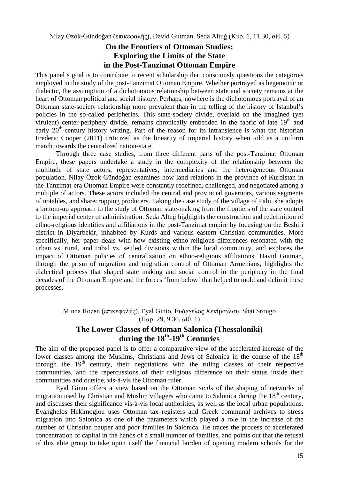### **On the Frontiers of Ottoman Studies: Exploring the Limits of the State in the Post-Tanzimat Ottoman Empire**

This panel's goal is to contribute to recent scholarship that consciously questions the categories employed in the study of the post-Tanzimat Ottoman Empire. Whether portrayed as hegemonic or dialectic, the assumption of a dichotomous relationship between state and society remains at the heart of Ottoman political and social history. Perhaps, nowhere is the dichotomous portrayal of an Ottoman state-society relationship more prevalent than in the telling of the history of Istanbul's policies in the so-called peripheries. This state-society divide, overlaid on the imagined (yet virulent) center-periphery divide, remains chronically embedded in the fabric of late  $19<sup>th</sup>$  and early  $20<sup>th</sup>$ -century history writing. Part of the reason for its intransience is what the historian Frederic Cooper (2011) criticized as the linearity of imperial history when told as a uniform march towards the centralized nation-state.

Through three case studies, from three different parts of the post-Tanzimat Ottoman Empire, these papers undertake a study in the complexity of the relationship between the multitude of state actors, representatives, intermediaries and the heterogeneous Ottoman population. Nilay Özok-Gündoğan examines how land relations in the province of Kurdistan in the Tanzimat-era Ottoman Empire were constantly redefined, challenged, and negotiated among a multiple of actors. These actors included the central and provincial governors, various segments of notables, and sharecropping producers. Taking the case study of the village of Palu, she adopts a bottom-up approach to the study of Ottoman state-making from the frontiers of the state control to the imperial center of administration. Seda Altuğ highlights the construction and redefinition of ethno-religious identities and affiliations in the post-Tanzimat empire by focusing on the Beshiri district in Diyarbekir, inhabited by Kurds and various eastern Christian communities. More specifically, her paper deals with how existing ethno-religious differences resonated with the urban vs. rural, and tribal vs. settled divisions within the local community, and explores the impact of Ottoman policies of centralization on ethno-religious affiliations. David Gutman, through the prism of migration and migration control of Ottoman Armenians, highlights the dialectical process that shaped state making and social control in the periphery in the final decades of the Ottoman Empire and the forces 'from below' that helped to mold and delimit these processes.

Minna Rozen (επικεφαλής), Eyal Ginio, Ευάγγελος Χεκίμογλου, Shai Srougo (Παρ. 29, 9.30, αίθ. 1)

# **The Lower Classes of Ottoman Salonica (Thessaloniki) during the 18th-19th Centuries**

The aim of the proposed panel is to offer a comparative view of the accelerated increase of the lower classes among the Muslims, Christians and Jews of Salonica in the course of the 18<sup>th</sup> through the  $19<sup>th</sup>$  century, their negotiations with the ruling classes of their respective communities, and the repercussions of their religious difference on their status inside their communities and outside, vis-à-vis the Ottoman ruler.

Eyal Ginio offers a view based on the Ottoman *sicil*s of the shaping of networks of migration used by Christian and Muslim villagers who came to Salonica during the  $18<sup>th</sup>$  century, and discusses their significance vis-à-vis local authorities, as well as the local urban populations. Evanghelos Hekimoglou uses Ottoman tax registers and Greek communal archives to stress migration into Salonica as one of the parameters which played a role in the increase of the number of Christian pauper and poor families in Salonica. He traces the process of accelerated concentration of capital in the hands of a small number of families, and points out that the refusal of this elite group to take upon itself the financial burden of opening modern schools for the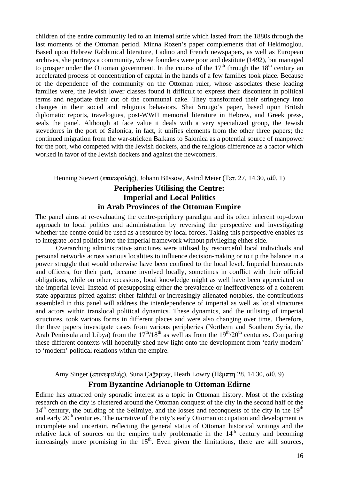children of the entire community led to an internal strife which lasted from the 1880s through the last moments of the Ottoman period. Minna Rozen's paper complements that of Hekimoglou. Based upon Hebrew Rabbinical literature, Ladino and French newspapers, as well as European archives, she portrays a community, whose founders were poor and destitute (1492), but managed to prosper under the Ottoman government. In the course of the  $17<sup>th</sup>$  through the  $18<sup>th</sup>$  century an accelerated process of concentration of capital in the hands of a few families took place. Because of the dependence of the community on the Ottoman ruler, whose associates these leading families were, the Jewish lower classes found it difficult to express their discontent in political terms and negotiate their cut of the communal cake. They transformed their stringency into changes in their social and religious behaviors. Shai Srougo's paper, based upon British diplomatic reports, travelogues, post-WWII memorial literature in Hebrew, and Greek press, seals the panel. Although at face value it deals with a very specialized group, the Jewish stevedores in the port of Salonica, in fact, it unifies elements from the other three papers; the continued migration from the war-stricken Balkans to Salonica as a potential source of manpower for the port, who competed with the Jewish dockers, and the religious difference as a factor which worked in favor of the Jewish dockers and against the newcomers.

Henning Sievert (επικεφαλής), Johann Büssow, Astrid Meier (Τετ. 27, 14.30, αίθ. 1)

# **Peripheries Utilising the Centre: Imperial and Local Politics in Arab Provinces of the Ottoman Empire**

The panel aims at re-evaluating the centre-periphery paradigm and its often inherent top-down approach to local politics and administration by reversing the perspective and investigating whether the centre could be used as a resource by local forces. Taking this perspective enables us to integrate local politics into the imperial framework without privileging either side.

Overarching administrative structures were utilised by resourceful local individuals and personal networks across various localities to influence decision-making or to tip the balance in a power struggle that would otherwise have been confined to the local level. Imperial bureaucrats and officers, for their part, became involved locally, sometimes in conflict with their official obligations, while on other occasions, local knowledge might as well have been appreciated on the imperial level. Instead of presupposing either the prevalence or ineffectiveness of a coherent state apparatus pitted against either faithful or increasingly alienated notables, the contributions assembled in this panel will address the interdependence of imperial as well as local structures and actors within translocal political dynamics. These dynamics, and the utilising of imperial structures, took various forms in different places and were also changing over time. Therefore, the three papers investigate cases from various peripheries (Northern and Southern Syria, the Arab Peninsula and Libya) from the  $17<sup>th</sup>/18<sup>th</sup>$  as well as from the  $19<sup>th</sup>/20<sup>th</sup>$  centuries. Comparing these different contexts will hopefully shed new light onto the development from 'early modern' to 'modern' political relations within the empire.

Amy Singer (επικεφαλής), Suna Çağaptay, Heath Lowry (Πέμπτη 28, 14.30, αίθ. 9)

### **From Byzantine Adrianople to Ottoman Edirne**

Edirne has attracted only sporadic interest as a topic in Ottoman history. Most of the existing research on the city is clustered around the Ottoman conquest of the city in the second half of the  $14<sup>th</sup>$  century, the building of the Selimiye, and the losses and reconquests of the city in the  $19<sup>th</sup>$ and early  $20<sup>th</sup>$  centuries. The narrative of the city's early Ottoman occupation and development is incomplete and uncertain, reflecting the general status of Ottoman historical writings and the relative lack of sources on the empire: truly problematic in the  $14<sup>th</sup>$  century and becoming increasingly more promising in the  $15<sup>th</sup>$ . Even given the limitations, there are still sources,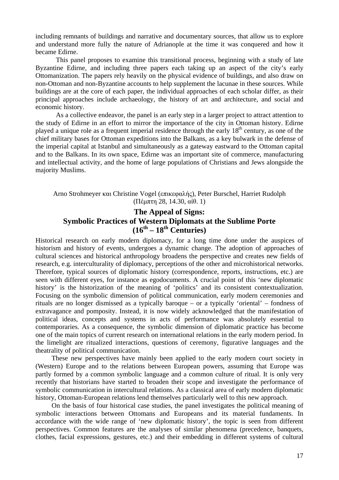including remnants of buildings and narrative and documentary sources, that allow us to explore and understand more fully the nature of Adrianople at the time it was conquered and how it became Edirne.

This panel proposes to examine this transitional process, beginning with a study of late Byzantine Edirne, and including three papers each taking up an aspect of the city's early Ottomanization. The papers rely heavily on the physical evidence of buildings, and also draw on non-Ottoman and non-Byzantine accounts to help supplement the lacunae in these sources. While buildings are at the core of each paper, the individual approaches of each scholar differ, as their principal approaches include archaeology, the history of art and architecture, and social and economic history.

As a collective endeavor, the panel is an early step in a larger project to attract attention to the study of Edirne in an effort to mirror the importance of the city in Ottoman history. Edirne played a unique role as a frequent imperial residence through the early 18<sup>th</sup> century, as one of the chief military bases for Ottoman expeditions into the Balkans, as a key bulwark in the defense of the imperial capital at Istanbul and simultaneously as a gateway eastward to the Ottoman capital and to the Balkans. In its own space, Edirne was an important site of commerce, manufacturing and intellectual activity, and the home of large populations of Christians and Jews alongside the majority Muslims.

Arno Strohmeyer και Christine Vogel (επικεφαλής), Peter Burschel, Harriet Rudolph (Πέμπτη 28, 14.30, αίθ. 1)

# **The Appeal of Signs: Symbolic Practices of Western Diplomats at the Sublime Porte**   $(16^{th} - 18^{th}$  Centuries)

Historical research on early modern diplomacy, for a long time done under the auspices of historism and history of events, undergoes a dynamic change. The adoption of approaches of cultural sciences and historical anthropology broadens the perspective and creates new fields of research, e.g. interculturality of diplomacy, perceptions of the other and microhistorical networks. Therefore, typical sources of diplomatic history (correspondence, reports, instructions, etc.) are seen with different eyes, for instance as egodocuments. A crucial point of this 'new diplomatic history' is the historization of the meaning of 'politics' and its consistent contextualization. Focusing on the symbolic dimension of political communication, early modern ceremonies and rituals are no longer dismissed as a typically baroque – or a typically 'oriental' – fondness of extravagance and pomposity. Instead, it is now widely acknowledged that the manifestation of political ideas, concepts and systems in acts of performance was absolutely essential to contemporaries. As a consequence, the symbolic dimension of diplomatic practice has become one of the main topics of current research on international relations in the early modern period. In the limelight are ritualized interactions, questions of ceremony, figurative languages and the theatrality of political communication.

These new perspectives have mainly been applied to the early modern court society in (Western) Europe and to the relations between European powers, assuming that Europe was partly formed by a common symbolic language and a common culture of ritual. It is only very recently that historians have started to broaden their scope and investigate the performance of symbolic communication in intercultural relations. As a classical area of early modern diplomatic history, Ottoman-European relations lend themselves particularly well to this new approach.

On the basis of four historical case studies, the panel investigates the political meaning of symbolic interactions between Ottomans and Europeans and its material fundaments. In accordance with the wide range of 'new diplomatic history', the topic is seen from different perspectives. Common features are the analyses of similar phenomena (precedence, banquets, clothes, facial expressions, gestures, etc.) and their embedding in different systems of cultural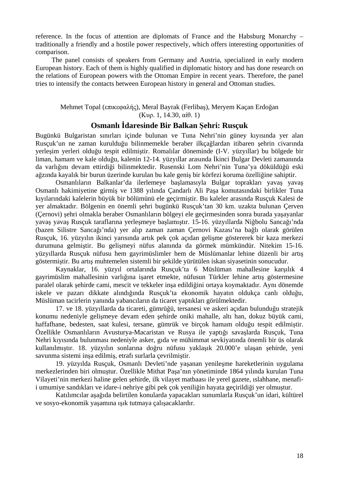reference. In the focus of attention are diplomats of France and the Habsburg Monarchy – traditionally a friendly and a hostile power respectively, which offers interesting opportunities of comparison.

The panel consists of speakers from Germany and Austria, specialized in early modern European history. Each of them is highly qualified in diplomatic history and has done research on the relations of European powers with the Ottoman Empire in recent years. Therefore, the panel tries to intensify the contacts between European history in general and Ottoman studies.

#### Mehmet Topal (επικεφαλής), Meral Bayrak (Ferlibaş), Meryem Kaçan Erdoğan (Κυρ. 1, 14.30, αίθ. 1)

# **Osmanlı İdaresinde Bir Balkan Şehri: Rusçuk**

Bugünkü Bulgaristan sınırları içinde bulunan ve Tuna Nehri'nin güney kıyısında yer alan Rusçuk'un ne zaman kurulduğu bilinmemekle beraber ilkçağlardan itibaren şehrin civarında yerleşim yerleri olduğu tespit edilmiştir. Romalılar döneminde (I-V. yüzyıllar) bu bölgede bir liman, hamam ve kale olduğu, kalenin 12-14. yüzyıllar arasında İkinci Bulgar Devleti zamanında da varlığını devam ettirdiği bilinmektedir. Rusenski Lom Nehri'nin Tuna'ya döküldüğü eski ağzında kayalık bir burun üzerinde kurulan bu kale geniş bir körfezi koruma özelliğine sahiptir.

Osmanlıların Balkanlar'da ilerlemeye başlamasıyla Bulgar toprakları yavaş yavaş Osmanlı hakimiyetine girmiş ve 1388 yılında Çandarlı Ali Paşa komutasındaki birlikler Tuna kıyılarındaki kalelerin büyük bir bölümünü ele geçirmiştir. Bu kaleler arasında Rusçuk Kalesi de yer almaktadır. Bölgenin en önemli şehri bugünkü Rusçuk'tan 30 km. uzakta bulunan Çerven (Çernovi) şehri olmakla beraber Osmanlıların bölgeyi ele geçirmesinden sonra burada yaşayanlar yavaş yavaş Rusçuk taraflarına yerleşmeye başlamıştır. 15-16. yüzyıllarda Niğbolu Sancağı'nda (bazen Silistre Sancağı'nda) yer alıp zaman zaman Çernovi Kazası'na bağlı olarak görülen Rusçuk, 16. yüzyılın ikinci yarısında artık pek çok açıdan gelişme göstererek bir kaza merkezi durumuna gelmiştir. Bu gelişmeyi nüfus alanında da görmek mümkündür. Nitekim 15-16. yüzyıllarda Rusçuk nüfusu hem gayrimüslimler hem de Müslümanlar lehine düzenli bir artış göstermiştir. Bu artış muhtemelen sistemli bir şekilde yürütülen iskan siyasetinin sonucudur.

Kaynaklar, 16. yüzyıl ortalarında Rusçuk'ta 6 Müslüman mahallesine karşılık 4 gayrimüslim mahallesinin varlığına işaret etmekte, nüfusun Türkler lehine artış göstermesine paralel olarak şehirde cami, mescit ve tekkeler inşa edildiğini ortaya koymaktadır. Aynı dönemde iskele ve pazarı dikkate alındığında Rusçuk'ta ekonomik hayatın oldukça canlı olduğu, Müslüman tacirlerin yanında yabancıların da ticaret yaptıkları görülmektedir.

17. ve 18. yüzyıllarda da ticareti, gümrüğü, tersanesi ve askeri açıdan bulunduğu stratejik konumu nedeniyle gelişmeye devam eden şehirde oniki mahalle, altı han, dokuz büyük cami, haffafhane, bedesten, saat kulesi, tersane, gümrük ve birçok hamam olduğu tespit edilmiştir. Özellikle Osmanlıların Avusturya-Macaristan ve Rusya ile yaptığı savaşlarda Rusçuk, Tuna Nehri kıyısında bulunması nedeniyle asker, gıda ve mühimmat sevkiyatında önemli bir üs olarak kullanılmıştır. 18. yüzyılın sonlarına doğru nüfusu yaklaşık 20.000'e ulaşan şehirde, yeni savunma sistemi inşa edilmiş, etrafı surlarla çevrilmiştir.

19. yüzyılda Rusçuk, Osmanlı Devleti'nde yaşanan yenileşme hareketlerinin uygulama merkezlerinden biri olmuştur. Özellikle Mithat Paşa'nın yönetiminde 1864 yılında kurulan Tuna Vilayeti'nin merkezi haline gelen şehirde, ilk vilayet matbaası ile yerel gazete, ıslahhane, menafii umumiye sandıkları ve idare-i nehriye gibi pek çok yeniliğin hayata geçirildiği yer olmuştur.

Katılımcılar aşağıda belirtilen konularda yapacakları sunumlarla Rusçuk'un idari, kültürel ve sosyo-ekonomik yaşamına ışık tutmaya çalışacaklardır.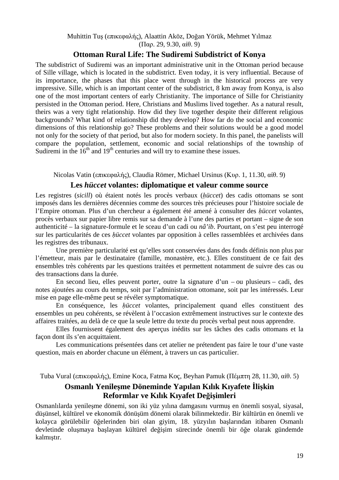Muhittin Tuş (επικεφαλής), Alaattin Aköz, Doğan Yörük, Mehmet Yılmaz (Παρ. 29, 9.30, αίθ. 9)

#### **Ottoman Rural Life: The Sudiremi Subdistrict of Konya**

The subdistrict of Sudiremi was an important administrative unit in the Ottoman period because of Sille village, which is located in the subdistrict. Even today, it is very influential. Because of its importance, the phases that this place went through in the historical process are very impressive. Sille, which is an important center of the subdistrict, 8 km away from Konya, is also one of the most important centers of early Christianity. The importance of Sille for Christianity persisted in the Ottoman period. Here, Christians and Muslims lived together. As a natural result, theirs was a very tight relationship. How did they live together despite their different religious backgrounds? What kind of relationship did they develop? How far do the social and economic dimensions of this relationship go? These problems and their solutions would be a good model not only for the society of that period, but also for modern society. In this panel, the panelists will compare the population, settlement, economic and social relationships of the township of Sudiremi in the  $16<sup>th</sup>$  and  $19<sup>th</sup>$  centuries and will try to examine these issues.

Nicolas Vatin (επικεφαλής), Claudia Römer, Michael Ursinus (Κυρ. 1, 11.30, αίθ. 9)

#### **Les** *hüccet* **volantes: diplomatique et valeur comme source**

Les registres (*sicill*) où étaient notés les procès verbaux (*ḥüccet*) des cadis ottomans se sont imposés dans les dernières décennies comme des sources très précieuses pour l'histoire sociale de l'Empire ottoman. Plus d'un chercheur a également été amené à consulter des *ḥüccet* volantes, procès verbaux sur papier libre remis sur sa demande à l'une des parties et portant – signe de son authenticité – la signature-formule et le sceau d'un cadi ou *nâ'ib*. Pourtant, on s'est peu interrogé sur les particularités de ces *ḥüccet* volantes par opposition à celles rassemblées et archivées dans les registres des tribunaux.

Une première particularité est qu'elles sont conservées dans des fonds définis non plus par l'émetteur, mais par le destinataire (famille, monastère, etc.). Elles constituent de ce fait des ensembles très cohérents par les questions traitées et permettent notamment de suivre des cas ou des transactions dans la durée.

En second lieu, elles peuvent porter, outre la signature d'un – ou plusieurs – cadi, des notes ajoutées au cours du temps, soit par l'administration ottomane, soit par les intéressés. Leur mise en page elle-même peut se révéler symptomatique.

En conséquence, les *ḥüccet* volantes, principalement quand elles constituent des ensembles un peu cohérents, se révèlent à l'occasion extrêmement instructives sur le contexte des affaires traitées, au delà de ce que la seule lettre du texte du procès verbal peut nous apprendre.

Elles fournissent également des aperçus inédits sur les tâches des cadis ottomans et la façon dont ils s'en acquittaient.

Les communications présentées dans cet atelier ne prétendent pas faire le tour d'une vaste question, mais en aborder chacune un élément, à travers un cas particulier.

Tuba Vural (επικεφαλής), Emine Koca, Fatma Koç, Beyhan Pamuk (Πέμπτη 28, 11.30, αίθ. 5)

### **Osmanlı Yenileşme Döneminde Yapılan Kılık Kıyafete İlişkin Reformlar ve Kılık Kıyafet Değişimleri**

Osmanlılarda yenileşme dönemi, son iki yüz yılına damgasını vurmuş en önemli sosyal, siyasal, düşünsel, kültürel ve ekonomik dönüşüm dönemi olarak bilinmektedir. Bir kültürün en önemli ve kolayca görülebilir öğelerinden biri olan giyim, 18. yüzyılın başlarından itibaren Osmanlı devletinde oluşmaya başlayan kültürel değişim sürecinde önemli bir öğe olarak gündemde kalmıştır.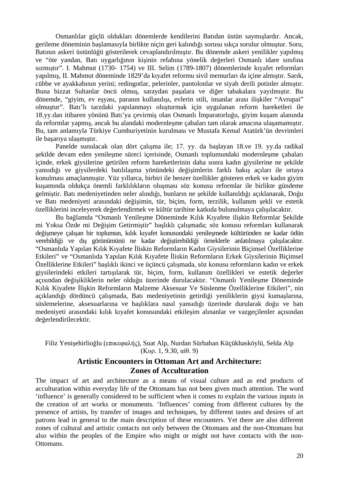Osmanlılar güçlü oldukları dönemlerde kendilerini Batıdan üstün saymışlardır. Ancak, gerileme döneminin başlamasıyla birlikte niçin geri kalındığı sorusu sıkça sorulur olmuştur. Soru, Batının askeri üstünlüğü gösterilerek cevaplandırılmıştır. Bu dönemde askeri yenilikler yapılmış ve "öte yandan, Batı uygarlığının kişinin refahına yönelik değerleri Osmanlı idare sınıfına sızmıştır". I. Mahmut (1730- 1754) ve III. Selim (1789-1807) dönemlerinde kıyafet reformları yapılmış, II. Mahmut döneminde 1829'da kıyafet reformu sivil memurları da içine almıştır. Sarık, cübbe ve ayakkabının yerini; redingotlar, pelerinler, pantolonlar ve siyah derili potinler almıştır. Buna bizzat Sultanlar öncü olmuş, saraydan paşalara ve diğer tabakalara yayılmıştır. Bu dönemde, "giyim, ev eşyası, paranın kullanılışı, evlerin stili, insanlar arası ilişkiler "Avrupai" olmuştur". Batı'lı tarzdaki yapılanmayı oluşturmak için uygulanan reform hareketleri ile 18.yy.dan itibaren yönünü Batı'ya çevirmiş olan Osmanlı İmparatorluğu, giyim kuşam alanında da reformlar yapmış, ancak bu alandaki modernleşme çabaları tam olarak amacına ulaşamamıştır. Bu, tam anlamıyla Türkiye Cumhuriyetinin kurulması ve Mustafa Kemal Atatürk'ün devrimleri ile başarıya ulaşmıştır.

Panelde sunulacak olan dört çalışma ile; 17. yy. da başlayan 18.ve 19. yy.da radikal şekilde devam eden yenileşme süreci içerisinde, Osmanlı toplumundaki modernleşme çabaları içinde, erkek giysilerine getirilen reform hareketlerinin daha sonra kadın giysilerine ne şekilde yansıdığı ve giysilerdeki batılılaşma yönündeki değişimlerin farklı bakış açıları ile ortaya konulması amaçlanmıştır. Yüz yıllarca, birbiri ile benzer özellikler gösteren erkek ve kadın giyim kuşamında oldukça önemli farklılıkların oluşması söz konusu reformlar ile birlikte gündeme gelmiştir. Batı medeniyetinden neler alındığı, bunların ne şekilde kullanıldığı açıklanarak, Doğu ve Batı medeniyeti arasındaki değişimin, tür, biçim, form, terzilik, kullanım şekli ve estetik özelliklerini inceleyerek değerlendirmek ve kültür tarihine katkıda bulunulmaya çalışılacaktır.

Bu bağlamda "Osmanlı Yenileşme Döneminde Kılık Kıyafete ilişkin Reformlar Şekilde mi Yoksa Özde mi Değişim Getirmiştir" başlıklı çalışmada; söz konusu reformları kullanarak değişmeye çalışan bir toplumun, kılık kıyafet konusundaki yenileşmede kültüründen ne kadar ödün verebildiği ve dış görünümünü ne kadar değiştirebildiği örneklerle anlatılmaya çalışılacaktır. "Osmanlıda Yapılan Kılık Kıyafete İliskin Reformların Kadın Giysilerinin Biçimsel Özelliklerine Etkileri" ve "Osmanlıda Yapılan Kılık Kıyafete İliskin Reformların Erkek Giysilerinin Biçimsel Özelliklerine Etkileri" başlıklı ikinci ve üçüncü çalışmada, söz konusu reformların kadın ve erkek giysilerindeki etkileri tartışılarak tür, biçim, form, kullanım özellikleri ve estetik değerler açısından değişikliklerin neler olduğu üzerinde durulacaktır. "Osmanlı Yenileşme Döneminde Kılık Kiyafete İlişkin Reformların Malzeme Aksesuar Ve Süslenme Özelliklerine Etkileri", nin açıklandığı dördüncü çalışmada, Batı medeniyetinin getirdiği yeniliklerin giysi kumaşlarına, süslemelerine, aksesuarlarına ve başlıklara nasıl yansıdığı üzerinde durularak doğu ve batı medeniyeti arasındaki kılık kıyafet konusundaki etkileşim alınanlar ve vazgeçilenler açısından değerlendirilecektir.

Filiz Yenişehirlioğlu (επικεφαλής), Suat Alp, Nurdan Sürbahan Küçükhasköylü, Selda Alp (Κυρ. 1, 9.30, αίθ. 9)

# **Artistic Encounters in Ottoman Art and Architecture: Zones of Acculturation**

The impact of art and architecture as a means of visual culture and as end products of acculturation within everyday life of the Ottomans has not been given much attention. The word 'influence' is generally considered to be sufficient when it comes to explain the various inputs in the creation of art works or monuments. 'Influences' coming from different cultures by the presence of artists, by transfer of images and techniques, by different tastes and desires of art patrons lead in general to the main description of these encounters. Yet there are also different zones of cultural and artistic contacts not only between the Ottomans and the non-Ottomans but also within the peoples of the Empire who might or might not have contacts with the non-Ottomans.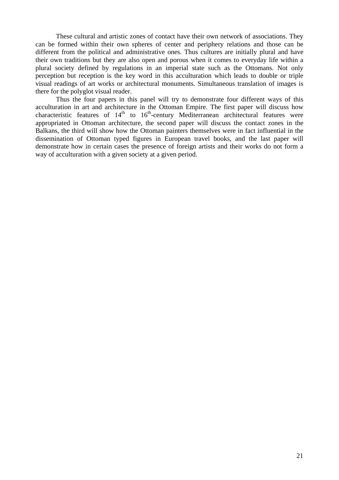These cultural and artistic zones of contact have their own network of associations. They can be formed within their own spheres of center and periphery relations and those can be different from the political and administrative ones. Thus cultures are initially plural and have their own traditions but they are also open and porous when it comes to everyday life within a plural society defined by regulations in an imperial state such as the Ottomans. Not only perception but reception is the key word in this acculturation which leads to double or triple visual readings of art works or architectural monuments. Simultaneous translation of images is there for the polyglot visual reader.

Thus the four papers in this panel will try to demonstrate four different ways of this acculturation in art and architecture in the Ottoman Empire. The first paper will discuss how characteristic features of  $14<sup>th</sup>$  to  $16<sup>th</sup>$ -century Mediterranean architectural features were appropriated in Ottoman architecture, the second paper will discuss the contact zones in the Balkans, the third will show how the Ottoman painters themselves were in fact influential in the dissemination of Ottoman typed figures in European travel books, and the last paper will demonstrate how in certain cases the presence of foreign artists and their works do not form a way of acculturation with a given society at a given period.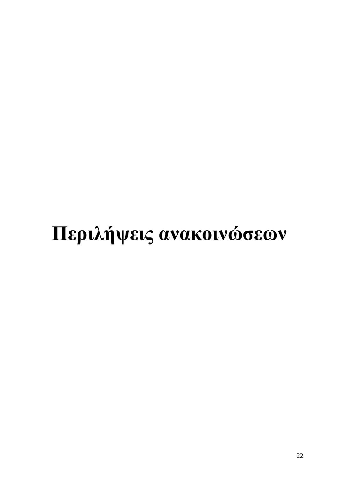# **Περιλήψεις ανακοινώσεων**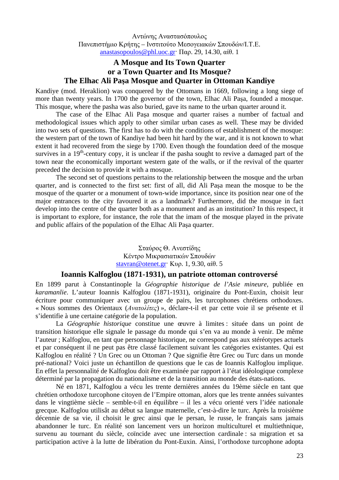Αντώνης Αναστασόπουλος Πανεπιστήμιο Κρήτης – Ινστιτούτο Μεσογειακών Σπουδών/Ι.Τ.Ε. anastasopoulos@phl.uoc.gr· Παρ. 29, 14.30, αίθ. 1

# **A Mosque and Its Town Quarter or a Town Quarter and Its Mosque? The Elhac Ali Paşa Mosque and Quarter in Ottoman Kandiye**

Kandiye (mod. Heraklion) was conquered by the Ottomans in 1669, following a long siege of more than twenty years. In 1700 the governor of the town, Elhac Ali Paşa, founded a mosque. This mosque, where the pasha was also buried, gave its name to the urban quarter around it.

The case of the Elhac Ali Paşa mosque and quarter raises a number of factual and methodological issues which apply to other similar urban cases as well. These may be divided into two sets of questions. The first has to do with the conditions of establishment of the mosque: the western part of the town of Kandiye had been hit hard by the war, and it is not known to what extent it had recovered from the siege by 1700. Even though the foundation deed of the mosque survives in a  $19<sup>th</sup>$ -century copy, it is unclear if the pasha sought to revive a damaged part of the town near the economically important western gate of the walls, or if the revival of the quarter preceded the decision to provide it with a mosque.

The second set of questions pertains to the relationship between the mosque and the urban quarter, and is connected to the first set: first of all, did Ali Paşa mean the mosque to be the mosque of the quarter or a monument of town-wide importance, since its position near one of the major entrances to the city favoured it as a landmark? Furthermore, did the mosque in fact develop into the centre of the quarter both as a monument and as an institution? In this respect, it is important to explore, for instance, the role that the imam of the mosque played in the private and public affairs of the population of the Elhac Ali Paşa quarter.

> Σταύρος Θ. Ανεστίδης Κέντρο Μικρασιατικών Σπουδών stavran@otenet.gr· Κυρ. 1, 9.30, αίθ. 5

#### **Ioannis Kalfoglou (1871-1931), un patriote ottoman controversé**

En 1899 parut à Constantinople la *Géographie historique de l'Asie mineure*, publiée en *karamanlie*. L'auteur Ioannis Kalfoglou (1871-1931), originaire du Pont-Euxin, choisit leur écriture pour communiquer avec un groupe de pairs, les turcophones chrétiens orthodoxes. « Nous sommes des Orientaux (*Ανατολίτες*) », déclare-t-il et par cette voie il se présente et il s'identifie à une certaine catégorie de la population.

La *Géographie historique* constitue une œuvre à limites : située dans un point de transition historique elle signale le passage du monde qui s'en va au monde à venir. De même l'auteur ; Kalfoglou, en tant que personnage historique, ne correspond pas aux stéréotypes actuels et par conséquent il ne peut pas être classé facilement suivant les catégories existantes. Qui est Kalfoglou en réalité ? Un Grec ou un Ottoman ? Que signifie être Grec ou Turc dans un monde pré-national? Voici juste un échantillon de questions que le cas de Ioannis Kalfoglou implique. En effet la personnalité de Kalfoglou doit être examinée par rapport à l'état idéologique complexe déterminé par la propagation du nationalisme et de la transition au monde des états-nations.

Né en 1871, Kalfoglou a vécu les trente dernières années du 19ème siècle en tant que chrétien orthodoxe turcophone citoyen de l'Empire ottoman, alors que les trente années suivantes dans le vingtième siècle – semble-t-il en équilibre – il les a vécu orienté vers l'idée nationale grecque. Kalfoglou utilisât au début sa langue maternelle, c'est-à-dire le turc. Après la troisième décennie de sa vie, il choisit le grec ainsi que le persan, le russe, le français sans jamais abandonner le turc. En réalité son lancement vers un horizon multiculturel et multiethnique, survenu au tournant du siècle, coïncide avec une intersection cardinale : sa migration et sa participation active à la lutte de libération du Pont-Euxin. Ainsi, l'orthodoxe turcophone adopta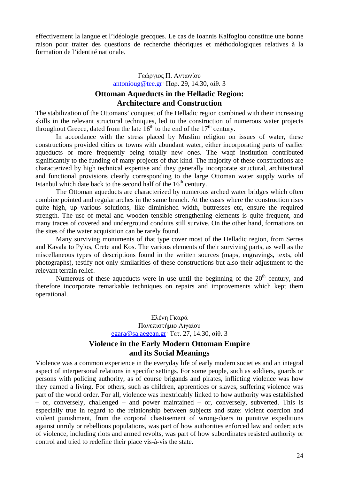effectivement la langue et l'idéologie grecques. Le cas de Ioannis Kalfoglou constitue une bonne raison pour traiter des questions de recherche théoriques et méthodologiques relatives à la formation de l'identité nationale.

#### Γεώργιος Π. Αντωνίου antonioug@tee.gr· Παρ. 29, 14.30, αίθ. 3 **Ottoman Aqueducts in the Helladic Region: Architecture and Construction**

The stabilization of the Ottomans' conquest of the Helladic region combined with their increasing skills in the relevant structural techniques, led to the construction of numerous water projects throughout Greece, dated from the late  $16<sup>th</sup>$  to the end of the 17<sup>th</sup> century.

In accordance with the stress placed by Muslim religion on issues of water, these constructions provided cities or towns with abundant water, either incorporating parts of earlier aqueducts or more frequently being totally new ones. The waqf institution contributed significantly to the funding of many projects of that kind. The majority of these constructions are characterized by high technical expertise and they generally incorporate structural, architectural and functional provisions clearly corresponding to the large Ottoman water supply works of Istanbul which date back to the second half of the  $16<sup>th</sup>$  century.

The Ottoman aqueducts are characterized by numerous arched water bridges which often combine pointed and regular arches in the same branch. At the cases where the construction rises quite high, up various solutions, like diminished width, buttresses etc, ensure the required strength. The use of metal and wooden tensible strengthening elements is quite frequent, and many traces of covered and underground conduits still survive. On the other hand, formations on the sites of the water acquisition can be rarely found.

Many surviving monuments of that type cover most of the Helladic region, from Serres and Kavala to Pylos, Crete and Kos. The various elements of their surviving parts, as well as the miscellaneous types of descriptions found in the written sources (maps, engravings, texts, old photographs), testify not only similarities of these constructions but also their adjustment to the relevant terrain relief.

Numerous of these aqueducts were in use until the beginning of the  $20<sup>th</sup>$  century, and therefore incorporate remarkable techniques on repairs and improvements which kept them operational.

> Ελένη Γκαρά Πανεπιστήμιο Αιγαίου egara@sa.aegean.gr· Τετ. 27, 14.30, αίθ. 3

### **Violence in the Early Modern Ottoman Empire and its Social Meanings**

Violence was a common experience in the everyday life of early modern societies and an integral aspect of interpersonal relations in specific settings. For some people, such as soldiers, guards or persons with policing authority, as of course brigands and pirates, inflicting violence was how they earned a living. For others, such as children, apprentices or slaves, suffering violence was part of the world order. For all, violence was inextricably linked to how authority was established – or, conversely, challenged – and power maintained – or, conversely, subverted. This is especially true in regard to the relationship between subjects and state: violent coercion and violent punishment, from the corporal chastisement of wrong-doers to punitive expeditions against unruly or rebellious populations, was part of how authorities enforced law and order; acts of violence, including riots and armed revolts, was part of how subordinates resisted authority or control and tried to redefine their place vis-à-vis the state.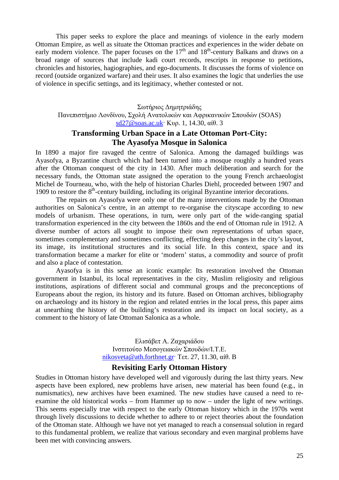This paper seeks to explore the place and meanings of violence in the early modern Ottoman Empire, as well as situate the Ottoman practices and experiences in the wider debate on early modern violence. The paper focuses on the  $17<sup>th</sup>$  and  $18<sup>th</sup>$ -century Balkans and draws on a broad range of sources that include kadi court records, rescripts in response to petitions, chronicles and histories, hagiographies, and ego-documents. It discusses the forms of violence on record (outside organized warfare) and their uses. It also examines the logic that underlies the use of violence in specific settings, and its legitimacy, whether contested or not.

#### Σωτήριος Δημητριάδης

Πανεπιστήμιο Λονδίνου, Σχολή Ανατολικών και Αφρικανικών Σπουδών (SOAS) sd27@soas.ac.uk· Κυρ. 1, 14.30, αίθ. 3

#### **Transforming Urban Space in a Late Ottoman Port-City: The Ayasofya Mosque in Salonica**

In 1890 a major fire ravaged the centre of Salonica. Among the damaged buildings was Ayasofya, a Byzantine church which had been turned into a mosque roughly a hundred years after the Ottoman conquest of the city in 1430. After much deliberation and search for the necessary funds, the Ottoman state assigned the operation to the young French archaeologist Michel de Tourneau, who, with the help of historian Charles Diehl, proceeded between 1907 and 1909 to restore the  $8<sup>th</sup>$ -century building, including its original Byzantine interior decorations.

The repairs on Ayasofya were only one of the many interventions made by the Ottoman authorities on Salonica's centre, in an attempt to re-organise the cityscape according to new models of urbanism. These operations, in turn, were only part of the wide-ranging spatial transformation experienced in the city between the 1860s and the end of Ottoman rule in 1912. A diverse number of actors all sought to impose their own representations of urban space, sometimes complementary and sometimes conflicting, effecting deep changes in the city's layout, its image, its institutional structures and its social life. In this context, space and its transformation became a marker for elite or 'modern' status, a commodity and source of profit and also a place of contestation.

Ayasofya is in this sense an iconic example: Its restoration involved the Ottoman government in Istanbul, its local representatives in the city, Muslim religiosity and religious institutions, aspirations of different social and communal groups and the preconceptions of Europeans about the region, its history and its future. Based on Ottoman archives, bibliography on archaeology and its history in the region and related entries in the local press, this paper aims at unearthing the history of the building's restoration and its impact on local society, as a comment to the history of late Ottoman Salonica as a whole.

> Ελισάβετ Α. Ζαχαριάδου Ινστιτούτο Μεσογειακών Σπουδών/Ι.Τ.Ε. nikosveta@ath.forthnet.gr· Τετ. 27, 11.30, αίθ. B

#### **Revisiting Early Ottoman History**

Studies in Ottoman history have developed well and vigorously during the last thirty years. New aspects have been explored, new problems have arisen, new material has been found (e.g., in numismatics), new archives have been examined. The new studies have caused a need to reexamine the old historical works – from Hammer up to now – under the light of new writings. This seems especially true with respect to the early Ottoman history which in the 1970s went through lively discussions to decide whether to adhere to or reject theories about the foundation of the Ottoman state. Although we have not yet managed to reach a consensual solution in regard to this fundamental problem, we realize that various secondary and even marginal problems have been met with convincing answers.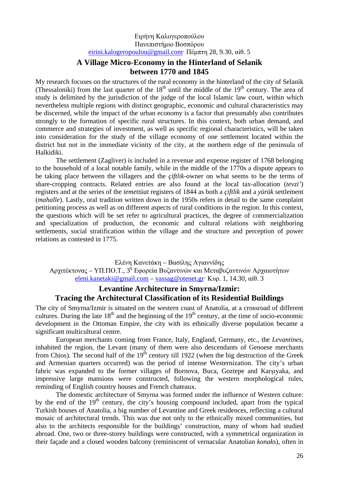#### Ειρήνη Καλογεροπούλου Πανεπιστήμιο Βοσπόρου eirini.kalogeropoulou@gmail.com· Πέμπτη 28, 9.30, αίθ. 5

# **A Village Micro-Economy in the Hinterland of Selanik between 1770 and 1845**

My research focuses on the structures of the rural economy in the hinterland of the city of Selanik (Thessaloniki) from the last quarter of the  $18<sup>th</sup>$  until the middle of the  $19<sup>th</sup>$  century. The area of study is delimited by the jurisdiction of the judge of the local Islamic law court, within which nevertheless multiple regions with distinct geographic, economic and cultural characteristics may be discerned, while the impact of the urban economy is a factor that presumably also contributes strongly to the formation of specific rural structures. In this context, both urban demand, and commerce and strategies of investment, as well as specific regional characteristics, will be taken into consideration for the study of the village economy of one settlement located within the district but not in the immediate vicinity of the city, at the northern edge of the peninsula of Halkidiki.

The settlement (Zagliver) is included in a revenue and expense register of 1768 belonging to the household of a local notable family, while in the middle of the 1770s a dispute appears to be taking place between the villagers and the *çiftlik*-owner on what seems to be the terms of share-cropping contracts. Related entries are also found at the local tax-allocation (*tevzi'*) registers and at the series of the *temettüat* registers of 1844 as both a *çiftlik* and a *yürük* settlement (*mahalle*). Lastly, oral tradition written down in the 1950s refers in detail to the same complaint petitioning process as well as on different aspects of rural conditions in the region. In this context, the questions which will be set refer to agricultural practices, the degree of commercialization and specialization of production, the economic and cultural relations with neighboring settlements, social stratification within the village and the structure and perception of power relations as contested in 1775.

Ελένη Κανετάκη – Βασίλης Αγιαννίδης Αρχιτέκτονας – ΥΠ.ΠΟ.Τ., 3<sup>η</sup> Εφορεία Βυζαντινών και Μεταβυζαντινών Αρχαιοτήτων eleni.kanetaki@gmail.com – vassag@otenet.gr· Κυρ. 1, 14.30, αίθ. 3

# **Levantine Architecture in Smyrna/Izmir: Tracing the Architectural Classification of its Residential Buildings**

The city of Smyrna/Izmir is situated on the western coast of Anatolia, at a crossroad of different cultures. During the late  $18<sup>th</sup>$  and the beginning of the  $19<sup>th</sup>$  century, at the time of socio-economic development in the Ottoman Empire, the city with its ethnically diverse population became a significant multicultural centre.

European merchants coming from France, Italy, England, Germany, etc., the *Levantines*, inhabited the region, the Levant (many of them were also descendants of Genoese merchants from Chios). The second half of the  $19<sup>th</sup>$  century till 1922 (when the big destruction of the Greek and Armenian quarters occurred) was the period of intense Westernization. The city's urban fabric was expanded to the former villages of Bornova, Buca, Goztepe and Karşıyaka, and impressive large mansions were constructed, following the western morphological rules, reminding of English country houses and French chateaux.

The domestic architecture of Smyrna was formed under the influence of Western culture: by the end of the  $19<sup>th</sup>$  century, the city's housing compound included, apart from the typical Turkish houses of Anatolia, a big number of Levantine and Greek residences, reflecting a cultural mosaic of architectural trends. This was due not only to the ethnically mixed communities, but also to the architects responsible for the buildings' construction, many of whom had studied abroad. One, two or three-storey buildings were constructed, with a symmetrical organization in their façade and a closed wooden balcony (reminiscent of vernacular Anatolian *konak*s), often in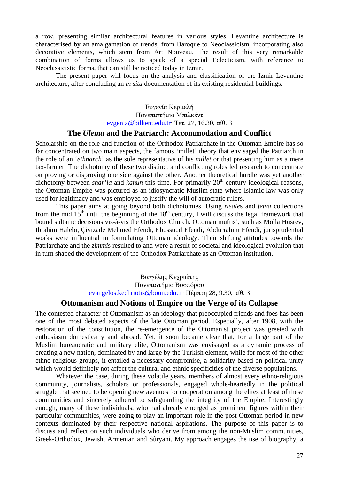a row, presenting similar architectural features in various styles. Levantine architecture is characterised by an amalgamation of trends, from Baroque to Neoclassicism, incorporating also decorative elements, which stem from Art Nouveau. The result of this very remarkable combination of forms allows us to speak of a special Eclecticism, with reference to Neoclassicistic forms, that can still be noticed today in Izmir.

The present paper will focus on the analysis and classification of the Izmir Levantine architecture, after concluding an *in situ* documentation of its existing residential buildings.

> Ευγενία Κερμελή Πανεπιστήμιο Μπιλκέντ evgenia@bilkent.edu.tr· Τετ. 27, 16.30, αίθ. 3

#### **The** *Ulema* **and the Patriarch: Accommodation and Conflict**

Scholarship on the role and function of the Orthodox Patriarchate in the Ottoman Empire has so far concentrated on two main aspects, the famous 'millet' theory that envisaged the Patriarch in the role of an '*ethnarch*' as the sole representative of his *millet* or that presenting him as a mere tax-farmer. The dichotomy of these two distinct and conflicting roles led research to concentrate on proving or disproving one side against the other. Another theoretical hurdle was yet another dichotomy between *shar'ia* and *kanun* this time. For primarily 20<sup>th</sup>-century ideological reasons, the Ottoman Empire was pictured as an idiosyncratic Muslim state where Islamic law was only used for legitimacy and was employed to justify the will of autocratic rulers.

This paper aims at going beyond both dichotomies. Using *risale*s and *fetva* collections from the mid  $15<sup>th</sup>$  until the beginning of the  $18<sup>th</sup>$  century, I will discuss the legal framework that bound sultanic decisions vis-à-vis the Orthodox Church. Ottoman muftis', such as Molla Husrev, Ibrahim Halebi, Çivizade Mehmed Efendi, Ebussuud Efendi, Abdurrahim Efendi, jurisprudential works were influential in formulating Ottoman ideology. Their shifting attitudes towards the Patriarchate and the *zimmi*s resulted to and were a result of societal and ideological evolution that in turn shaped the development of the Orthodox Patriarchate as an Ottoman institution.

> Βαγγέλης Κεχριώτης Πανεπιστήμιο Βοσπόρου evangelos.kechriotis@boun.edu.tr· Πέμπτη 28, 9.30, αίθ. 3

#### **Ottomanism and Notions of Empire on the Verge of its Collapse**

The contested character of Ottomanism as an ideology that preoccupied friends and foes has been one of the most debated aspects of the late Ottoman period. Especially, after 1908, with the restoration of the constitution, the re-emergence of the Ottomanist project was greeted with enthusiasm domestically and abroad. Yet, it soon became clear that, for a large part of the Muslim bureaucratic and military elite, Ottomanism was envisaged as a dynamic process of creating a new nation, dominated by and large by the Turkish element, while for most of the other ethno-religious groups, it entailed a necessary compromise, a solidarity based on political unity which would definitely not affect the cultural and ethnic specificities of the diverse populations.

Whatever the case, during these volatile years, members of almost every ethno-religious community, journalists, scholars or professionals, engaged whole-heartedly in the political struggle that seemed to be opening new avenues for cooperation among the elites at least of these communities and sincerely adhered to safeguarding the integrity of the Empire. Interestingly enough, many of these individuals, who had already emerged as prominent figures within their particular communities, were going to play an important role in the post-Ottoman period in new contexts dominated by their respective national aspirations. The purpose of this paper is to discuss and reflect on such individuals who derive from among the non-Muslim communities, Greek-Orthodox, Jewish, Armenian and Sûryani. My approach engages the use of biography, a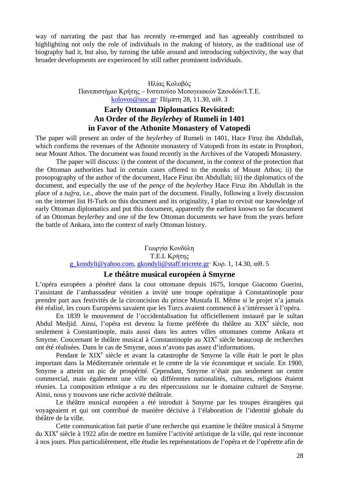way of narrating the past that has recently re-emerged and has agreeably contributed to highlighting not only the role of individuals in the making of history, as the traditional use of biography had it, but also, by turning the table around and introducing subjectivity, the way that broader developments are experienced by still rather prominent individuals.

> Ηλίας Κολοβός Πανεπιστήμιο Κρήτης – Ινστιτούτο Μεσογειακών Σπουδών/Ι.Τ.Ε. kolovos@uoc.gr· Πέμπτη 28, 11.30, αίθ. 3

# **Early Ottoman Diplomatics Revisited: An Order of the** *Beylerbey* **of Rumeli in 1401 in Favor of the Athonite Monastery of Vatopedi**

The paper will present an order of the *beylerbey* of Rumeli in 1401, Hace Firuz ibn Abdullah, which confirms the revenues of the Athonite monastery of Vatopedi from its estate in Prosphori, near Mount Athos. The document was found recently in the Archives of the Vatopedi Monastery.

The paper will discuss: i) the content of the document, in the context of the protection that the Ottoman authorities had in certain cases offered to the monks of Mount Athos; ii) the prosopography of the author of the document, Hace Firuz ibn Abdullah; iii) the diplomatics of the document, and especially the use of the *pençe* of the *beylerbey* Hace Firuz ibn Abdullah in the place of a *tuğra*, i.e., above the main part of the document. Finally, following a lively discussion on the internet list H-Turk on this document and its originality, I plan to revisit our knowledge of early Ottoman diplomatics and put this document, apparently the earliest known so far document of an Ottoman *beylerbey* and one of the few Ottoman documents we have from the years before the battle of Ankara, into the context of early Ottoman history.

> Γεωργία Κονδύλη T.E.I. Κρήτης g\_kondyli@yahoo.com, gkondyli@staff.teicrete.gr· Κυρ. 1, 14.30, αίθ. 5

#### **Le théâtre musical européen à Smyrne**

L'opéra européen a pénétré dans la cour ottomane depuis 1675, lorsque Giacomo Guerini, l'assistant de l'ambassadeur vénitien a invité une troupe opératique à Constantinople pour prendre part aux festivités de la circoncision du prince Mustafa II. Même si le projet n'a jamais été réalisé, les cours Européens savaient que les Turcs avaient commencé à s'intéresser à l'opéra.

En 1839 le mouvement de l'occidentalisation fut officiellement instauré par le sultan Abdul Medjid. Ainsi, l'opéra est devenu la forme préférée du théâtre au XIX<sup>e</sup> siècle, non seulement à Constantinople, mais aussi dans les autres villes ottomanes comme Ankara et Smyrne. Concernant le théâtre musical à Constantinople au  $XIX<sup>e</sup>$  siècle beaucoup de recherches ont été réalisées. Dans le cas de Smyrne, nous n'avons pas assez d'informations.

Pendant le XIX<sup>e</sup> siècle et avant la catastrophe de Smyrne la ville était le port le plus important dans la Méditerranée orientale et le centre de la vie économique et sociale. En 1900, Smyrne a atteint un pic de prospérité. Cependant, Smyrne n'était pas seulement un centre commercial, mais également une ville où différentes nationalités, cultures, religions étaient réunies. La composition ethnique a eu des répercussions sur le domaine culturel de Smyrne. Ainsi, nous y trouvons une riche activité théâtrale.

Le théâtre musical européen a été introduit à Smyrne par les troupes étrangères qui voyageaient et qui ont contribué de manière décisive à l'élaboration de l'identité globale du théâtre de la ville.

Cette communication fait partie d'une recherche qui examine le théâtre musical à Smyrne du XIX<sup>e</sup> siècle à 1922 afin de mettre en lumière l'activité artistique de la ville, qui reste inconnue à nos jours. Plus particulièrement, elle étudie les représentations de l'opéra et de l'opérette afin de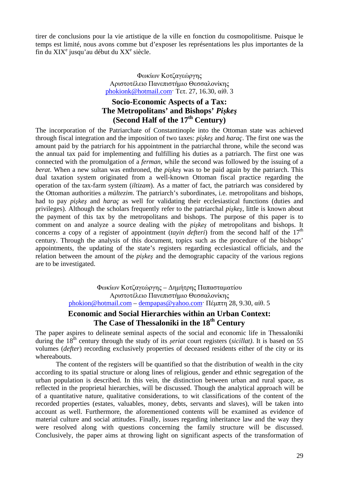tirer de conclusions pour la vie artistique de la ville en fonction du cosmopolitisme. Puisque le temps est limité, nous avons comme but d'exposer les représentations les plus importantes de la fin du  $XIX<sup>e</sup>$  jusqu'au début du  $XX<sup>e</sup>$  siècle.

> Φωκίων Κοτζαγεώργης Αριστοτέλειο Πανεπιστήμιο Θεσσαλονίκης phokionk@hotmail.com· Τετ. 27, 16.30, αίθ. 3

# **Socio-Economic Aspects of a Tax: The Metropolitans' and Bishops'** *Pişkeş* **(Second Half of the 17th Century)**

The incorporation of the Patriarchate of Constantinople into the Ottoman state was achieved through fiscal integration and the imposition of two taxes: *pişkeş* and *haraç*. The first one was the amount paid by the patriarch for his appointment in the patriarchal throne, while the second was the annual tax paid for implementing and fulfilling his duties as a patriarch. The first one was connected with the promulgation of a *ferman*, while the second was followed by the issuing of a *berat*. When a new sultan was enthroned, the *pişkeş* was to be paid again by the patriarch. This dual taxation system originated from a well-known Ottoman fiscal practice regarding the operation of the tax-farm system (*iltizam*). As a matter of fact, the patriarch was considered by the Ottoman authorities a *mültezim*. The patriarch's subordinates, i.e. metropolitans and bishops, had to pay *pişkeş* and *haraç* as well for validating their ecclesiastical functions (duties and privileges). Although the scholars frequently refer to the patriarchal *pişkeş*, little is known about the payment of this tax by the metropolitans and bishops. The purpose of this paper is to comment on and analyze a source dealing with the *pişkeş* of metropolitans and bishops. It concerns a copy of a register of appointment *(tayin defteri)* from the second half of the  $17<sup>th</sup>$ century. Through the analysis of this document, topics such as the procedure of the bishops' appointments, the updating of the state's registers regarding ecclesiastical officials, and the relation between the amount of the *pişkeş* and the demographic capacity of the various regions are to be investigated.

> Φωκίων Κοτζαγεώργης – Δημήτρης Παπασταματίου Αριστοτέλειο Πανεπιστήμιο Θεσσαλονίκης phokion@hotmail.com – dempapas@yahoo.com· Πέμπτη 28, 9.30, αίθ. 5 **Economic and Social Hierarchies within an Urban Context:**

# **The Case of Thessaloniki in the 18th Century**

The paper aspires to delineate seminal aspects of the social and economic life in Thessaloniki during the 18<sup>th</sup> century through the study of its *seriat* court registers *(sicillat)*. It is based on 55 volumes (*defter*) recording exclusively properties of deceased residents either of the city or its whereabouts.

The content of the registers will be quantified so that the distribution of wealth in the city according to its spatial structure or along lines of religious, gender and ethnic segregation of the urban population is described. In this vein, the distinction between urban and rural space, as reflected in the proprietal hierarchies, will be discussed. Though the analytical approach will be of a quantitative nature, qualitative considerations, to wit classifications of the content of the recorded properties (estates, valuables, money, debts, servants and slaves), will be taken into account as well. Furthermore, the aforementioned contents will be examined as evidence of material culture and social attitudes. Finally, issues regarding inheritance law and the way they were resolved along with questions concerning the family structure will be discussed. Conclusively, the paper aims at throwing light on significant aspects of the transformation of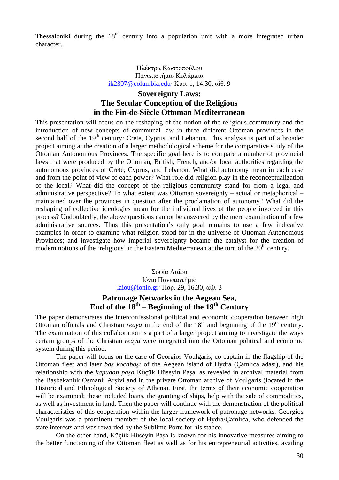Thessaloniki during the  $18<sup>th</sup>$  century into a population unit with a more integrated urban character.

#### Ηλέκτρα Κωστοπούλου Πανεπιστήμιο Κολάμπια ik2307@columbia.edu· Κυρ. 1, 14.30, αίθ. 9

# **Sovereignty Laws: The Secular Conception of the Religious in the Fin-de-Siècle Ottoman Mediterranean**

This presentation will focus on the reshaping of the notion of the religious community and the introduction of new concepts of communal law in three different Ottoman provinces in the second half of the 19<sup>th</sup> century: Crete, Cyprus, and Lebanon. This analysis is part of a broader project aiming at the creation of a larger methodological scheme for the comparative study of the Ottoman Autonomous Provinces. The specific goal here is to compare a number of provincial laws that were produced by the Ottoman, British, French, and/or local authorities regarding the autonomous provinces of Crete, Cyprus, and Lebanon. What did autonomy mean in each case and from the point of view of each power? What role did religion play in the reconceptualization of the local? What did the concept of the religious community stand for from a legal and administrative perspective? To what extent was Ottoman sovereignty – actual or metaphorical – maintained over the provinces in question after the proclamation of autonomy? What did the reshaping of collective ideologies mean for the individual lives of the people involved in this process? Undoubtedly, the above questions cannot be answered by the mere examination of a few administrative sources. Thus this presentation's only goal remains to use a few indicative examples in order to examine what religion stood for in the universe of Ottoman Autonomous Provinces; and investigate how imperial sovereignty became the catalyst for the creation of modern notions of the 'religious' in the Eastern Mediterranean at the turn of the  $20<sup>th</sup>$  century.

> Σοφία Λαΐου Ιόνιο Πανεπιστήμιο laiou@ionio.gr· Παρ. 29, 16.30, αίθ. 3

# **Patronage Networks in the Aegean Sea,**  End of the 18<sup>th</sup> – Beginning of the 19<sup>th</sup> Century

The paper demonstrates the interconfessional political and economic cooperation between high Ottoman officials and Christian *reaya* in the end of the  $18<sup>th</sup>$  and beginning of the  $19<sup>th</sup>$  century. The examination of this collaboration is a part of a larger project aiming to investigate the ways certain groups of the Christian *reaya* were integrated into the Ottoman political and economic system during this period.

The paper will focus on the case of Georgios Voulgaris, co-captain in the flagship of the Ottoman fleet and later *baş kocabaşı* of the Aegean island of Hydra (Çamlıca adası), and his relationship with the *kapudan paşa* Küçük Hüseyin Paşa, as revealed in archival material from the Başbakanlık Osmanlı Arşivi and in the private Ottoman archive of Voulgaris (located in the Historical and Ethnological Society of Athens). First, the terms of their economic cooperation will be examined; these included loans, the granting of ships, help with the sale of commodities, as well as investment in land. Then the paper will continue with the demonstration of the political characteristics of this cooperation within the larger framework of patronage networks. Georgios Voulgaris was a prominent member of the local society of Hydra/Çamlıca, who defended the state interests and was rewarded by the Sublime Porte for his stance.

On the other hand, Küçük Hüseyin Paşa is known for his innovative measures aiming to the better functioning of the Ottoman fleet as well as for his entrepreneurial activities, availing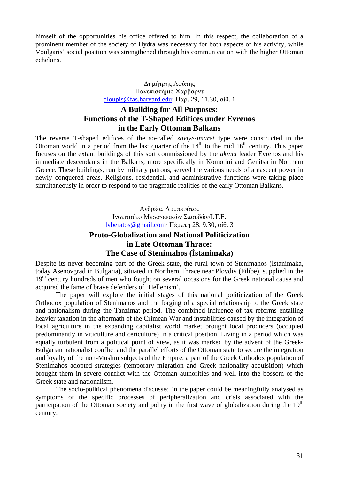himself of the opportunities his office offered to him. In this respect, the collaboration of a prominent member of the society of Hydra was necessary for both aspects of his activity, while Voulgaris' social position was strengthened through his communication with the higher Ottoman echelons.

#### Δημήτρης Λούπης Πανεπιστήμιο Χάρβαρντ dloupis@fas.harvard.edu· Παρ. 29, 11.30, αίθ. 1

# **A Building for All Purposes: Functions of the T-Shaped Edifices under Evrenos in the Early Ottoman Balkans**

The reverse T-shaped edifices of the so-called *zaviye*-*imaret* type were constructed in the Ottoman world in a period from the last quarter of the  $14<sup>th</sup>$  to the mid  $16<sup>th</sup>$  century. This paper focuses on the extant buildings of this sort commissioned by the *akıncı* leader Evrenos and his immediate descendants in the Balkans, more specifically in Komotini and Genitsa in Northern Greece. These buildings, run by military patrons, served the various needs of a nascent power in newly conquered areas. Religious, residential, and administrative functions were taking place simultaneously in order to respond to the pragmatic realities of the early Ottoman Balkans.

> Ανδρέας Λυμπεράτος Ινστιτούτο Μεσογειακών Σπουδών/Ι.Τ.Ε. lyberatos@gmail.com· Πέμπτη 28, 9.30, αίθ. 3

# **Proto-Globalization and National Politicization in Late Ottoman Thrace: The Case of Stenimahos (İstanimaka)**

Despite its never becoming part of the Greek state, the rural town of Stenimahos (İstanimaka, today Asenovgrad in Bulgaria), situated in Northern Thrace near Plovdiv (Filibe), supplied in the 19<sup>th</sup> century hundreds of men who fought on several occasions for the Greek national cause and acquired the fame of brave defenders of 'Hellenism'.

The paper will explore the initial stages of this national politicization of the Greek Orthodox population of Stenimahos and the forging of a special relationship to the Greek state and nationalism during the Tanzimat period. The combined influence of tax reforms entailing heavier taxation in the aftermath of the Crimean War and instabilities caused by the integration of local agriculture in the expanding capitalist world market brought local producers (occupied predominantly in viticulture and cericulture) in a critical position. Living in a period which was equally turbulent from a political point of view, as it was marked by the advent of the Greek-Bulgarian nationalist conflict and the parallel efforts of the Ottoman state to secure the integration and loyalty of the non-Muslim subjects of the Empire, a part of the Greek Orthodox population of Stenimahos adopted strategies (temporary migration and Greek nationality acquisition) which brought them in severe conflict with the Ottoman authorities and well into the bossom of the Greek state and nationalism.

The socio-political phenomena discussed in the paper could be meaningfully analysed as symptoms of the specific processes of peripheralization and crisis associated with the participation of the Ottoman society and polity in the first wave of globalization during the  $19<sup>th</sup>$ century.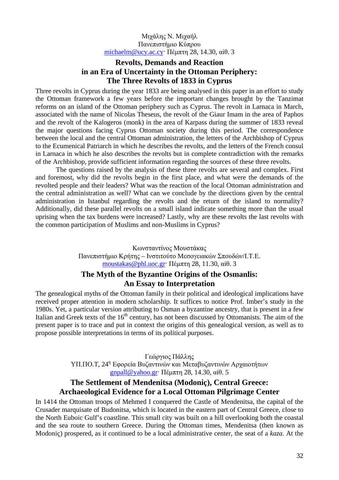Μιχάλης Ν. Μιχαήλ Πανεπιστήμιο Κύπρου michaelm@ucy.ac.cy· Πέμπτη 28, 14.30, αίθ. 3

# **Revolts, Demands and Reaction in an Era of Uncertainty in the Ottoman Periphery: The Three Revolts of 1833 in Cyprus**

Three revolts in Cyprus during the year 1833 are being analysed in this paper in an effort to study the Ottoman framework a few years before the important changes brought by the Tanzimat reforms on an island of the Ottoman periphery such as Cyprus. The revolt in Larnaca in March, associated with the name of Nicolas Theseus, the revolt of the Giaur Imam in the area of Paphos and the revolt of the Kalogeros (monk) in the area of Karpass during the summer of 1833 reveal the major questions facing Cyprus Ottoman society during this period. The correspondence between the local and the central Ottoman administration, the letters of the Archbishop of Cyprus to the Ecumenical Patriarch in which he describes the revolts, and the letters of the French consul in Larnaca in which he also describes the revolts but in complete contradiction with the remarks of the Archbishop, provide sufficient information regarding the sources of these three revolts.

The questions raised by the analysis of these three revolts are several and complex. First and foremost, why did the revolts begin in the first place, and what were the demands of the revolted people and their leaders? What was the reaction of the local Ottoman administration and the central administration as well? What can we conclude by the directions given by the central administration in Istanbul regarding the revolts and the return of the island to normality? Additionally, did these parallel revolts on a small island indicate something more than the usual uprising when the tax burdens were increased? Lastly, why are these revolts the last revolts with the common participation of Muslims and non-Muslims in Cyprus?

> Κωνσταντίνος Μουστάκας Πανεπιστήμιο Κρήτης – Ινστιτούτο Μεσογειακών Σπουδών/Ι.Τ.Ε. moustakas@phl.uoc.gr· Πέμπτη 28, 11.30, αίθ. 3

# **The Myth of the Byzantine Origins of the Osmanlis: An Essay to Interpretation**

The genealogical myths of the Ottoman family in their political and ideological implications have received proper attention in modern scholarship. It suffices to notice Prof. Imber's study in the 1980s. Yet, a particular version attributing to Osman a byzantine ancestry, that is present in a few Italian and Greek texts of the 16<sup>th</sup> century, has not been discussed by Ottomanists. The aim of the present paper is to trace and put in context the origins of this genealogical version, as well as to propose possible interpretations in terms of its political purposes.

> Γεώργιος Πάλλης ΥΠ.ΠΟ.Τ, 24<sup>η</sup> Εφορεία Βυζαντινών και Μεταβυζαντινών Αρχαιοτήτων gnpall@yahoo.gr· Πέμπτη 28, 14.30, αίθ. 5

# **The Settlement of Mendenitsa (Modoniç), Central Greece: Archaeological Evidence for a Local Ottoman Pilgrimage Center**

In 1414 the Ottoman troops of Mehmed I conquered the Castle of Mendenitsa, the capital of the Crusader marquisate of Budonitsa, which is located in the eastern part of Central Greece, close to the North Euboic Gulf's coastline. This small city was built on a hill overlooking both the coastal and the sea route to southern Greece. During the Ottoman times, Mendenitsa (then known as Modoniç) prospered, as it continued to be a local administrative center, the seat of a *kaza*. At the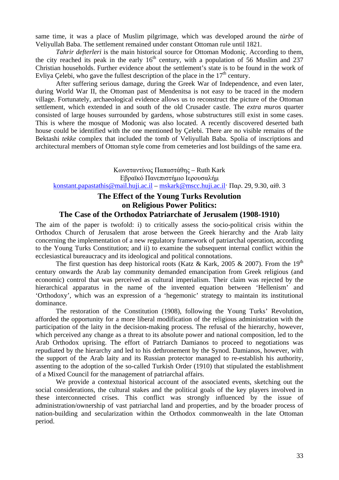same time, it was a place of Muslim pilgrimage, which was developed around the *türbe* of Veliyullah Baba. The settlement remained under constant Ottoman rule until 1821.

*Tahrir defterleri* is the main historical source for Ottoman Modoniç. According to them, the city reached its peak in the early  $16<sup>th</sup>$  century, with a population of 56 Muslim and 237 Christian households. Further evidence about the settlement's state is to be found in the work of Evliya Çelebi, who gave the fullest description of the place in the  $17<sup>th</sup>$  century.

After suffering serious damage, during the Greek War of Independence, and even later, during World War II, the Ottoman past of Mendenitsa is not easy to be traced in the modern village. Fortunately, archaeological evidence allows us to reconstruct the picture of the Ottoman settlement, which extended in and south of the old Crusader castle. The *extra muros* quarter consisted of large houses surrounded by gardens, whose substructures still exist in some cases. This is where the mosque of Modoniç was also located. A recently discovered deserted bath house could be identified with the one mentioned by Çelebi. There are no visible remains of the Bektashi *tekke* complex that included the tomb of Veliyullah Baba. Spolia of inscriptions and architectural members of Ottoman style come from cemeteries and lost buildings of the same era.

Κωνσταντίνος Παπαστάθης – Ruth Kark Εβραϊκό Πανεπιστήμιο Ιερουσαλήμ konstant.papastathis@mail.huji.ac.il – mskark@mscc.huji.ac.il· Παρ. 29, 9.30, αίθ. 3

# **The Effect of the Young Turks Revolution on Religious Power Politics:**

#### **The Case of the Orthodox Patriarchate of Jerusalem (1908-1910)**

The aim of the paper is twofold: i) to critically assess the socio-political crisis within the Orthodox Church of Jerusalem that arose between the Greek hierarchy and the Arab laity concerning the implementation of a new regulatory framework of patriarchal operation, according to the Young Turks Constitution; and ii) to examine the subsequent internal conflict within the ecclesiastical bureaucracy and its ideological and political connotations.

The first question has deep historical roots (Katz & Kark, 2005 & 2007). From the 19<sup>th</sup> century onwards the Arab lay community demanded emancipation from Greek religious (and economic) control that was perceived as cultural imperialism. Their claim was rejected by the hierarchical apparatus in the name of the invented equation between 'Hellenism' and 'Orthodoxy', which was an expression of a 'hegemonic' strategy to maintain its institutional dominance.

The restoration of the Constitution (1908), following the Young Turks' Revolution, afforded the opportunity for a more liberal modification of the religious administration with the participation of the laity in the decision-making process. The refusal of the hierarchy, however, which perceived any change as a threat to its absolute power and national composition, led to the Arab Orthodox uprising. The effort of Patriarch Damianos to proceed to negotiations was repudiated by the hierarchy and led to his dethronement by the Synod. Damianos, however, with the support of the Arab laity and its Russian protector managed to re-establish his authority, assenting to the adoption of the so-called Turkish Order (1910) that stipulated the establishment of a Mixed Council for the management of patriarchal affairs.

We provide a contextual historical account of the associated events, sketching out the social considerations, the cultural stakes and the political goals of the key players involved in these interconnected crises. This conflict was strongly influenced by the issue of administration/ownership of vast patriarchal land and properties, and by the broader process of nation-building and secularization within the Orthodox commonwealth in the late Ottoman period.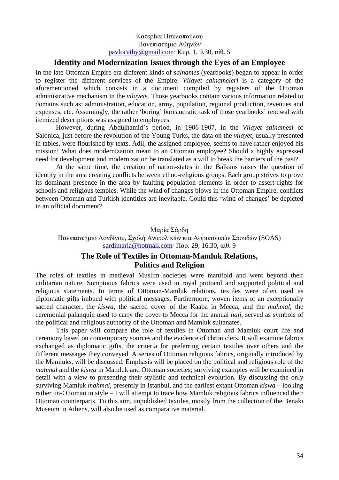#### Κατερίνα Παυλοπούλου Πανεπιστήμιο Αθηνών pavlocathy@gmail.com· Κυρ. 1, 9.30, αίθ. 5

# **Identity and Modernization Issues through the Eyes of an Employee**

In the late Ottoman Empire era different kinds of *salname*s (yearbooks) began to appear in order to register the different services of the Empire. *Vilayet salnameleri* is a category of the aforementioned which consists in a document compiled by registers of the Ottoman administrative mechanism in the *vilayet*s. Those yearbooks contain various information related to domains such as: administration, education, army, population, regional production, revenues and expenses, etc. Assumingly, the rather 'boring' bureaucratic task of those yearbooks' renewal with itemized descriptions was assigned to employees.

However, during Abdülhamid's period, in 1906-1907, in the *Vilayet salnamesi* of Salonica, just before the revolution of the Young Turks, the data on the *vilayet,* usually presented in tables, were flourished by texts. Adil, the assigned employee, seems to have rather enjoyed his mission! What does modernization mean to an Ottoman employee? Should a highly expressed need for development and modernization be translated as a will to break the barriers of the past?

At the same time, the creation of nation-states in the Balkans raises the question of identity in the area creating conflicts between ethno-religious groups. Each group strives to prove its dominant presence in the area by faulting population elements in order to assert rights for schools and religious temples. While the wind of changes blows in the Ottoman Empire, conflicts between Ottoman and Turkish identities are inevitable. Could this 'wind of changes' be depicted in an official document?

#### Μαρία Σάρδη

Πανεπιστήμιο Λονδίνου, Σχολή Ανατολικών και Αφρικανικών Σπουδών (SOAS) sardimaria@hotmail.com· Παρ. 29, 16.30, αίθ. 9

# **The Role of Textiles in Ottoman-Mamluk Relations, Politics and Religion**

The roles of textiles in medieval Muslim societies were manifold and went beyond their utilitarian nature. Sumptuous fabrics were used in royal protocol and supported political and religious statements. In terms of Ottoman-Mamluk relations, textiles were often used as diplomatic gifts imbued with political messages. Furthermore, woven items of an exceptionally sacred character, the *kiswa*, the sacred cover of the Kaaba in Mecca, and the *mahmal*, the ceremonial palanquin used to carry the cover to Mecca for the annual *hajj*, served as symbols of the political and religious authority of the Ottoman and Mamluk sultanates.

This paper will compare the role of textiles in Ottoman and Mamluk court life and ceremony based on contemporary sources and the evidence of chroniclers. It will examine fabrics exchanged as diplomatic gifts, the criteria for preferring certain textiles over others and the different messages they conveyed. A series of Ottoman religious fabrics, originally introduced by the Mamluks, will be discussed. Emphasis will be placed on the political and religious role of the *mahmal* and the *kiswa* in Mamluk and Ottoman societies; surviving examples will be examined in detail with a view to presenting their stylistic and technical evolution. By discussing the only surviving Mamluk *mahmal*, presently in Istanbul, and the earliest extant Ottoman *kiswa* – looking rather un-Ottoman in style – I will attempt to trace how Mamluk religious fabrics influenced their Ottoman counterparts. To this aim, unpublished textiles, mostly from the collection of the Benaki Museum in Athens, will also be used as comparative material.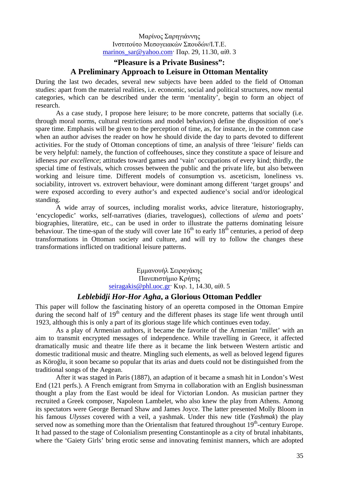Μαρίνος Σαρηγιάννης Ινστιτούτο Μεσογειακών Σπουδών/Ι.Τ.Ε. marinos\_sar@yahoo.com· Παρ. 29, 11.30, αίθ. 3

# **"Pleasure is a Private Business": A Preliminary Approach to Leisure in Ottoman Mentality**

During the last two decades, several new subjects have been added to the field of Ottoman studies: apart from the material realities, i.e. economic, social and political structures, now mental categories, which can be described under the term 'mentality', begin to form an object of research.

As a case study, I propose here leisure; to be more concrete, patterns that socially (i.e. through moral norms, cultural restrictions and model behaviors) define the disposition of one's spare time. Emphasis will be given to the perception of time, as, for instance, in the common case when an author advises the reader on how he should divide the day to parts devoted to different activities. For the study of Ottoman conceptions of time, an analysis of three 'leisure' fields can be very helpful: namely, the function of coffeehouses, since they constitute a space of leisure and idleness *par excellence*; attitudes toward games and 'vain' occupations of every kind; thirdly, the special time of festivals, which crosses between the public and the private life, but also between working and leisure time. Different models of consumption vs. asceticism, loneliness vs. sociability, introvert vs. extrovert behaviour, were dominant among different 'target groups' and were exposed according to every author's and expected audience's social and/or ideological standing.

A wide array of sources, including moralist works, advice literature, historiography, 'encyclopedic' works, self-narratives (diaries, travelogues), collections of *ulema* and poets' biographies, literatüre, etc., can be used in order to illustrate the patterns dominating leisure behaviour. The time-span of the study will cover late  $16<sup>th</sup>$  to early  $18<sup>th</sup>$  centuries, a period of deep transformations in Ottoman society and culture, and will try to follow the changes these transformations inflicted on traditional leisure patterns.

> Εμμανουήλ Σειραγάκης Πανεπιστήμιο Κρήτης seiragakis@phl.uoc.gr· Κυρ. 1, 14.30, αίθ. 5

#### *Leblebidji Hor-Hor Agha***, a Glorious Ottoman Peddler**

This paper will follow the fascinating history of an operetta composed in the Ottoman Empire during the second half of  $19<sup>th</sup>$  century and the different phases its stage life went through until 1923, although this is only a part of its glorious stage life which continues even today.

As a play of Armenian authors, it became the favorite of the Armenian 'millet' with an aim to transmit encrypted messages of independence. While travelling in Greece, it affected dramatically music and theatre life there as it became the link between Western artistic and domestic traditional music and theatre. Mingling such elements, as well as beloved legend figures as Köroğlu, it soon became so popular that its arias and duets could not be distinguished from the traditional songs of the Aegean.

After it was staged in Paris (1887), an adaption of it became a smash hit in London's West End (121 perfs.). A French emigrant from Smyrna in collaboration with an English businessman thought a play from the East would be ideal for Victorian London. As musician partner they recruited a Greek composer, Napoleon Lambelet, who also knew the play from Athens. Among its spectators were George Bernard Shaw and James Joyce. The latter presented Molly Bloom in his famous *Ulysses* covered with a veil, a yashmak. Under this new title (*Yashmak*) the play served now as something more than the Orientalism that featured throughout  $19<sup>th</sup>$ -century Europe. It had passed to the stage of Colonialism presenting Constantinople as a city of brutal inhabitants, where the 'Gaiety Girls' bring erotic sense and innovating feminist manners, which are adopted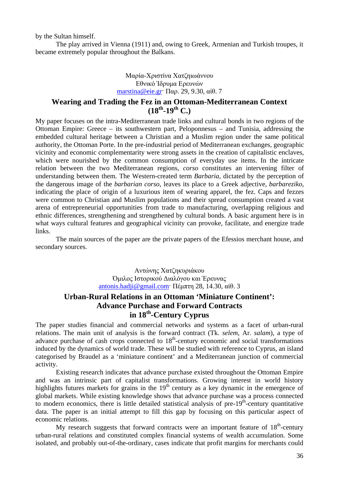by the Sultan himself.

The play arrived in Vienna (1911) and, owing to Greek, Armenian and Turkish troupes, it became extremely popular throughout the Balkans.

#### Μαρία-Χριστίνα Χατζηιωάννου Εθνικό Ίδρυμα Ερευνών marstina@eie.gr· Παρ. 29, 9.30, αίθ. 7

# **Wearing and Trading the Fez in an Ottoman-Mediterranean Context**   $(18^{th} - 19^{th} \text{ C.})$

My paper focuses on the intra-Mediterranean trade links and cultural bonds in two regions of the Ottoman Empire: Greece – its southwestern part, Peloponnesus – and Tunisia, addressing the embedded cultural heritage between a Christian and a Muslim region under the same political authority, the Ottoman Porte. In the pre-industrial period of Mediterranean exchanges, geographic vicinity and economic complementarity were strong assets in the creation of capitalistic enclaves, which were nourished by the common consumption of everyday use items. In the intricate relation between the two Mediterranean regions, *corso* constitutes an intervening filter of understanding between them. The Western-created term *Barbaria*, dictated by the perception of the dangerous image of the *barbarian corso*, leaves its place to a Greek adjective, *barbareziko*, indicating the place of origin of a luxurious item of wearing apparel, the fez. Caps and fezzes were common to Christian and Muslim populations and their spread consumption created a vast arena of entrepreneurial opportunities from trade to manufacturing, overlapping religious and ethnic differences, strengthening and strengthened by cultural bonds. A basic argument here is in what ways cultural features and geographical vicinity can provoke, facilitate, and energize trade links.

The main sources of the paper are the private papers of the Efessios merchant house, and secondary sources.

> Αντώνης Χατζηκυριάκου Όμιλος Ιστορικού Διαλόγου και Έρευνας antonis.hadji@gmail.com· Πέμπτη 28, 14.30, αίθ. 3

# **Urban-Rural Relations in an Ottoman 'Miniature Continent': Advance Purchase and Forward Contracts in 18th-Century Cyprus**

The paper studies financial and commercial networks and systems as a facet of urban-rural relations. The main unit of analysis is the forward contract (Tk. *selem*, Ar. *salam*), a type of advance purchase of cash crops connected to  $18<sup>th</sup>$ -century economic and social transformations induced by the dynamics of world trade. These will be studied with reference to Cyprus, an island categorised by Braudel as a 'miniature continent' and a Mediterranean junction of commercial activity.

Existing research indicates that advance purchase existed throughout the Ottoman Empire and was an intrinsic part of capitalist transformations. Growing interest in world history highlights futures markets for grains in the  $19<sup>th</sup>$  century as a key dynamic in the emergence of global markets. While existing knowledge shows that advance purchase was a process connected to modern economics, there is little detailed statistical analysis of  $pre-19<sup>th</sup>$ -century quantitative data. The paper is an initial attempt to fill this gap by focusing on this particular aspect of economic relations.

My research suggests that forward contracts were an important feature of  $18<sup>th</sup>$ -century urban-rural relations and constituted complex financial systems of wealth accumulation. Some isolated, and probably out-of-the-ordinary, cases indicate that profit margins for merchants could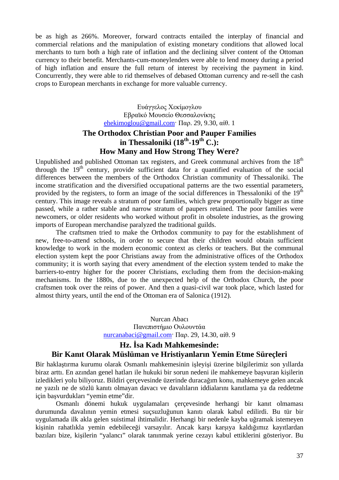be as high as 266%. Moreover, forward contracts entailed the interplay of financial and commercial relations and the manipulation of existing monetary conditions that allowed local merchants to turn both a high rate of inflation and the declining silver content of the Ottoman currency to their benefit. Merchants-cum-moneylenders were able to lend money during a period of high inflation and ensure the full return of interest by receiving the payment in kind. Concurrently, they were able to rid themselves of debased Ottoman currency and re-sell the cash crops to European merchants in exchange for more valuable currency.

> Ευάγγελος Χεκίμογλου Εβραϊκό Μουσείο Θεσσαλονίκης ehekimoglou@gmail.com· Παρ. 29, 9.30, αίθ. 1

# **The Orthodox Christian Poor and Pauper Families**  in Thessaloniki  $(18^{th} - 19^{th} C)$ : **How Many and How Strong They Were?**

Unpublished and published Ottoman tax registers, and Greek communal archives from the  $18<sup>th</sup>$ through the  $19<sup>th</sup>$  century, provide sufficient data for a quantified evaluation of the social differences between the members of the Orthodox Christian community of Thessaloniki. The income stratification and the diversified occupational patterns are the two essential parameters, provided by the registers, to form an image of the social differences in Thessaloniki of the  $19<sup>th</sup>$ century. This image reveals a stratum of poor families, which grew proportionally bigger as time passed, while a rather stable and narrow stratum of paupers retained. The poor families were newcomers, or older residents who worked without profit in obsolete industries, as the growing imports of European merchandise paralyzed the traditional guilds.

The craftsmen tried to make the Orthodox community to pay for the establishment of new, free-to-attend schools, in order to secure that their children would obtain sufficient knowledge to work in the modern economic context as clerks or teachers. But the communal election system kept the poor Christians away from the administrative offices of the Orthodox community; it is worth saying that every amendment of the election system tended to make the barriers-to-entry higher for the poorer Christians, excluding them from the decision-making mechanisms. In the 1880s, due to the unexpected help of the Orthodox Church, the poor craftsmen took over the reins of power. And then a quasi-civil war took place, which lasted for almost thirty years, until the end of the Ottoman era of Salonica (1912).

> Nurcan Abacı Πανεπιστήμιο Ουλουντάα nurcanabaci@gmail.com· Παρ. 29, 14.30, αίθ. 9

#### **Hz. İsa Kadı Mahkemesinde: Bir Kanıt Olarak Müslüman ve Hristiyanların Yemin Etme Süreçleri**

Bir haklaştırma kurumu olarak Osmanlı mahkemesinin işleyişi üzerine bilgilerimiz son yıllarda biraz arttı. En azından genel hatları ile hukuki bir sorun nedeni ile mahkemeye başvuran kişilerin izledikleri yolu biliyoruz. Bildiri çerçevesinde üzerinde duracağım konu, mahkemeye gelen ancak ne yazılı ne de sözlü kanıtı olmayan davacı ve davalıların iddialarını kanıtlama ya da reddetme için başvurdukları "yemin etme"dir.

Osmanlı dönemi hukuk uygulamaları çerçevesinde herhangi bir kanıt olmaması durumunda davalının yemin etmesi suçsuzluğunun kanıtı olarak kabul edilirdi. Bu tür bir uygulamada ilk akla gelen suistimal ihtimalidir. Herhangi bir nedenle kayba uğramak istemeyen kişinin rahatlıkla yemin edebileceği varsayılır. Ancak karşı karşıya kaldığımız kayıtlardan bazıları bize, kişilerin "yalancı" olarak tanınmak yerine cezayı kabul ettiklerini gösteriyor. Bu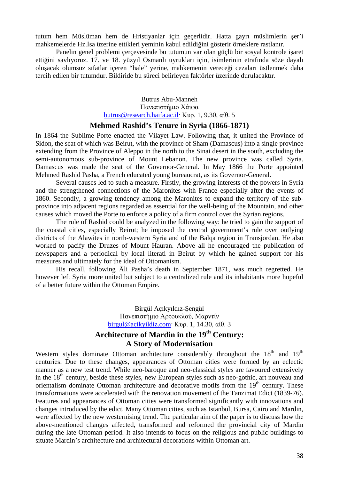tutum hem Müslüman hem de Hristiyanlar için geçerlidir. Hatta gayrı müslimlerin şer'i mahkemelerde Hz.İsa üzerine ettikleri yeminin kabul edildiğini gösterir örneklere rastlanır.

Panelin genel problemi çerçevesinde bu tutumun var olan güçlü bir sosyal kontrole işaret ettiğini savlıyoruz. 17. ve 18. yüzyıl Osmanlı uyrukları için, isimlerinin etrafında söze dayalı oluşacak olumsuz sıfatlar içeren "hale" yerine, mahkemenin vereceği cezaları üstlenmek daha tercih edilen bir tutumdur. Bildiride bu süreci belirleyen faktörler üzerinde durulacaktır.

> Butrus Abu-Manneh Πανεπιστήμιο Χάιφα butrus@research.haifa.ac.il· Κυρ. 1, 9.30, αίθ. 5

#### **Mehmed Rashid's Tenure in Syria (1866-1871)**

In 1864 the Sublime Porte enacted the Vilayet Law. Following that, it united the Province of Sidon, the seat of which was Beirut, with the province of Sham (Damascus) into a single province extending from the Province of Aleppo in the north to the Sinai desert in the south, excluding the semi-autonomous sub-province of Mount Lebanon. The new province was called Syria. Damascus was made the seat of the Governor-General. In May 1866 the Porte appointed Mehmed Rashid Pasha, a French educated young bureaucrat, as its Governor-General.

Several causes led to such a measure. Firstly, the growing interests of the powers in Syria and the strengthened connections of the Maronites with France especially after the events of 1860. Secondly, a growing tendency among the Maronites to expand the territory of the subprovince into adjacent regions regarded as essential for the well-being of the Mountain, and other causes which moved the Porte to enforce a policy of a firm control over the Syrian regions.

The rule of Rashid could be analyzed in the following way: he tried to gain the support of the coastal cities, especially Beirut; he imposed the central government's rule over outlying districts of the Alawites in north-western Syria and of the Balqa region in Transjordan. He also worked to pacify the Druzes of Mount Hauran. Above all he encouraged the publication of newspapers and a periodical by local literati in Beirut by which he gained support for his measures and ultimately for the ideal of Ottomanism.

His recall, following Āli Pasha's death in September 1871, was much regretted. He however left Syria more united but subject to a centralized rule and its inhabitants more hopeful of a better future within the Ottoman Empire.

> Birgül Açıkyıldız-Şengül Πανεπιστήμιο Αρτουκλού, Μαρντίν birgul@acikyildiz.com· Κυρ. 1, 14.30, αίθ. 3

# **Architecture of Mardin in the 19th Century: A Story of Modernisation**

Western styles dominate Ottoman architecture considerably throughout the  $18<sup>th</sup>$  and  $19<sup>th</sup>$ centuries. Due to these changes, appearances of Ottoman cities were formed by an eclectic manner as a new test trend. While neo-baroque and neo-classical styles are favoured extensively in the  $18<sup>th</sup>$  century, beside these styles, new European styles such as neo-gothic, art nouveau and orientalism dominate Ottoman architecture and decorative motifs from the  $19<sup>th</sup>$  century. These transformations were accelerated with the renovation movement of the Tanzimat Edict (1839-76). Features and appearances of Ottoman cities were transformed significantly with innovations and changes introduced by the edict. Many Ottoman cities, such as Istanbul, Bursa, Cairo and Mardin, were affected by the new westernising trend. The particular aim of the paper is to discuss how the above-mentioned changes affected, transformed and reformed the provincial city of Mardin during the late Ottoman period. It also intends to focus on the religious and public buildings to situate Mardin's architecture and architectural decorations within Ottoman art.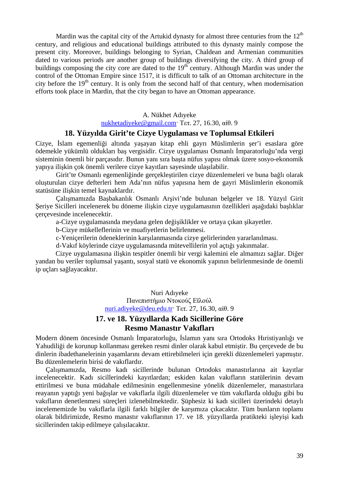Mardin was the capital city of the Artukid dynasty for almost three centuries from the  $12<sup>th</sup>$ century, and religious and educational buildings attributed to this dynasty mainly compose the present city. Moreover, buildings belonging to Syrian, Chaldean and Armenian communities dated to various periods are another group of buildings diversifying the city. A third group of buildings composing the city core are dated to the  $19<sup>th</sup>$  century. Although Mardin was under the control of the Ottoman Empire since 1517, it is difficult to talk of an Ottoman architecture in the city before the  $19<sup>th</sup>$  century. It is only from the second half of that century, when modernisation efforts took place in Mardin, that the city began to have an Ottoman appearance.

### A. Nükhet Adıyeke

nukhetadiyeke@gmail.com· Τετ. 27, 16.30, αίθ. 9

#### **18. Yüzyılda Girit'te Cizye Uygulaması ve Toplumsal Etkileri**

Cizye, İslam egemenliği altında yaşayan kitap ehli gayrı Müslimlerin şer'i esaslara göre ödemekle yükümlü oldukları baş vergisidir. Cizye uygulaması Osmanlı İmparatorluğu'nda vergi sisteminin önemli bir parçasıdır. Bunun yanı sıra başta nüfus yapısı olmak üzere sosyo-ekonomik yapıya ilişkin çok önemli verilere cizye kayıtları sayesinde ulaşılabilir.

Girit'te Osmanlı egemenliğinde gerçekleştirilen cizye düzenlemeleri ve buna bağlı olarak oluşturulan cizye defterleri hem Ada'nın nüfus yapısına hem de gayri Müslimlerin ekonomik statüsüne ilişkin temel kaynaklardır.

Çalışmamızda Başbakanlık Osmanlı Arşivi'nde bulunan belgeler ve 18. Yüzyıl Girit Şeriye Sicilleri incelenerek bu döneme ilişkin cizye uygulamasının özellikleri aşağıdaki başlıklar çerçevesinde incelenecektir.

a-Cizye uygulamasında meydana gelen değişiklikler ve ortaya çıkan şikayetler.

b-Cizye mükelleflerinin ve muafiyetlerin belirlenmesi.

c-Yeniçerilerin ödeneklerinin karşılanmasında cizye gelirlerinden yararlanılması.

d-Vakıf köylerinde cizye uygulamasında mütevellilerin yol açtığı yakınmalar.

Cizye uygulamasına ilişkin tespitler önemli bir vergi kalemini ele almamızı sağlar. Diğer yandan bu veriler toplumsal yaşantı, sosyal statü ve ekonomik yapının belirlenmesinde de önemli ip uçları sağlayacaktır.

> Nuri Adıyeke Πανεπιστήμιο Ντοκούζ Εϊλούλ nuri.adiyeke@deu.edu.tr· Τετ. 27, 16.30, αίθ. 9

### **17. ve 18. Yüzyıllarda Kadı Sicillerine Göre Resmo Manastır Vakıfları**

Modern dönem öncesinde Osmanlı İmparatorluğu, İslamın yanı sıra Ortodoks Hıristiyanlığı ve Yahudiliği de korunup kollanması gereken resmi dinler olarak kabul etmiştir. Bu çerçevede de bu dinlerin ibadethanelerinin yaşamlarını devam ettirebilmeleri için gerekli düzenlemeleri yapmıştır. Bu düzenlemelerin birisi de vakıflardır.

Çalışmamızda, Resmo kadı sicillerinde bulunan Ortodoks manastırlarına ait kayıtlar incelenecektir. Kadı sicillerindeki kayıtlardan; eskiden kalan vakıfların statülerinin devam ettirilmesi ve buna müdahale edilmesinin engellenmesine yönelik düzenlemeler, manastırlara reayanın yaptığı yeni bağışlar ve vakıflarla ilgili düzenlemeler ve tüm vakıflarda olduğu gibi bu vakıfların denetlenmesi süreçleri izlenebilmektedir. Şüphesiz ki kadı sicilleri üzerindeki detaylı incelememizde bu vakıflarla ilgili farklı bilgiler de karşımıza çıkacaktır. Tüm bunların toplamı olarak bildirimizde, Resmo manastır vakıflarının 17. ve 18. yüzyıllarda pratikteki işleyişi kadı sicillerinden takip edilmeye çalışılacaktır.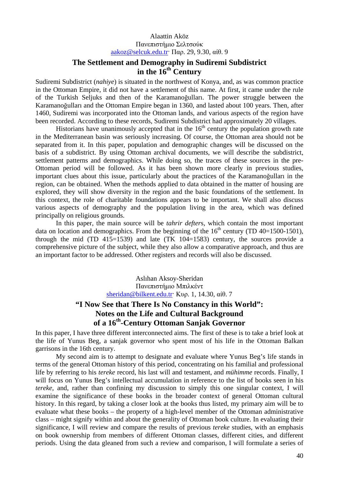#### Alaattin Aköz Πανεπιστήμιο Σελτσούκ aakoz@selcuk.edu.tr· Παρ. 29, 9.30, αίθ. 9

# **The Settlement and Demography in Sudiremi Subdistrict in the 16th Century**

Sudiremi Subdistrict (*nahiye*) is situated in the northwest of Konya, and, as was common practice in the Ottoman Empire, it did not have a settlement of this name. At first, it came under the rule of the Turkish Seljuks and then of the Karamanoğulları. The power struggle between the Karamanoğulları and the Ottoman Empire began in 1360, and lasted about 100 years. Then, after 1460, Sudiremi was incorporated into the Ottoman lands, and various aspects of the region have been recorded. According to these records, Sudiremi Subdistrict had approximately 20 villages.

Historians have unanimously accepted that in the  $16<sup>th</sup>$  century the population growth rate in the Mediterranean basin was seriously increasing. Of course, the Ottoman area should not be separated from it. In this paper, population and demographic changes will be discussed on the basis of a subdistrict. By using Ottoman archival documents, we will describe the subdistrict, settlement patterns and demographics. While doing so, the traces of these sources in the pre-Ottoman period will be followed. As it has been shown more clearly in previous studies, important clues about this issue, particularly about the practices of the Karamanoğulları in the region, can be obtained. When the methods applied to data obtained in the matter of housing are explored, they will show diversity in the region and the basic foundations of the settlement. In this context, the role of charitable foundations appears to be important. We shall also discuss various aspects of demography and the population living in the area, which was defined principally on religious grounds.

In this paper, the main source will be *tahrir defter*s, which contain the most important data on location and demographics. From the beginning of the  $16<sup>th</sup>$  century (TD 40=1500-1501), through the mid (TD 415=1539) and late (TK 104=1583) century, the sources provide a comprehensive picture of the subject, while they also allow a comparative approach, and thus are an important factor to be addressed. Other registers and records will also be discussed.

> Aslıhan Aksoy-Sheridan Πανεπιστήμιο Μπιλκέντ sheridan@bilkent.edu.tr<sup>·</sup> Κυρ. 1, 14.30, αίθ. 7

# **"I Now See that There Is No Constancy in this World": Notes on the Life and Cultural Background of a 16th-Century Ottoman Sanjak Governor**

In this paper, I have three different interconnected aims. The first of these is to take a brief look at the life of Yunus Beg, a sanjak governor who spent most of his life in the Ottoman Balkan garrisons in the 16th century.

My second aim is to attempt to designate and evaluate where Yunus Beg's life stands in terms of the general Ottoman history of this period, concentrating on his familial and professional life by referring to his *tereke* record, his last will and testament, and *mühimme* records. Finally, I will focus on Yunus Beg's intellectual accumulation in reference to the list of books seen in his *tereke*, and, rather than confining my discussion to simply this one singular context, I will examine the significance of these books in the broader context of general Ottoman cultural history. In this regard, by taking a closer look at the books thus listed, my primary aim will be to evaluate what these books – the property of a high-level member of the Ottoman administrative class – might signify within and about the generality of Ottoman book culture. In evaluating their significance, I will review and compare the results of previous *tereke* studies, with an emphasis on book ownership from members of different Ottoman classes, different cities, and different periods. Using the data gleaned from such a review and comparison, I will formulate a series of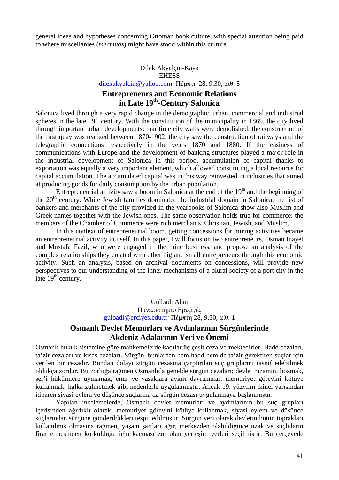general ideas and hypotheses concerning Ottoman book culture, with special attention being paid to where miscellanies (*mecmua*s) might have stood within this culture.

### Dilek Akyalçın-Kaya **EHESS** dilekakyalcin@yahoo.com· Πέμπτη 28, 9.30, αίθ. 5

# **Entrepreneurs and Economic Relations in Late 19th-Century Salonica**

Salonica lived through a very rapid change in the demographic, urban, commercial and industrial spheres in the late  $19<sup>th</sup>$  century. With the constitution of the municipality in 1869, the city lived through important urban developments: maritime city walls were demolished; the construction of the first quay was realized between 1870-1902; the city saw the construction of railways and the telegraphic connections respectively in the years 1870 and 1880. If the easiness of communications with Europe and the development of banking structures played a major role in the industrial development of Salonica in this period, accumulation of capital thanks to exportation was equally a very important element, which allowed constituting a local resource for capital accumulation. The accumulated capital was in this way reinvested in industries that aimed at producing goods for daily consumption by the urban population.

Entrepreneurial activity saw a boom in Salonica at the end of the  $19<sup>th</sup>$  and the beginning of the  $20<sup>th</sup>$  century. While Jewish families dominated the industrial domain in Salonica, the list of bankers and merchants of the city provided in the yearbooks of Salonica show also Muslim and Greek names together with the Jewish ones. The same observation holds true for commerce: the members of the Chamber of Commerce were rich merchants, Christian, Jewish, and Muslim.

In this context of entrepreneurial boom, getting concessions for mining activities became an entrepreneurial activity in itself. In this paper, I will focus on two entrepreneurs, Osman Inayet and Mustafa Fazil, who were engaged in the mine business, and propose an analysis of the complex relationships they created with other big and small entrepreneurs through this economic activity. Such an analysis, based on archival documents on concessions, will provide new perspectives to our understanding of the inner mechanisms of a plural society of a port city in the late  $19<sup>th</sup>$  century.

> Gülbadi Alan Πανεπιστήμιο Ερτζιγές gulbadi@erciyes.edu.tr<sup>·</sup> Πέμπτη 28, 9.30, αίθ. 1

# **Osmanlı Devlet Memurları ve Aydınlarının Sürgünlerinde Akdeniz Adalarının Yeri ve Önemi**

Osmanlı hukuk sistemine göre mahkemelerde kadılar üç çeşit ceza vermektedirler: Hadd cezaları, ta'zir cezaları ve kısas cezaları. Sürgün, bunlardan hem hadd hem de ta'zir gerektiren suçlar için verilen bir cezadır. Bundan dolayı sürgün cezasına çarptırılan suç gruplarını tasnif edebilmek oldukça zordur. Bu zorluğa rağmen Osmanlıda genelde sürgün cezaları; devlet nizamını bozmak, şer'i hükümlere uymamak, emir ve yasaklara aykırı davranışlar, memuriyet görevini kötüye kullanmak, halka zulmetmek gibi nedenlerle uygulanmıştır. Ancak 19. yüzyılın ikinci yarısından itibaren siyasi eylem ve düşünce suçlarına da sürgün cezası uygulanmaya başlanmıştır.

Yapılan incelemelerde, Osmanlı devlet memurları ve aydınlarının bu suç grupları içerisinden ağırlıklı olarak; memuriyet görevini kötüye kullanmak, siyasi eylem ve düşünce suçlarından sürgüne gönderildikleri tespit edilmiştir. Sürgün yeri olarak devletin bütün toprakları kullanılmış olmasına rağmen, yaşam şartları ağır, merkezden olabildiğince uzak ve suçluların firar etmesinden korkulduğu için kaçması zor olan yerleşim yerleri seçilmiştir. Bu çerçevede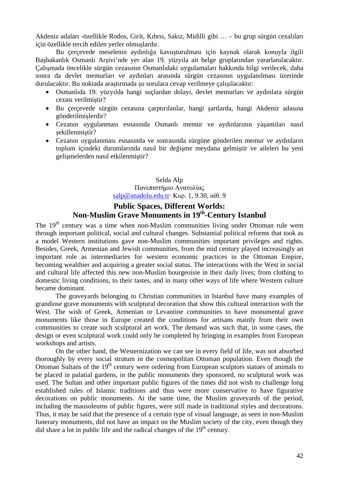Akdeniz adaları -özellikle Rodos, Girit, Kıbrıs, Sakız, Midilli gibi … – bu grup sürgün cezalıları için özellikle tercih edilen yerler olmuşlardır.

Bu çerçevede meselenin aydınlığa kavuşturulması için kaynak olarak konuyla ilgili Başbakanlık Osmanlı Arşivi'nde yer alan 19. yüzyıla ait belge gruplarından yararlanılacaktır. Çalışmada öncelikle sürgün cezasının Osmanlıdaki uygulamaları hakkında bilgi verilecek, daha sonra da devlet memurları ve aydınları arasında sürgün cezasının uygulanılması üzerinde durulacaktır. Bu noktada araştırmada şu sorulara cevap verilmeye çalışılacaktır:

- Osmanlıda 19. yüzyılda hangi suçlardan dolayı, devlet memurları ve aydınlara sürgün cezası verilmiştir?
- Bu çerçevede sürgün cezasına çarptırılanlar, hangi şartlarda, hangi Akdeniz adasına gönderilmişlerdir?
- Cezanın uygulanması esnasında Osmanlı memur ve aydınlarının yaşantıları nasıl şekillenmiştir?
- Cezanın uygulanması esnasında ve sonrasında sürgüne gönderilen memur ve aydınların toplum içindeki durumlarında nasıl bir değişme meydana gelmiştir ve aileleri bu yeni gelişmelerden nasıl etkilenmiştir?

#### Selda Alp Πανεπιστήμιο Ανατολίας salp@anadolu.edu.tr· Κυρ. 1, 9.30, αίθ. 9

# **Public Spaces, Different Worlds: Non-Muslim Grave Monuments in 19th-Century Istanbul**

The  $19<sup>th</sup>$  century was a time when non-Muslim communities living under Ottoman rule went through important political, social and cultural changes. Substantial political reforms that took as a model Western institutions gave non-Muslim communities important privileges and rights. Besides, Greek, Armenian and Jewish communities, from the mid century played increasingly an important role as intermediaries for western economic practices in the Ottoman Empire, becoming wealthier and acquiring a greater social status. The interactions with the West in social and cultural life affected this new non-Muslim bourgeoisie in their daily lives; from clothing to domestic living conditions, to their tastes, and in many other ways of life where Western culture became dominant.

The graveyards belonging to Christian communities in Istanbul have many examples of grandiose grave monuments with sculptural decoration that show this cultural interaction with the West. The wish of Greek, Armenian or Levantine communities to have monumental grave monuments like those in Europe created the conditions for artisans mainly from their own communities to create such sculptural art work. The demand was such that, in some cases, the design or even sculptural work could only be completed by bringing in examples from European workshops and artists.

On the other hand, the Westernization we can see in every field of life, was not absorbed thoroughly by every social stratum in the cosmopolitan Ottoman population. Even though the Ottoman Sultans of the  $19<sup>th</sup>$  century were ordering from European sculptors statues of animals to be placed in palatial gardens, in the public monuments they sponsored, no sculptural work was used. The Sultan and other important public figures of the times did not wish to challenge long established rules of Islamic traditions and thus were more conservative to have figurative decorations on public monuments. At the same time, the Muslim graveyards of the period, including the mausoleums of public figures, were still made in traditional styles and decorations. Thus, it may be said that the presence of a certain type of visual language, as seen in non-Muslim funerary monuments, did not have an impact on the Muslim society of the city, even though they did share a lot in public life and the radical changes of the  $19<sup>th</sup>$  century.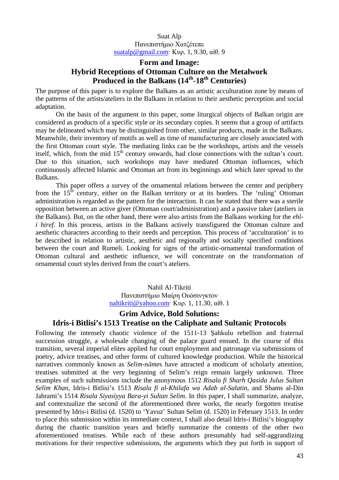#### Suat Alp Πανεπιστήμιο Χατζέτεπε suatalp@gmail.com· Κυρ. 1, 9.30, αίθ. 9

# **Form and Image: Hybrid Receptions of Ottoman Culture on the Metalwork Produced in the Balkans (14th-18th Centuries)**

The purpose of this paper is to explore the Balkans as an artistic acculturation zone by means of the patterns of the artists/ateliers in the Balkans in relation to their aesthetic perception and social adaptation.

On the basis of the argument in this paper, some liturgical objects of Balkan origin are considered as products of a specific style or its secondary copies. It seems that a group of artifacts may be delineated which may be distinguished from other, similar products, made in the Balkans. Meanwhile, their inventory of motifs as well as time of manufacturing are closely associated with the first Ottoman court style. The mediating links can be the workshops, artists and the vessels itself, which, from the mid 15<sup>th</sup> century onwards, had close connections with the sultan's court. Due to this situation, such workshops may have mediated Ottoman influences, which continuously affected Islamic and Ottoman art from its beginnings and which later spread to the Balkans.

This paper offers a survey of the ornamental relations between the center and periphery from the  $15<sup>th</sup>$  century, either on the Balkan territory or at its borders. The 'ruling' Ottoman administration is regarded as the pattern for the interaction. It can be stated that there was a sterile opposition between an active giver (Ottoman court/administration) and a passive taker (ateliers in the Balkans). But, on the other hand, there were also artists from the Balkans working for the *ehli hiref*. In this process, artists in the Balkans actively transfigured the Ottoman culture and aesthetic characters according to their needs and perception. This process of 'acculturation' is to be described in relation to artistic, aesthetic and regionally and socially specified conditions between the court and Rumeli. Looking for signs of the artistic-ornamental transformation of Ottoman cultural and aesthetic influence, we will concentrate on the transformation of ornamental court styles derived from the court's ateliers.

> Nabil Al-Tikriti Πανεπιστήμιο Μαίρη Ουόσινγκτον naltikriti@yahoo.com· Κυρ. 1, 11.30, αίθ. 1

# **Grim Advice, Bold Solutions:**

### **Idris-i Bitlisi's 1513 Treatise on the Caliphate and Sultanic Protocols**

Following the intensely chaotic violence of the 1511-13 Şahkulu rebellion and fraternal succession struggle, a wholesale changing of the palace guard ensued. In the course of this transition, several imperial elites applied for court employment and patronage via submissions of poetry, advice treatises, and other forms of cultured knowledge production. While the historical narratives commonly known as *Selim-nāme*s have attracted a modicum of scholarly attention, treatises submitted at the very beginning of Selim's reign remain largely unknown. Three examples of such submissions include the anonymous 1512 *Risala fi Sharh Qasida Julus Sultan Selim Khan*, Idris-i Bitlisi's 1513 *Risala fi al-Khilafa wa Adab al-Salatin*, and Shams al-Din Jahrami's 1514 *Risala Siyasiyya Bara-yi Sultan Selim*. In this paper, I shall summarize, analyze, and contextualize the second of the aforementioned three works, the nearly forgotten treatise presented by Idris-i Bitlisi (d. 1520) to 'Yavuz' Sultan Selim (d. 1520) in February 1513. In order to place this submission within its immediate context, I shall also detail Idris-i Bitlisi's biography during the chaotic transition years and briefly summarize the contents of the other two aforementioned treatises. While each of these authors presumably had self-aggrandizing motivations for their respective submissions, the arguments which they put forth in support of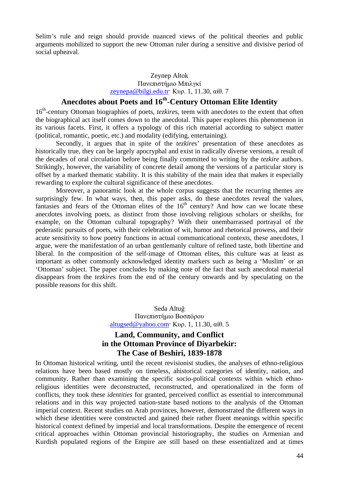Selim's rule and reign should provide nuanced views of the political theories and public arguments mobilized to support the new Ottoman ruler during a sensitive and divisive period of social upheaval.

#### Zeynep Altok Πανεπιστήμιο Μπιλγκί zeynepa@bilgi.edu.tr· Κυρ. 1, 11.30, αίθ. 7

# **Anecdotes about Poets and 16th-Century Ottoman Elite Identity**

16<sup>th</sup>-century Ottoman biographies of poets, *tezkires*, teem with anecdotes to the extent that often the biographical act itself comes down to the anecdotal. This paper explores this phenomenon in its various facets. First, it offers a typology of this rich material according to subject matter (political, romantic, poetic, etc.) and modality (edifying, entertaining).

Secondly, it argues that in spite of the *tezkire*s' presentation of these anecdotes as historically true, they can be largely apocryphal and exist in radically diverse versions, a result of the decades of oral circulation before being finally committed to writing by the *tezkire* authors. Strikingly, however, the variability of concrete detail among the versions of a particular story is offset by a marked thematic stability. It is this stability of the main idea that makes it especially rewarding to explore the cultural significance of these anecdotes.

Moreover, a panoramic look at the whole corpus suggests that the recurring themes are surprisingly few. In what ways, then, this paper asks, do these anecdotes reveal the values, fantasies and fears of the Ottoman elites of the  $16<sup>th</sup>$  century? And how can we locate these anecdotes involving poets, as distinct from those involving religious scholars or sheikhs, for example, on the Ottoman cultural topography? With their unembarrassed portrayal of the pederastic pursuits of poets, with their celebration of wit, humor and rhetorical prowess, and their acute sensitivity to how poetry functions in actual communicational contexts, these anecdotes, I argue, were the manifestation of an urban gentlemanly culture of refined taste, both libertine and liberal. In the composition of the self-image of Ottoman elites, this culture was at least as important as other commonly acknowledged identity markers such as being a 'Muslim' or an 'Ottoman' subject. The paper concludes by making note of the fact that such anecdotal material disappears from the *tezkire*s from the end of the century onwards and by speculating on the possible reasons for this shift.

> Seda Altuğ Πανεπιστήμιο Βοσπόρου altugsed@yahoo.com· Κυρ. 1, 11.30, αίθ. 5

# **Land, Community, and Conflict in the Ottoman Province of Diyarbekir: The Case of Beshiri, 1839-1878**

In Ottoman historical writing, until the recent revisionist studies, the analyses of ethno-religious relations have been based mostly on timeless, ahistorical categories of identity, nation, and community. Rather than examining the specific socio-political contexts within which ethnoreligious identities were deconstructed, reconstructed, and operationalized in the form of conflicts, they took these *identities* for granted, perceived conflict as essential to intercommunal relations and in this way projected nation-state based notions to the analysis of the Ottoman imperial context. Recent studies on Arab provinces, however, demonstrated the different ways in which these identities were constructed and gained their rather fluent meanings within specific historical context defined by imperial and local transformations. Despite the emergence of recent critical approaches within Ottoman provincial historiography, the studies on Armenian and Kurdish populated regions of the Empire are still based on these essentialized and at times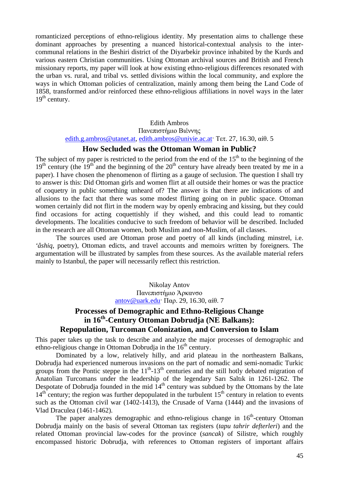romanticized perceptions of ethno-religious identity. My presentation aims to challenge these dominant approaches by presenting a nuanced historical-contextual analysis to the intercommunal relations in the Beshiri district of the Diyarbekir province inhabited by the Kurds and various eastern Christian communities. Using Ottoman archival sources and British and French missionary reports, my paper will look at how existing ethno-religious differences resonated with the urban vs. rural, and tribal vs. settled divisions within the local community, and explore the ways in which Ottoman policies of centralization, mainly among them being the Land Code of 1858, transformed and/or reinforced these ethno-religious affiliations in novel ways in the later  $19<sup>th</sup>$  century.

#### Edith Ambros

Πανεπιστήμιο Βιέννης edith.g.ambros@utanet.at, edith.ambros@univie.ac.at· Τετ. 27, 16.30, αίθ. 5

#### **How Secluded was the Ottoman Woman in Public?**

The subject of my paper is restricted to the period from the end of the  $15<sup>th</sup>$  to the beginning of the  $19<sup>th</sup>$  century (the  $19<sup>th</sup>$  and the beginning of the  $20<sup>th</sup>$  century have already been treated by me in a paper). I have chosen the phenomenon of flirting as a gauge of seclusion. The question I shall try to answer is this: Did Ottoman girls and women flirt at all outside their homes or was the practice of coquetry in public something unheard of? The answer is that there are indications of and allusions to the fact that there was some modest flirting going on in public space. Ottoman women certainly did not flirt in the modern way by openly embracing and kissing, but they could find occasions for acting coquettishly if they wished, and this could lead to romantic developments. The localities conducive to such freedom of behavior will be described. Included in the research are all Ottoman women, both Muslim and non-Muslim, of all classes.

The sources used are Ottoman prose and poetry of all kinds (including minstrel, i.e. *'âshiq*, poetry), Ottoman edicts, and travel accounts and memoirs written by foreigners. The argumentation will be illustrated by samples from these sources. As the available material refers mainly to Istanbul, the paper will necessarily reflect this restriction.

> Nikolay Antov Πανεπιστήμιο Άρκανσο antov@uark.edu· Παρ. 29, 16.30, αίθ. 7

# **Processes of Demographic and Ethno-Religious Change in 16th-Century Ottoman Dobrudja (NE Balkans): Repopulation, Turcoman Colonization, and Conversion to Islam**

This paper takes up the task to describe and analyze the major processes of demographic and ethno-religious change in Ottoman Dobrudia in the  $16<sup>th</sup>$  century.

Dominated by a low, relatively hilly, and arid plateau in the northeastern Balkans, Dobrudja had experienced numerous invasions on the part of nomadic and semi-nomadic Turkic groups from the Pontic steppe in the  $11<sup>th</sup>$ -13<sup>th</sup> centuries and the still hotly debated migration of Anatolian Turcomans under the leadership of the legendary Sarı Saltık in 1261-1262. The Despotate of Dobrudja founded in the mid  $14<sup>th</sup>$  century was subdued by the Ottomans by the late  $14<sup>th</sup>$  century; the region was further depopulated in the turbulent  $15<sup>th</sup>$  century in relation to events such as the Ottoman civil war (1402-1413), the Crusade of Varna (1444) and the invasions of Vlad Draculea (1461-1462).

The paper analyzes demographic and ethno-religious change in  $16<sup>th</sup>$ -century Ottoman Dobrudja mainly on the basis of several Ottoman tax registers (*tapu tahrir defterleri*) and the related Ottoman provincial law-codes for the province (*sancak*) of Silistre, which roughly encompassed historic Dobrudja, with references to Ottoman registers of important affairs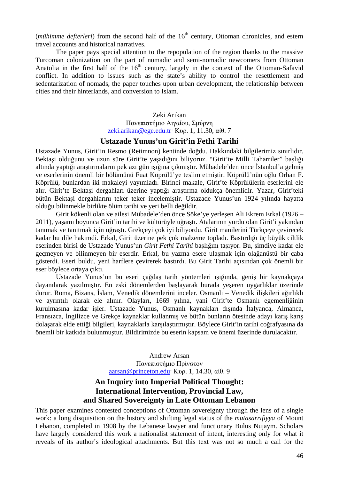(*mühimme defterleri*) from the second half of the 16<sup>th</sup> century, Ottoman chronicles, and estern travel accounts and historical narratives.

The paper pays special attention to the repopulation of the region thanks to the massive Turcoman colonization on the part of nomadic and semi-nomadic newcomers from Ottoman Anatolia in the first half of the  $16<sup>th</sup>$  century, largely in the context of the Ottoman-Safavid conflict. In addition to issues such as the state's ability to control the resettlement and sedentarization of nomads, the paper touches upon urban development, the relationship between cities and their hinterlands, and conversion to Islam.

> Zeki Arıkan Πανεπιστήμιο Αιγαίου, Σμύρνη zeki.arikan@ege.edu.tr· Κυρ. 1, 11.30, αίθ. 7

#### **Ustazade Yunus'un Girit'in Fethi Tarihi**

Ustazade Yunus, Girit'in Resmo (Retimnon) kentinde doğdu. Hakkındaki bilgilerimiz sınırlıdır. Bektaşi olduğunu ve uzun süre Girit'te yaşadığını biliyoruz. "Girit'te Milli Taharriler" başlığı altında yaptığı araştırmaların pek azı gün ışığına çıkmıştır. Mübadele'den önce İstanbul'a gelmiş ve eserlerinin önemli bir bölümünü Fuat Köprülü'ye teslim etmiştir. Köprülü'nün oğlu Orhan F. Köprülü, bunlardan iki makaleyi yayımladı. Birinci makale, Girit'te Köprülülerin eserlerini ele alır. Girit'te Bektaşi dergahları üzerine yaptığı araştırma oldukça önemlidir. Yazar, Girit'teki bütün Bektaşi dergahlarını teker teker incelemiştir. Ustazade Yunus'un 1924 yılında hayatta olduğu bilinmekle birlikte ölüm tarihi ve yeri belli değildir.

Girit kökenli olan ve ailesi Mübadele'den önce Söke'ye yerleşen Ali Ekrem Erkal (1926 – 2011), yaşamı boyunca Girit'in tarihi ve kültürüyle uğraştı. Atalarının yurdu olan Girit'i yakından tanımak ve tanıtmak için uğraştı. Grekçeyi çok iyi biliyordu. Girit manilerini Türkçeye çevirecek kadar bu dile hakimdi. Erkal, Girit üzerine pek çok malzeme topladı. Bastırdığı üç büyük ciltlik eserinden birisi de Ustazade Yunus'un *Girit Fethi Tarihi* başlığını taşıyor. Bu, şimdiye kadar ele geçmeyen ve bilinmeyen bir eserdir. Erkal, bu yazma esere ulaşmak için olağanüstü bir çaba gösterdi. Eseri buldu, yeni harflere çevirerek bastırdı. Bu Girit Tarihi açısından çok önemli bir eser böylece ortaya çıktı.

Ustazade Yunus'un bu eseri çağdaş tarih yöntemleri ışığında, geniş bir kaynakçaya dayanılarak yazılmıştır. En eski dönemlerden başlayarak burada yeşeren uygarlıklar üzerinde durur. Roma, Bizans, İslam, Venedik dönemlerini inceler. Osmanlı – Venedik ilişkileri ağırlıklı ve ayrıntılı olarak ele alınır. Olayları, 1669 yılına, yani Girit'te Osmanlı egemenliğinin kurulmasına kadar işler. Ustazade Yunus, Osmanlı kaynakları dışında İtalyanca, Almanca, Fransızca, İngilizce ve Grekçe kaynaklar kullanmış ve bütün bunların ötesinde adayı karış karış dolaşarak elde ettiği bilgileri, kaynaklarla karşılaştırmıştır. Böylece Girit'in tarihi coğrafyasına da önemli bir katkıda bulunmuştur. Bildirimizde bu eserin kapsam ve önemi üzerinde durulacaktır.

> Andrew Arsan Πανεπιστήμιο Πρίνστον aarsan@princeton.edu· Κυρ. 1, 14.30, αίθ. 9

# **An Inquiry into Imperial Political Thought: International Intervention, Provincial Law, and Shared Sovereignty in Late Ottoman Lebanon**

This paper examines contested conceptions of Ottoman sovereignty through the lens of a single work: a long disquisition on the history and shifting legal status of the *mutasarrifiyya* of Mount Lebanon, completed in 1908 by the Lebanese lawyer and functionary Bulus Nujaym. Scholars have largely considered this work a nationalist statement of intent, interesting only for what it reveals of its author's ideological attachments. But this text was not so much a call for the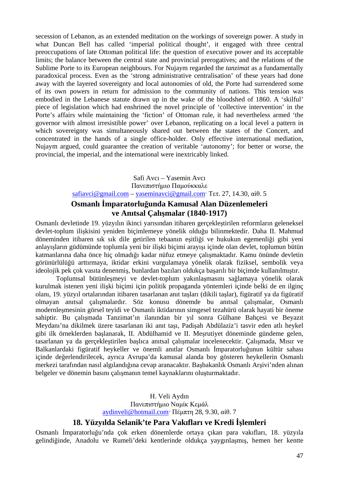secession of Lebanon, as an extended meditation on the workings of sovereign power. A study in what Duncan Bell has called 'imperial political thought', it engaged with three central preoccupations of late Ottoman political life: the question of executive power and its acceptable limits; the balance between the central state and provincial prerogatives; and the relations of the Sublime Porte to its European neighbours. For Nujaym regarded the *tanzimat* as a fundamentally paradoxical process. Even as the 'strong administrative centralisation' of these years had done away with the layered sovereignty and local autonomies of old, the Porte had surrendered some of its own powers in return for admission to the community of nations. This tension was embodied in the Lebanese statute drawn up in the wake of the bloodshed of 1860. A 'skilful' piece of legislation which had enshrined the novel principle of 'collective intervention' in the Porte's affairs while maintaining the 'fiction' of Ottoman rule, it had nevertheless armed 'the governor with almost irresistible power' over Lebanon, replicating on a local level a pattern in which sovereignty was simultaneously shared out between the states of the Concert, and concentrated in the hands of a single office-holder. Only effective international mediation, Nujaym argued, could guarantee the creation of veritable 'autonomy'; for better or worse, the provincial, the imperial, and the international were inextricably linked.

> Safi Avcı – Yasemin Avcı Πανεπιστήμιο Παμούκκαλε safiavci@gmail.com – yaseminavci@gmail.com· Τετ. 27, 14.30, αίθ. 5

# **Osmanlı İmparatorluğunda Kamusal Alan Düzenlemeleri ve Anıtsal Çalışmalar (1840-1917)**

Osmanlı devletinde 19. yüzyılın ikinci yarısından itibaren gerçekleştirilen reformların geleneksel devlet-toplum ilişkisini yeniden biçimlemeye yönelik olduğu bilinmektedir. Daha II. Mahmud döneminden itibaren sık sık dile getirilen tebaanın eşitliği ve hukukun egemenliği gibi yeni anlayışların güdümünde toplumla yeni bir ilişki biçimi arayışı içinde olan devlet, toplumun bütün katmanlarına daha önce hiç olmadığı kadar nüfuz etmeye çalışmaktadır. Kamu önünde devletin görünürlülüğü arttırmaya, iktidar erkini vurgulamaya yönelik olarak fiziksel, sembolik veya ideolojik pek çok vasıta denenmiş, bunlardan bazıları oldukça başarılı bir biçimde kullanılmıştır.

Toplumsal bütünleşmeyi ve devlet-toplum yakınlaşmasını sağlamaya yönelik olarak kurulmak istenen yeni ilişki biçimi için politik propaganda yöntemleri içinde belki de en ilginç olanı, 19. yüzyıl ortalarından itibaren tasarlanan anıt taşları (dikili taşlar), figüratif ya da figüratif olmayan anıtsal çalışmalardır. Söz konusu dönemde bu anıtsal çalışmalar, Osmanlı modernleşmesinin görsel teyidi ve Osmanlı iktidarının simgesel tezahürü olarak hayati bir öneme sahiptir. Bu çalışmada Tanzimat'ın ilanından bir yıl sonra Gülhane Bahçesi ve Beyazıt Meydanı'na dikilmek üzere tasarlanan iki anıt taşı, Padişah Abdülaziz'i tasvir eden atlı heykel gibi ilk örneklerden başlanarak, II. Abdülhamid ve II. Meşrutiyet döneminde gündeme gelen, tasarlanan ya da gerçekleştirilen başlıca anıtsal çalışmalar incelenecektir. Çalışmada, Mısır ve Balkanlardaki figüratif heykeller ve önemli anıtlar Osmanlı İmparatorluğunun kültür sahası içinde değerlendirilecek, ayrıca Avrupa'da kamusal alanda boy gösteren heykellerin Osmanlı merkezi tarafından nasıl algılandığına cevap aranacaktır. Başbakanlık Osmanlı Arşivi'nden alınan belgeler ve dönemin basını çalışmanın temel kaynaklarını oluşturmaktadır.

#### H. Veli Aydın Πανεπιστήμιο Ναμίκ Κεμάλ aydinveli@hotmail.com· Πέμπτη 28, 9.30, αίθ. 7

# **18. Yüzyılda Selanik'te Para Vakıfları ve Kredi İşlemleri**

Osmanlı İmparatorluğu'nda çok erken dönemlerde ortaya çıkan para vakıfları, 18. yüzyıla gelindiğinde, Anadolu ve Rumeli'deki kentlerinde oldukça yaygınlaşmış, hemen her kentte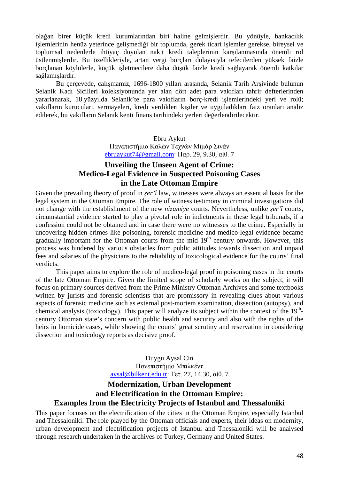olağan birer küçük kredi kurumlarından biri haline gelmişlerdir. Bu yönüyle, bankacılık işlemlerinin henüz yeterince gelişmediği bir toplumda, gerek ticari işlemler gerekse, bireysel ve toplumsal nedenlerle ihtiyaç duyulan nakit kredi taleplerinin karşılanmasında önemli rol üstlenmişlerdir. Bu özellikleriyle, artan vergi borçları dolayısıyla tefecilerden yüksek faizle borçlanan köylülerle, küçük işletmecilere daha düşük faizle kredi sağlayarak önemli katkılar sağlamışlardır.

Bu çerçevede, çalışmamız, 1696-1800 yılları arasında, Selanik Tarih Arşivinde bulunun Selanik Kadı Sicilleri koleksiyonunda yer alan dört adet para vakıfları tahrir defterlerinden yararlanarak, 18.yüzyılda Selanik'te para vakıfların borç-kredi işlemlerindeki yeri ve rolü; vakıfların kurucuları, sermayeleri, kredi verdikleri kişiler ve uyguladıkları faiz oranları analiz edilerek, bu vakıfların Selanik kenti finans tarihindeki yerleri değerlendirilecektir.

> Ebru Aykut Πανεπιστήμιο Καλών Τεχνών Μιμάρ Σινάν ebruaykut74@gmail.com· Παρ. 29, 9.30, αίθ. 7

# **Unveiling the Unseen Agent of Crime: Medico-Legal Evidence in Suspected Poisoning Cases in the Late Ottoman Empire**

Given the prevailing theory of proof in *şer'î* law, witnesses were always an essential basis for the legal system in the Ottoman Empire. The role of witness testimony in criminal investigations did not change with the establishment of the new *nizamiye* courts. Nevertheless, unlike *şer'î* courts, circumstantial evidence started to play a pivotal role in indictments in these legal tribunals, if a confession could not be obtained and in case there were no witnesses to the crime. Especially in uncovering hidden crimes like poisoning, forensic medicine and medico-legal evidence became gradually important for the Ottoman courts from the mid  $19<sup>th</sup>$  century onwards. However, this process was hindered by various obstacles from public attitudes towards dissection and unpaid fees and salaries of the physicians to the reliability of toxicological evidence for the courts' final verdicts.

This paper aims to explore the role of medico-legal proof in poisoning cases in the courts of the late Ottoman Empire. Given the limited scope of scholarly works on the subject, it will focus on primary sources derived from the Prime Ministry Ottoman Archives and some textbooks written by jurists and forensic scientists that are promissory in revealing clues about various aspects of forensic medicine such as external post-mortem examination, dissection (autopsy), and chemical analysis (toxicology). This paper will analyze its subject within the context of the  $19<sup>th</sup>$ century Ottoman state's concern with public health and security and also with the rights of the heirs in homicide cases, while showing the courts' great scrutiny and reservation in considering dissection and toxicology reports as decisive proof.

> Duygu Aysal Cin Πανεπιστήμιο Μπιλκέντ aysal@bilkent.edu.tr· Τετ. 27, 14.30, αίθ. 7

# **Modernization, Urban Development and Electrification in the Ottoman Empire: Examples from the Electricity Projects of Istanbul and Thessaloniki**

This paper focuses on the electrification of the cities in the Ottoman Empire, especially Istanbul and Thessaloniki. The role played by the Ottoman officials and experts, their ideas on modernity, urban development and electrification projects of Istanbul and Thessaloniki will be analysed through research undertaken in the archives of Turkey, Germany and United States.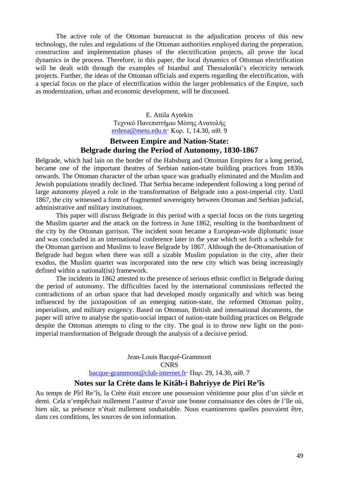The active role of the Ottoman bureaucrat in the adjudication process of this new technology, the rules and regulations of the Ottoman authorities employed during the preperation, construction and implementation phases of the electrification projects, all prove the local dynamics in the process. Therefore, in this paper, the local dynamics of Ottoman electrification will be dealt with through the examples of Istanbul and Thessaloniki's electricity network projects. Further, the ideas of the Ottoman officials and experts regarding the electrification, with a special focus on the place of electrification within the larger problematics of the Empire, such as modernization, urban and economic development, will be discussed.

> E. Attila Aytekin Τεχνικό Πανεπιστήμιο Μέσης Ανατολής erdena@metu.edu.tr· Κυρ. 1, 14.30, αίθ. 9

# **Between Empire and Nation-State: Belgrade during the Period of Autonomy, 1830-1867**

Belgrade, which had lain on the border of the Habsburg and Ottoman Empires for a long period, became one of the important theatres of Serbian nation-state building practices from 1830s onwards. The Ottoman character of the urban space was gradually eliminated and the Muslim and Jewish populations steadily declined. That Serbia became independent following a long period of large autonomy played a role in the transformation of Belgrade into a post-imperial city. Until 1867, the city witnessed a form of fragmented sovereignty between Ottoman and Serbian judicial, administrative and military institutions.

This paper will discuss Belgrade in this period with a special focus on the riots targeting the Muslim quarter and the attack on the fortress in June 1862, resulting in the bombardment of the city by the Ottoman garrison. The incident soon became a European-wide diplomatic issue and was concluded in an international conference later in the year which set forth a schedule for the Ottoman garrison and Muslims to leave Belgrade by 1867. Although the de-Ottomanisation of Belgrade had begun when there was still a sizable Muslim population in the city, after their exodus, the Muslim quarter was incorporated into the new city which was being increasingly defined within a national(ist) framework.

The incidents in 1862 attested to the presence of serious ethnic conflict in Belgrade during the period of autonomy. The difficulties faced by the international commissions reflected the contradictions of an urban space that had developed mostly organically and which was being influenced by the juxtaposition of an emerging nation-state, the reformed Ottoman polity, imperialism, and military exigency. Based on Ottoman, British and international documents, the paper will strive to analyse the spatio-social impact of nation-state building practices on Belgrade despite the Ottoman attempts to cling to the city. The goal is to throw new light on the postimperial transformation of Belgrade through the analysis of a decisive period.

> Jean-Louis Bacqué-Grammont **CNRS** bacque-grammont@club-internet.fr· Παρ. 29, 14.30, αίθ. 7

# **Notes sur la Crète dans le Kitâb-i Bahriyye de Piri Re'îs**

Au temps de Pîrî Re'îs, la Crète était encore une possession vénitienne pour plus d'un siècle et demi. Cela n'empêchait nullement l'auteur d'avoir une bonne connaissance des côtes de l'île où, bien sûr, sa présence n'était nullement souhaitable. Nous examinerons quelles pouvaient être, dans ces conditions, les sources de son information.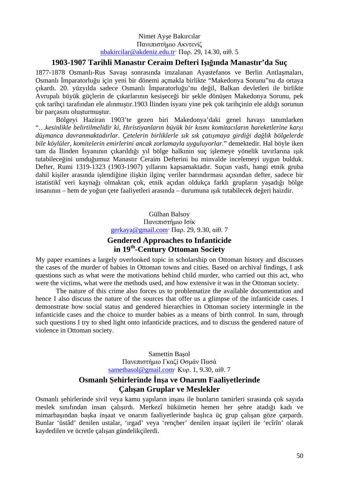#### Nimet Ayşe Bakırcılar Πανεπιστήμιο Ακντενίζ nbakircilar@akdeniz.edu.tr· Παρ. 29, 14.30, αίθ. 5

# **1903-1907 Tarihli Manastır Ceraim Defteri Işığında Manastır'da Suç**

1877-1878 Osmanlı-Rus Savaşı sonrasında imzalanan Ayastefanos ve Berlin Antlaşmaları, Osmanlı İmparatorluğu için yeni bir dönemi açmakla birlikte "Makedonya Sorunu"nu da ortaya çıkardı. 20. yüzyılda sadece Osmanlı İmparatorluğu'nu değil, Balkan devletleri ile birlikte Avrupalı büyük güçlerin de çıkarlarının kesişeceği bir şekle dönüşen Makedonya Sorunu, pek çok tarihçi tarafından ele alınmıştır.1903 İlinden isyanı yine pek çok tarihçinin ele aldığı sorunun bir parçasını oluşturmuştur.

Bölgeyi Haziran 1903'te gezen biri Makedonya'daki genel havayı tanımlarken "…*kesinlikle belirtilmelidir ki, Hıristiyanların büyük bir kısmı komitacıların hareketlerine karşı düşmanca davranmaktadırlar. Çetelerin birliklerle sık sık çatışmaya girdiği dağlık bölgelerde bile köylüler, komitelerin emirlerini ancak zorlamayla uyguluyorlar.*" demektedir. Hal böyle iken tam da İlinden İsyanının çıkarıldığı yıl bölge halkının suç işlemeye yönelik tavırlarına ışık tutabileceğini umduğumuz Manastır Ceraim Defterini bu minvalde incelemeyi uygun bulduk. Defter, Rumi 1319-1323 (1903-1907) yıllarını kapsamaktadır. Suçun vasfı, hangi etnik gruba dahil kişiler arasında işlendiğine ilişkin ilginç veriler barındırması açısından defter, sadece bir istatistikî veri kaynağı olmaktan çok, etnik açıdan oldukça farklı grupların yaşadığı bölge insanının – hem de yoğun çete faaliyetleri arasında – durumuna ışık tutabilecek değeri haizdir.

> Gülhan Balsoy Πανεπιστήμιο Ισίκ gerkaya@gmail.com· Παρ. 29, 9.30, αίθ. 7

# **Gendered Approaches to Infanticide in 19th-Century Ottoman Society**

My paper examines a largely overlooked topic in scholarship on Ottoman history and discusses the cases of the murder of babies in Ottoman towns and cities. Based on archival findings, I ask questions such as what were the motivations behind child murder, who carried out this act, who were the victims, what were the methods used, and how extensive it was in the Ottoman society.

The nature of this crime also forces us to problematize the available documentation and hence I also discuss the nature of the sources that offer us a glimpse of the infanticide cases. I demonstrate how social status and gendered hierarchies in Ottoman society intermingle in the infanticide cases and the choice to murder babies as a means of birth control. In sum, through such questions I try to shed light onto infanticide practices, and to discuss the gendered nature of violence in Ottoman society.

> Samettin Başol Πανεπιστήμιο Γκαζί Οσμάν Πασά sametbasol@gmail.com· Κυρ. 1, 9.30, αίθ. 7

# **Osmanlı Şehirlerinde İnşa ve Onarım Faaliyetlerinde Çalışan Gruplar ve Meslekler**

Osmanlı şehirlerinde sivil veya kamu yapıların inşası ile bunların tamirleri sırasında çok sayıda meslek sınıfından insan çalışırdı. Merkezî hükümetin hemen her şehre atadığı kadı ve mimarbaşından başka inşaat ve onarım faaliyetlerinde başlıca üç grup çalışan göze çarpardı. Bunlar 'üstâd' denilen ustalar, 'ırgad' veya 'rençber' denilen inşaat işçileri ile 'ecîrîn' olarak kaydedilen ve ücretle çalışan gündelikçilerdi.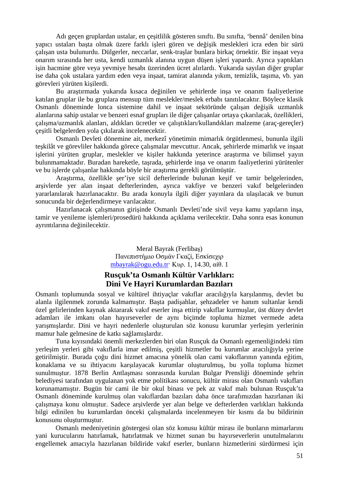Adı geçen gruplardan ustalar, en çeşitlilik gösteren sınıftı. Bu sınıfta, 'bennâ' denilen bina yapıcı ustaları başta olmak üzere farklı işleri gören ve değişik meslekleri icra eden bir sürü çalışan usta bulunurdu. Dülgerler, neccarlar, senk-traşlar bunlara birkaç örnektir. Bir inşaat veya onarım sırasında her usta, kendi uzmanlık alanına uygun düşen işleri yapardı. Ayrıca yaptıkları işin hacmine göre veya yevmiye hesabı üzerinden ücret alırlardı. Yukarıda sayılan diğer gruplar ise daha çok ustalara yardım eden veya inşaat, tamirat alanında yıkım, temizlik, taşıma, vb. yan görevleri yürüten kişilerdi.

Bu araştırmada yukarıda kısaca değinilen ve şehirlerde inşa ve onarım faaliyetlerine katılan gruplar ile bu gruplara mensup tüm meslekler/meslek erbabı tanıtılacaktır. Böylece klasik Osmanlı döneminde lonca sistemine dahil ve inşaat sektöründe çalışan değişik uzmanlık alanlarına sahip ustalar ve benzeri esnaf grupları ile diğer çalışanlar ortaya çıkarılacak, özellikleri, çalışma/uzmanlık alanları, aldıkları ücretler ve çalıştıkları/kullandıkları malzeme (araç-gereçler) çeşitli belgelerden yola çıkılarak incelenecektir.

Osmanlı Devleti dönemine ait, merkezî yönetimin mimarlık örgütlenmesi, bununla ilgili teşkilât ve görevliler hakkında görece çalışmalar mevcuttur. Ancak, şehirlerde mimarlık ve inşaat işlerini yürüten gruplar, meslekler ve kişiler hakkında yeterince araştırma ve bilimsel yayın bulunmamaktadır. Buradan hareketle, taşrada, şehirlerde inşa ve onarım faaliyetlerini yürütenler ve bu işlerde çalışanlar hakkında böyle bir araştırma gerekli görülmüştür.

Araştırma, özellikle şer'iye sicil defterlerinde bulunan keşif ve tamir belgelerinden, arşivlerde yer alan inşaat defterlerinden, ayrıca vakfiye ve benzeri vakıf belgelerinden yararlanılarak hazırlanacaktır. Bu arada konuyla ilgili diğer yayınlara da ulaşılacak ve bunun sonucunda bir değerlendirmeye varılacaktır.

Hazırlanacak çalışmanın girişinde Osmanlı Devleti'nde sivil veya kamu yapıların inşa, tamir ve yenileme işlemleri/prosedürü hakkında açıklama verilecektir. Daha sonra esas konunun ayrıntılarına değinilecektir.

> Meral Bayrak (Ferlibaş) Πανεπιστήμιο Οσμάν Γκαζί, Εσκίσεχιρ mbayrak@ogu.edu.tr· Κυρ. 1, 14.30, αίθ. 1

# **Rusçuk'ta Osmanlı Kültür Varlıkları: Dini Ve Hayri Kurumlardan Bazıları**

Osmanlı toplumunda sosyal ve kültürel ihtiyaçlar vakıflar aracılığıyla karşılanmış, devlet bu alanla ilgilenmek zorunda kalmamıştır. Başta padişahlar, şehzadeler ve hanım sultanlar kendi özel gelirlerinden kaynak aktararak vakıf eserler inşa ettirip vakıflar kurmuşlar, üst düzey devlet adamları ile imkanı olan hayırseverler de aynı biçimde topluma hizmet vermede adeta yarışmışlardır. Dini ve hayri nedenlerle oluşturulan söz konusu kurumlar yerleşim yerlerinin mamur hale gelmesine de katkı sağlamışlardır.

Tuna kıyısındaki önemli merkezlerden biri olan Rusçuk da Osmanlı egemenliğindeki tüm yerleşim yerleri gibi vakıflarla imar edilmiş, çeşitli hizmetler bu kurumlar aracılığıyla yerine getirilmiştir. Burada çoğu dini hizmet amacına yönelik olan cami vakıflarının yanında eğitim, konaklama ve su ihtiyacını karşılayacak kurumlar oluşturulmuş, bu yolla topluma hizmet sunulmuştur. 1878 Berlin Antlaşması sonrasında kurulan Bulgar Prensliği döneminde şehrin belediyesi tarafından uygulanan yok etme politikası sonucu, kültür mirası olan Osmanlı vakıfları korunamamıştır. Bugün bir cami ile bir okul binası ve pek az vakıf malı bulunan Rusçuk'ta Osmanlı döneminde kurulmuş olan vakıflardan bazıları daha önce tarafımızdan hazırlanan iki çalışmaya konu olmuştur. Sadece arşivlerde yer alan belge ve defterlerden varlıkları hakkında bilgi edinilen bu kurumlardan önceki çalışmalarda incelenmeyen bir kısmı da bu bildirinin konusunu oluşturmuştur.

Osmanlı medeniyetinin göstergesi olan söz konusu kültür mirası ile bunların mimarlarını yani kurucularını hatırlamak, hatırlatmak ve hizmet sunan bu hayırseverlerin unutulmalarını engellemek amacıyla hazırlanan bildiride vakıf eserler, bunların hizmetlerini sürdürmesi için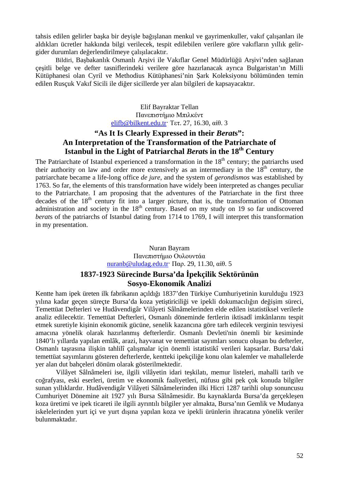tahsis edilen gelirler başka bir deyişle bağışlanan menkul ve gayrimenkuller, vakıf çalışanları ile aldıkları ücretler hakkında bilgi verilecek, tespit edilebilen verilere göre vakıfların yıllık gelirgider durumları değerlendirilmeye çalışılacaktır.

Bildiri, Başbakanlık Osmanlı Arşivi ile Vakıflar Genel Müdürlüğü Arşivi'nden sağlanan çeşitli belge ve defter tasniflerindeki verilere göre hazırlanacak ayrıca Bulgaristan'ın Milli Kütüphanesi olan Cyril ve Methodius Kütüphanesi'nin Şark Koleksiyonu bölümünden temin edilen Rusçuk Vakıf Sicili ile diğer sicillerde yer alan bilgileri de kapsayacaktır.

> Elif Bayraktar Tellan Πανεπιστήμιο Μπιλκέντ elifb@bilkent.edu.tr· Τετ. 27, 16.30, αίθ. 3

# **"As It Is Clearly Expressed in their** *Berat***s": An Interpretation of the Transformation of the Patriarchate of Istanbul in the Light of Patriarchal** *Berat***s in the 18th Century**

The Patriarchate of Istanbul experienced a transformation in the  $18<sup>th</sup>$  century; the patriarchs used their authority on law and order more extensively as an intermediary in the  $18<sup>th</sup>$  century, the patriarchate became a life-long office *de jure*, and the system of *gerondismos* was established by 1763. So far, the elements of this transformation have widely been interpreted as changes peculiar to the Patriarchate. I am proposing that the adventures of the Patriarchate in the first three decades of the  $18<sup>th</sup>$  century fit into a larger picture, that is, the transformation of Ottoman administration and society in the  $18<sup>th</sup>$  century. Based on my study on 19 so far undiscovered *berat*s of the patriarchs of Istanbul dating from 1714 to 1769, I will interpret this transformation in my presentation.

> Nuran Bayram Πανεπιστήμιο Ουλουντάα nuranb@uludag.edu.tr· Παρ. 29, 11.30, αίθ. 5

# **1837-1923 Sürecinde Bursa'da İpekçilik Sektörünün Sosyo-Ekonomik Analizi**

Kentte ham ipek üreten ilk fabrikanın açıldığı 1837'den Türkiye Cumhuriyetinin kurulduğu 1923 yılına kadar geçen süreçte Bursa'da koza yetiştiriciliği ve ipekli dokumacılığın değişim süreci, Temettüat Defterleri ve Hudâvendigâr Vilâyeti Sâlnâmelerinden elde edilen istatistiksel verilerle analiz edilecektir. Temettüat Defterleri, Osmanlı döneminde fertlerin iktisadî imkânlarını tespit etmek suretiyle kişinin ekonomik gücüne, senelik kazancına göre tarh edilecek verginin tesviyesi amacına yönelik olarak hazırlanmış defterlerdir. Osmanlı Devleti'nin önemli bir kesiminde 1840'lı yıllarda yapılan emlâk, arazi, hayvanat ve temettüat sayımları sonucu oluşan bu defterler, Osmanlı taşrasına ilişkin tahlilî çalışmalar için önemli istatistikî verileri kapsarlar. Bursa'daki temettüat sayımlarını gösteren defterlerde, kentteki ipekçiliğe konu olan kalemler ve mahallelerde yer alan dut bahçeleri dönüm olarak gösterilmektedir.

Vilâyet Sâlnâmeleri ise, ilgili vilâyetin idari teşkilatı, memur listeleri, mahalli tarih ve coğrafyası, eski eserleri, üretim ve ekonomik faaliyetleri, nüfusu gibi pek çok konuda bilgiler sunan yıllıklardır. Hudâvendigâr Vilâyeti Sâlnâmelerinden ilki Hicri 1287 tarihli olup sonuncusu Cumhuriyet Dönemine ait 1927 yılı Bursa Sâlnâmesidir. Bu kaynaklarda Bursa'da gerçekleşen koza üretimi ve ipek ticareti ile ilgili ayrıntılı bilgiler yer almakta, Bursa'nın Gemlik ve Mudanya iskelelerinden yurt içi ve yurt dışına yapılan koza ve ipekli ürünlerin ihracatına yönelik veriler bulunmaktadır.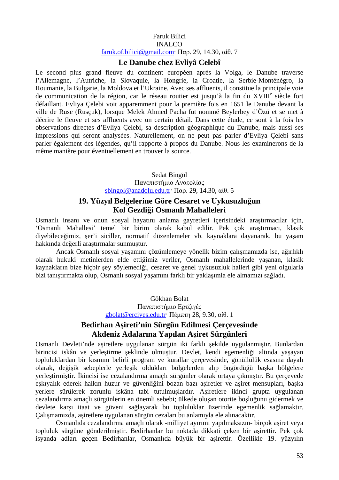# Faruk Bilici INALCO faruk.of.bilici@gmail.com· Παρ. 29, 14.30, αίθ. 7

# **Le Danube chez Evliyâ Celebî**

Le second plus grand fleuve du continent européen après la Volga, le Danube traverse l'Allemagne, l'Autriche, la Slovaquie, la Hongrie, la Croatie, la Serbie-Monténégro, la Roumanie, la Bulgarie, la Moldova et l'Ukraine. Avec ses affluents, il constitue la principale voie de communication de la région, car le réseau routier est jusqu'à la fin du XVIII<sup>e</sup> siècle fort défaillant. Evliya Çelebi voit apparemment pour la première fois en 1651 le Danube devant la ville de Ruse (Rusçuk), lorsque Melek Ahmed Pacha fut nommé Beylerbey d'Özü et se met à décrire le fleuve et ses affluents avec un certain détail. Dans cette étude, ce sont à la fois les observations directes d'Evliya Çelebi, sa description géographique du Danube, mais aussi ses impressions qui seront analysées. Naturellement, on ne peut pas parler d'Evliya Çelebi sans parler également des légendes, qu'il rapporte à propos du Danube. Nous les examinerons de la même manière pour éventuellement en trouver la source.

> Sedat Bingöl Πανεπιστήμιο Ανατολίας sbingol@anadolu.edu.tr<sup>·</sup> Παρ. 29, 14.30, αίθ. 5

# **19. Yüzyıl Belgelerine Göre Cesaret ve Uykusuzluğun Kol Gezdiği Osmanlı Mahalleleri**

Osmanlı insanı ve onun sosyal hayatını anlama gayretleri içerisindeki araştırmacılar için, 'Osmanlı Mahallesi' temel bir birim olarak kabul edilir. Pek çok araştırmacı, klasik diyebileceğimiz, şer'i siciller, normatif düzenlemeler vb. kaynaklara dayanarak, bu yaşam hakkında değerli araştırmalar sunmuştur.

Ancak Osmanlı sosyal yaşamını çözümlemeye yönelik bizim çalışmamızda ise, ağırlıklı olarak hukuki metinlerden elde ettiğimiz veriler, Osmanlı mahallelerinde yaşanan, klasik kaynakların bize hiçbir şey söylemediği, cesaret ve genel uykusuzluk halleri gibi yeni olgularla bizi tanıştırmakta olup, Osmanlı sosyal yaşamını farklı bir yaklaşımla ele almamızı sağladı.

> Gökhan Bolat Πανεπιστήμιο Ερτζιγές gbolat@erciyes.edu.tr· Πέμπτη 28, 9.30, αίθ. 1

# **Bedirhan Aşireti'nin Sürgün Edilmesi Çerçevesinde Akdeniz Adalarına Yapılan Aşiret Sürgünleri**

Osmanlı Devleti'nde aşiretlere uygulanan sürgün iki farklı şekilde uygulanmıştır. Bunlardan birincisi iskân ve yerleştirme şeklinde olmuştur. Devlet, kendi egemenliği altında yaşayan topluluklardan bir kısmını belirli program ve kurallar çerçevesinde, gönüllülük esasına dayalı olarak, değişik sebeplerle yerleşik oldukları bölgelerden alıp öngördüğü başka bölgelere yerleştirmiştir. İkincisi ise cezalandırma amaçlı sürgünler olarak ortaya çıkmıştır. Bu çerçevede eşkıyalık ederek halkın huzur ve güvenliğini bozan bazı aşiretler ve aşiret mensupları, başka yerlere sürülerek zorunlu iskâna tabi tutulmuşlardır. Aşiretlere ikinci grupta uygulanan cezalandırma amaçlı sürgünlerin en önemli sebebi; ülkede oluşan otorite boşluğunu gidermek ve devlete karşı itaat ve güveni sağlayarak bu topluluklar üzerinde egemenlik sağlamaktır. Çalışmamızda, aşiretlere uygulanan sürgün cezaları bu anlamıyla ele alınacaktır.

Osmanlıda cezalandırma amaçlı olarak -milliyet ayırımı yapılmaksızın- birçok aşiret veya topluluk sürgüne gönderilmiştir. Bedirhanlar bu noktada dikkati çeken bir aşirettir. Pek çok isyanda adları geçen Bedirhanlar, Osmanlıda büyük bir aşirettir. Özellikle 19. yüzyılın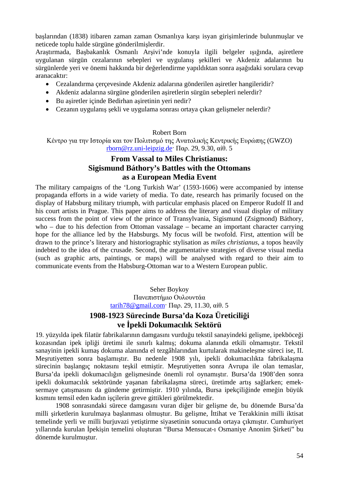başlarından (1838) itibaren zaman zaman Osmanlıya karşı isyan girişimlerinde bulunmuşlar ve neticede toplu halde sürgüne gönderilmişlerdir.

Araştırmada, Başbakanlık Osmanlı Arşivi'nde konuyla ilgili belgeler ışığında, aşiretlere uygulanan sürgün cezalarının sebepleri ve uygulanış şekilleri ve Akdeniz adalarının bu sürgünlerde yeri ve önemi hakkında bir değerlendirme yapıldıktan sonra aşağıdaki sorulara cevap aranacaktır:

- Cezalandırma çerçevesinde Akdeniz adalarına gönderilen aşiretler hangileridir?
- Akdeniz adalarına sürgüne gönderilen aşiretlerin sürgün sebepleri nelerdir?
- Bu aşiretler içinde Bedirhan aşiretinin yeri nedir?
- Cezanın uygulanış şekli ve uygulama sonrası ortaya çıkan gelişmeler nelerdir?

#### Robert Born

Κέντρο για την Ιστορία και τον Πολιτισμό της Ανατολικής Κεντρικής Ευρώπης (GWZO) rborn@rz.uni-leipzig.de· Παρ. 29, 9.30, αίθ. 5

# **From Vassal to Miles Christianus: Sigismund Báthory's Battles with the Ottomans as a European Media Event**

The military campaigns of the 'Long Turkish War' (1593-1606) were accompanied by intense propaganda efforts in a wide variety of media. To date, research has primarily focused on the display of Habsburg military triumph, with particular emphasis placed on Emperor Rudolf II and his court artists in Prague. This paper aims to address the literary and visual display of military success from the point of view of the prince of Transylvania, Sigismund (Zsigmond) Báthory, who – due to his defection from Ottoman vassalage – became an important character carrying hope for the alliance led by the Habsburgs. My focus will be twofold. First, attention will be drawn to the prince's literary and historiographic stylisation as *miles christianus*, a topos heavily indebted to the idea of the crusade. Second, the argumentative strategies of diverse visual media (such as graphic arts, paintings, or maps) will be analysed with regard to their aim to communicate events from the Habsburg-Ottoman war to a Western European public.

> Seher Boykoy Πανεπιστήμιο Ουλουντάα tarih78@gmail.com· Παρ. 29, 11.30, αίθ. 5

# **1908-1923 Sürecinde Bursa'da Koza Üreticiliği ve İpekli Dokumacılık Sektörü**

19. yüzyılda ipek filatür fabrikalarının damgasını vurduğu tekstil sanayindeki gelişme, ipekböceği kozasından ipek ipliği üretimi ile sınırlı kalmış; dokuma alanında etkili olmamıştır. Tekstil sanayinin ipekli kumaş dokuma alanında el tezgâhlarından kurtularak makineleşme süreci ise, II. Meşrutiyetten sonra başlamıştır. Bu nedenle 1908 yılı, ipekli dokumacılıkta fabrikalaşma sürecinin başlangıç noktasını teşkil etmiştir. Meşrutiyetten sonra Avrupa ile olan temaslar, Bursa'da ipekli dokumacılığın gelişmesinde önemli rol oynamıştır. Bursa'da 1908'den sonra ipekli dokumacılık sektöründe yaşanan fabrikalaşma süreci, üretimde artış sağlarken; emeksermaye çatışmasını da gündeme getirmiştir. 1910 yılında, Bursa ipekçiliğinde emeğin büyük kısmını temsil eden kadın işçilerin greve gittikleri görülmektedir.

1908 sonrasındaki sürece damgasını vuran diğer bir gelişme de, bu dönemde Bursa'da milli şirketlerin kurulmaya başlanması olmuştur. Bu gelişme, İttihat ve Terakkinin milli iktisat temelinde yerli ve milli burjuvazi yetiştirme siyasetinin sonucunda ortaya çıkmıştır. Cumhuriyet yıllarında kurulan İpekişin temelini oluşturan "Bursa Mensucat-ı Osmaniye Anonim Şirketi" bu dönemde kurulmuştur.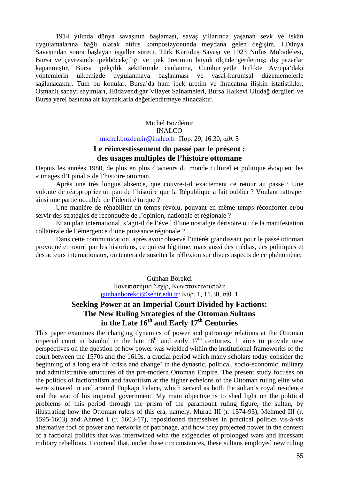1914 yılında dünya savaşının başlaması, savaş yıllarında yaşanan sevk ve iskân uygulamalarına bağlı olarak nüfus komposizyonunda meydana gelen değişim, I.Dünya Savaşından sonra başlayan işgaller süreci, Türk Kurtuluş Savaşı ve 1923 Nüfus Mübadelesi, Bursa ve çevresinde ipekböcekçiliği ve ipek üretimini büyük ölçüde geriletmiş; dış pazarlar kapanmıştır. Bursa ipekçilik sektöründe canlanma, Cumhuriyetle birlikte Avrupa'daki yöntemlerin ülkemizde uygulanmaya başlanması ve yasal-kurumsal düzenlemelerle sağlanacaktır. Tüm bu konular, Bursa'da ham ipek üretim ve ihracatına ilişkin istatistikler, Osmanlı sanayi sayımları, Hüdavendigar Vilayet Salnameleri, Bursa Halkevi Uludağ dergileri ve Bursa yerel basınına ait kaynaklarla değerlendirmeye alınacaktır.

> Michel Bozdémir INALCO michel.bozdemir@inalco.fr· Παρ. 29, 16.30, αίθ. 5

# **Le réinvestissement du passé par le présent : des usages multiples de l'histoire ottomane**

Depuis les années 1980, de plus en plus d'acteurs du monde culturel et politique évoquent les « images d'Epinal » de l'histoire ottoman.

Après une très longue absence, que couvre-t-il exactement ce retour au passé ? Une volonté de réapproprier un pan de l'histoire que la République a fait oublier ? Voulant rattraper ainsi une partie occultée de l'identité turque ?

Une manière de réhabiliter un temps révolu, pouvant en même temps réconforter et/ou servir des stratégies de reconquête de l'opinion, nationale et régionale ?

Et au plan international, s'agit-il de l'éveil d'une nostalgie dérisoire ou de la manifestation collatérale de l'émergence d'une puissance régionale ?

Dans cette communication, après avoir observé l'intérêt grandissant pour le passé ottoman provoqué et nourri par les historiens, ce qui est légitime, mais aussi des médias, des politiques et des acteurs internationaux, on tentera de susciter la réflexion sur divers aspects de ce phénomène.

> Günhan Börekçi Πανεπιστήμιο Σεχίρ, Κωνσταντινούπολη gunhanborekci@sehir.edu.tr· Κυρ. 1, 11.30, αίθ. 1

# **Seeking Power at an Imperial Court Divided by Factions: The New Ruling Strategies of the Ottoman Sultans in the Late 16th and Early 17th Centuries**

This paper examines the changing dynamics of power and patronage relations at the Ottoman imperial court in Istanbul in the late  $16<sup>th</sup>$  and early  $17<sup>th</sup>$  centuries. It aims to provide new perspectives on the question of how power was wielded within the institutional frameworks of the court between the 1570s and the 1610s, a crucial period which many scholars today consider the beginning of a long era of 'crisis and change' in the dynastic, political, socio-economic, military and administrative structures of the pre-modern Ottoman Empire. The present study focuses on the politics of factionalism and favoritism at the higher echelons of the Ottoman ruling elite who were situated in and around Topkapı Palace, which served as both the sultan's royal residence and the seat of his imperial government. My main objective is to shed light on the political problems of this period through the prism of the paramount ruling figure, the sultan, by illustrating how the Ottoman rulers of this era, namely, Murad III (r. 1574-95), Mehmed III (r. 1595-1603) and Ahmed I (r. 1603-17), repositioned themselves in practical politics vis-à-vis alternative foci of power and networks of patronage, and how they projected power in the context of a factional politics that was intertwined with the exigencies of prolonged wars and incessant military rebellions. I contend that, under these circumstances, these sultans employed new ruling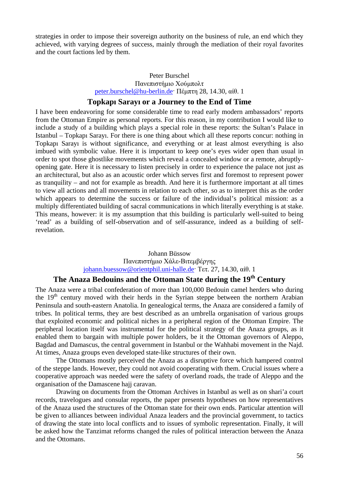strategies in order to impose their sovereign authority on the business of rule, an end which they achieved, with varying degrees of success, mainly through the mediation of their royal favorites and the court factions led by them.

#### Peter Burschel Πανεπιστήμιο Χούμπολτ peter.burschel@hu-berlin.de· Πέμπτη 28, 14.30, αίθ. 1

#### **Topkapı Sarayı or a Journey to the End of Time**

I have been endeavoring for some considerable time to read early modern ambassadors' reports from the Ottoman Empire as personal reports. For this reason, in my contribution I would like to include a study of a building which plays a special role in these reports: the Sultan's Palace in Istanbul – Topkapı Sarayı. For there is one thing about which all these reports concur: nothing in Topkapı Sarayı is without significance, and everything or at least almost everything is also imbued with symbolic value. Here it is important to keep one's eyes wider open than usual in order to spot those ghostlike movements which reveal a concealed window or a remote, abruptlyopening gate. Here it is necessary to listen precisely in order to experience the palace not just as an architectural, but also as an acoustic order which serves first and foremost to represent power as tranquility – and not for example as breadth. And here it is furthermore important at all times to view all actions and all movements in relation to each other, so as to interpret this as the order which appears to determine the success or failure of the individual's political mission: as a multiply differentiated building of sacral communications in which literally everything is at stake. This means, however: it is my assumption that this building is particularly well-suited to being 'read' as a building of self-observation and of self-assurance, indeed as a building of selfrevelation.

#### Johann Büssow Πανεπιστήμιο Χάλε-Βιτεμβέργης johann.buessow@orientphil.uni-halle.de· Τετ. 27, 14.30, αίθ. 1

# **The Anaza Bedouins and the Ottoman State during the 19th Century**

The Anaza were a tribal confederation of more than 100,000 Bedouin camel herders who during the  $19<sup>th</sup>$  century moved with their herds in the Syrian steppe between the northern Arabian Peninsula and south-eastern Anatolia. In genealogical terms, the Anaza are considered a family of tribes. In political terms, they are best described as an umbrella organisation of various groups that exploited economic and political niches in a peripheral region of the Ottoman Empire. The peripheral location itself was instrumental for the political strategy of the Anaza groups, as it enabled them to bargain with multiple power holders, be it the Ottoman governors of Aleppo, Bagdad and Damascus, the central government in Istanbul or the Wahhabi movement in the Najd. At times, Anaza groups even developed state-like structures of their own.

The Ottomans mostly perceived the Anaza as a disruptive force which hampered control of the steppe lands. However, they could not avoid cooperating with them. Crucial issues where a cooperative approach was needed were the safety of overland roads, the trade of Aleppo and the organisation of the Damascene hajj caravan.

Drawing on documents from the Ottoman Archives in Istanbul as well as on shari'a court records, travelogues and consular reports, the paper presents hypotheses on how representatives of the Anaza used the structures of the Ottoman state for their own ends. Particular attention will be given to alliances between individual Anaza leaders and the provincial government, to tactics of drawing the state into local conflicts and to issues of symbolic representation. Finally, it will be asked how the Tanzimat reforms changed the rules of political interaction between the Anaza and the Ottomans.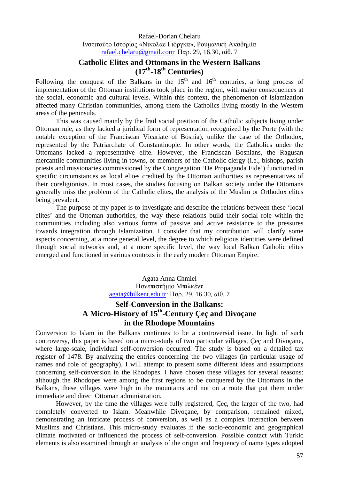Rafael-Dorian Chelaru Ινστιτούτο Ιστορίας «Νικολάε Γιόργκα», Ρουμανική Ακαδημία rafael.chelaru@gmail.com· Παρ. 29, 16.30, αίθ. 7

# **Catholic Elites and Ottomans in the Western Balkans (17th-18th Centuries)**

Following the conquest of the Balkans in the  $15<sup>th</sup>$  and  $16<sup>th</sup>$  centuries, a long process of implementation of the Ottoman institutions took place in the region, with major consequences at the social, economic and cultural levels. Within this context, the phenomenon of Islamization affected many Christian communities, among them the Catholics living mostly in the Western areas of the peninsula.

This was caused mainly by the frail social position of the Catholic subjects living under Ottoman rule, as they lacked a juridical form of representation recognized by the Porte (with the notable exception of the Franciscan Vicariate of Bosnia), unlike the case of the Orthodox, represented by the Patriarchate of Constantinople. In other words, the Catholics under the Ottomans lacked a representative elite. However, the Franciscan Bosnians, the Ragusan mercantile communities living in towns, or members of the Catholic clergy (i.e., bishops, parish priests and missionaries commissioned by the Congregation 'De Propaganda Fide') functioned in specific circumstances as local elites credited by the Ottoman authorities as representatives of their coreligionists. In most cases, the studies focusing on Balkan society under the Ottomans generally miss the problem of the Catholic elites, the analysis of the Muslim or Orthodox elites being prevalent.

The purpose of my paper is to investigate and describe the relations between these 'local elites' and the Ottoman authorities, the way these relations build their social role within the communities including also various forms of passive and active resistance to the pressures towards integration through Islamization. I consider that my contribution will clarify some aspects concerning, at a more general level, the degree to which religious identities were defined through social networks and, at a more specific level, the way local Balkan Catholic elites emerged and functioned in various contexts in the early modern Ottoman Empire.

> Agata Anna Chmiel Πανεπιστήμιο Μπιλκέντ agata@bilkent.edu.tr· Παρ. 29, 16.30, αίθ. 7

# **Self-Conversion in the Balkans: A Micro-History of 15th-Century Çeç and Divoçane in the Rhodope Mountains**

Conversion to Islam in the Balkans continues to be a controversial issue. In light of such controversy, this paper is based on a micro-study of two particular villages, Çeç and Divoçane, where large-scale, individual self-conversion occurred. The study is based on a detailed tax register of 1478. By analyzing the entries concerning the two villages (in particular usage of names and role of geography), I will attempt to present some different ideas and assumptions concerning self-conversion in the Rhodopes. I have chosen these villages for several reasons: although the Rhodopes were among the first regions to be conquered by the Ottomans in the Balkans, these villages were high in the mountains and not on a route that put them under immediate and direct Ottoman administration.

However, by the time the villages were fully registered, Çeç, the larger of the two, had completely converted to Islam. Meanwhile Divoçane, by comparison, remained mixed, demonstrating an intricate process of conversion, as well as a complex interaction between Muslims and Christians. This micro-study evaluates if the socio-economic and geographical climate motivated or influenced the process of self-conversion. Possible contact with Turkic elements is also examined through an analysis of the origin and frequency of name types adopted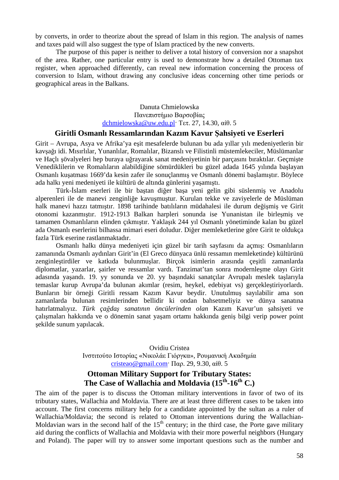by converts, in order to theorize about the spread of Islam in this region. The analysis of names and taxes paid will also suggest the type of Islam practiced by the new converts.

The purpose of this paper is neither to deliver a total history of conversion nor a snapshot of the area. Rather, one particular entry is used to demonstrate how a detailed Ottoman tax register, when approached differently, can reveal new information concerning the process of conversion to Islam, without drawing any conclusive ideas concerning other time periods or geographical areas in the Balkans.

> Danuta Chmielowska Πανεπιστήμιο Βαρσοβίας dchmielowska@uw.edu.pl· Τετ. 27, 14.30, αίθ. 5

#### **Giritli Osmanlı Ressamlarından Kazım Kavur Şahsiyeti ve Eserleri**

Girit – Avrupa, Asya ve Afrika'ya eşit mesafelerde bulunan bu ada yıllar yılı medeniyetlerin bir kavşağı idi. Mısırlılar, Yunanlılar, Romalılar, Bizanslı ve Filistinli müstemlekeciler, Müslümanlar ve Haçlı şövalyeleri hep buraya uğrayarak sanat medeniyetinin bir parçasını bıraktılar. Geçmişte Venediklilerin ve Romalıların alabildiğine sömürdükleri bu güzel adada 1645 yılında başlayan Osmanlı kuşatması 1669'da kesin zafer ile sonuçlanmış ve Osmanlı dönemi başlamıştır. Böylece ada halkı yeni medeniyeti ile kültürü de altında günlerini yaşamıştı.

Türk-İslam eserleri ile bir baştan diğer başa yeni gelin gibi süslenmiş ve Anadolu alperenleri ile de manevi zenginliğe kavuşmuştur. Kurulan tekke ve zaviyelerle de Müslüman halk manevi hazzı tatmıştır. 1898 tarihinde batılıların müdahalesi ile durum değişmiş ve Girit otonomi kazanmıştır. 1912-1913 Balkan harpleri sonunda ise Yunanistan ile birleşmiş ve tamamen Osmanlıların elinden çıkmıştır. Yaklaşık 244 yıl Osmanlı yönetiminde kalan bu güzel ada Osmanlı eserlerini bilhassa mimari eseri doludur. Diğer memleketlerine göre Girit te oldukça fazla Türk eserine rastlanmaktadır.

Osmanlı halkı dünya medeniyeti için güzel bir tarih sayfasını da açmış: Osmanlıların zamanında Osmanlı aydınları Girit'in (El Greco dünyaca ünlü ressamın memleketinde) kültürünü zenginleştirdiler ve katkıda bulunmuşlar. Birçok isimlerin arasında çeşitli zamanlarda diplomatlar, yazarlar, şairler ve ressamlar vardı. Tanzimat'tan sonra modernleşme olayı Girit adasında yaşandı. 19. yy sonunda ve 20. yy başındaki sanatçılar Avrupalı meslek taşlarıyla temaslar kurup Avrupa'da bulunan akımlar (resim, heykel, edebiyat vs) gerçekleştiriyorlardı. Bunların bir örneği Giritli ressam Kazım Kavur beydir. Unutulmuş sayılabilir ama son zamanlarda bulunan resimlerinden bellidir ki ondan bahsetmeliyiz ve dünya sanatına hatırlatmalıyız. *Türk çağdaş sanatının öncülerinden olan* Kazım Kavur'un şahsiyeti ve çalışmaları hakkında ve o dönemin sanat yaşam ortamı hakkında geniş bilgi verip power point şekilde sunum yapılacak.

> Ovidiu Cristea Ινστιτούτο Ιστορίας «Νικολάε Γιόργκα», Ρουμανική Ακαδημία cristeao@gmail.com· Παρ. 29, 9.30, αίθ. 5

# **Ottoman Military Support for Tributary States: The Case of Wallachia and Moldavia (15th-16th C.)**

The aim of the paper is to discuss the Ottoman military interventions in favor of two of its tributary states, Wallachia and Moldavia. There are at least three different cases to be taken into account. The first concerns military help for a candidate appointed by the sultan as a ruler of Wallachia/Moldavia; the second is related to Ottoman interventions during the Wallachian-Moldavian wars in the second half of the  $15<sup>th</sup>$  century; in the third case, the Porte gave military aid during the conflicts of Wallachia and Moldavia with their more powerful neighbors (Hungary and Poland). The paper will try to answer some important questions such as the number and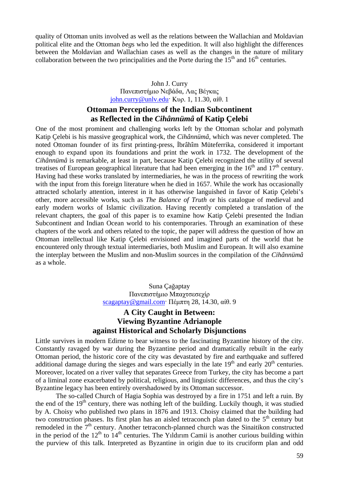quality of Ottoman units involved as well as the relations between the Wallachian and Moldavian political elite and the Ottoman *beg*s who led the expedition. It will also highlight the differences between the Moldavian and Wallachian cases as well as the changes in the nature of military collaboration between the two principalities and the Porte during the  $15<sup>th</sup>$  and  $16<sup>th</sup>$  centuries.

#### John J. Curry Πανεπιστήμιο Νεβάδα, Λας Βέγκας john.curry@unlv.edu· Κυρ. 1, 11.30, αίθ. 1

# **Ottoman Perceptions of the Indian Subcontinent as Reflected in the** *Cihânnümâ* **of Katip Çelebi**

One of the most prominent and challenging works left by the Ottoman scholar and polymath Katip Çelebi is his massive geographical work, the *Cihânnümâ*, which was never completed. The noted Ottoman founder of its first printing-press, İbrâhîm Müteferrika, considered it important enough to expand upon its foundations and print the work in 1732. The development of the *Cihânnümâ* is remarkable, at least in part, because Katip Çelebi recognized the utility of several treatises of European geographical literature that had been emerging in the  $16<sup>th</sup>$  and  $17<sup>th</sup>$  century. Having had these works translated by intermediaries, he was in the process of rewriting the work with the input from this foreign literature when he died in 1657. While the work has occasionally attracted scholarly attention, interest in it has otherwise languished in favor of Katip Çelebi's other, more accessible works, such as *The Balance of Truth* or his catalogue of medieval and early modern works of Islamic civilization. Having recently completed a translation of the relevant chapters, the goal of this paper is to examine how Katip Çelebi presented the Indian Subcontinent and Indian Ocean world to his contemporaries. Through an examination of these chapters of the work and others related to the topic, the paper will address the question of how an Ottoman intellectual like Katip Çelebi envisioned and imagined parts of the world that he encountered only through textual intermediaries, both Muslim and European. It will also examine the interplay between the Muslim and non-Muslim sources in the compilation of the *Cihânnümâ* as a whole.

> Suna Çağaptay Πανεπιστήμιο Μπαχτσεσεχίρ scagaptay@gmail.com· Πέμπτη 28, 14.30, αίθ. 9

# **A City Caught in Between: Viewing Byzantine Adrianople against Historical and Scholarly Disjunctions**

Little survives in modern Edirne to bear witness to the fascinating Byzantine history of the city. Constantly ravaged by war during the Byzantine period and dramatically rebuilt in the early Ottoman period, the historic core of the city was devastated by fire and earthquake and suffered additional damage during the sieges and wars especially in the late  $19<sup>th</sup>$  and early  $20<sup>th</sup>$  centuries. Moreover, located on a river valley that separates Greece from Turkey, the city has become a part of a liminal zone exacerbated by political, religious, and linguistic differences, and thus the city's Byzantine legacy has been entirely overshadowed by its Ottoman successor.

The so-called Church of Hagia Sophia was destroyed by a fire in 1751 and left a ruin. By the end of the  $19<sup>th</sup>$  century, there was nothing left of the building. Luckily though, it was studied by A. Choisy who published two plans in 1876 and 1913. Choisy claimed that the building had two construction phases. Its first plan has an aisled tetraconch plan dated to the 5<sup>th</sup> century but remodeled in the  $7<sup>th</sup>$  century. Another tetraconch-planned church was the Sinaitikon constructed in the period of the  $12<sup>th</sup>$  to  $14<sup>th</sup>$  centuries. The Yıldırım Camii is another curious building within the purview of this talk. Interpreted as Byzantine in origin due to its cruciform plan and odd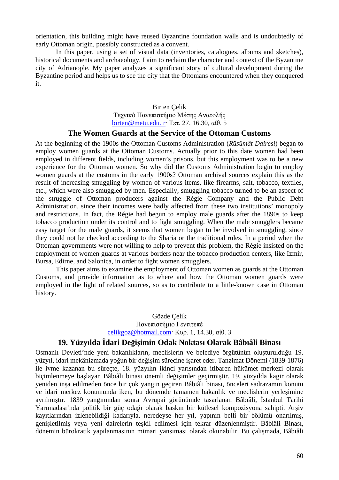orientation, this building might have reused Byzantine foundation walls and is undoubtedly of early Ottoman origin, possibly constructed as a convent.

In this paper, using a set of visual data (inventories, catalogues, albums and sketches), historical documents and archaeology, I aim to reclaim the character and context of the Byzantine city of Adrianople. My paper analyzes a significant story of cultural development during the Byzantine period and helps us to see the city that the Ottomans encountered when they conquered it.

#### Birten Çelik Τεχνικό Πανεπιστήμιο Μέσης Ανατολής birten@metu.edu.tr· Τετ. 27, 16.30, αίθ. 5

#### **The Women Guards at the Service of the Ottoman Customs**

At the beginning of the 1900s the Ottoman Customs Administration (*Rüsûmât Dairesi*) began to employ women guards at the Ottoman Customs. Actually prior to this date women had been employed in different fields, including women's prisons, but this employment was to be a new experience for the Ottoman women. So why did the Customs Administration begin to employ women guards at the customs in the early 1900s? Ottoman archival sources explain this as the result of increasing smuggling by women of various items, like firearms, salt, tobacco, textiles, etc., which were also smuggled by men. Especially, smuggling tobacco turned to be an aspect of the struggle of Ottoman producers against the Régie Company and the Public Debt Administration, since their incomes were badly affected from these two institutions' monopoly and restrictions. In fact, the Régie had begun to employ male guards after the 1890s to keep tobacco production under its control and to fight smuggling. When the male smugglers became easy target for the male guards, it seems that women began to be involved in smuggling, since they could not be checked according to the Sharia or the traditional rules. In a period when the Ottoman governments were not willing to help to prevent this problem, the Régie insisted on the employment of women guards at various borders near the tobacco production centers, like Izmir, Bursa, Edirne, and Salonica, in order to fight women smugglers.

This paper aims to examine the employment of Ottoman women as guards at the Ottoman Customs, and provide information as to where and how the Ottoman women guards were employed in the light of related sources, so as to contribute to a little-known case in Ottoman history.

#### Gözde Çelik Πανεπιστήμιο Γεντιτεπέ celikgoz@hotmail.com· Κυρ. 1, 14.30, αίθ. 3

#### **19. Yüzyılda İdari Değişimin Odak Noktası Olarak Bâbıâli Binası**

Osmanlı Devleti'nde yeni bakanlıkların, meclislerin ve belediye örgütünün oluşturulduğu 19. yüzyıl, idari mekânizmada yoğun bir değişim sürecine işaret eder. Tanzimat Dönemi (1839-1876) ile ivme kazanan bu süreçte, 18. yüzyılın ikinci yarısından itibaren hükümet merkezi olarak biçimlenmeye başlayan Bâbıâli binası önemli değişimler geçirmiştir. 19. yüzyılda kagir olarak yeniden inşa edilmeden önce bir çok yangın geçiren Bâbıâli binası, önceleri sadrazamın konutu ve idari merkez konumunda iken, bu dönemde tamamen bakanlık ve meclislerin yerleşimine ayrılmıştır. 1839 yangınından sonra Avrupai görünümde tasarlanan Bâbıâli, İstanbul Tarihi Yarımadası'nda politik bir güç odağı olarak baskın bir kütlesel kompozisyona sahipti. Arşiv kayıtlarından izlenebildiği kadarıyla, neredeyse her yıl, yapının belli bir bölümü onarılmış, genişletilmiş veya yeni dairelerin teşkil edilmesi için tekrar düzenlenmiştir. Bâbiâli Binası, dönemin bürokratik yapılanmasının mimari yansıması olarak okunabilir. Bu çalışmada, Bâbıâli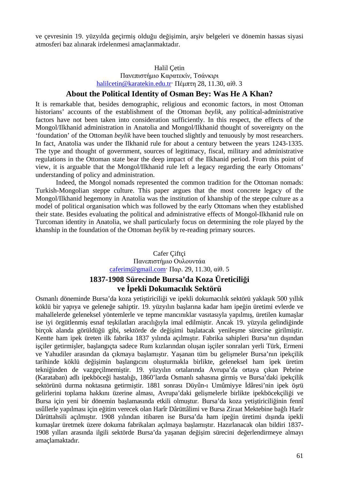ve çevresinin 19. yüzyılda geçirmiş olduğu değişimin, arşiv belgeleri ve dönemin hassas siyasi atmosferi baz alınarak irdelenmesi amaçlanmaktadır.

#### Halil Çetin Πανεπιστήμιο Καρατεκίν, Τσάνκιρι

halilcetin@karatekin.edu.tr· Πέμπτη 28, 11.30, αίθ. 3

#### **About the Political Identity of Osman Bey: Was He A Khan?**

It is remarkable that, besides demographic, religious and economic factors, in most Ottoman historians' accounts of the establishment of the Ottoman *beylik*, any political-administrative factors have not been taken into consideration sufficiently. In this respect, the effects of the Mongol/Ilkhanid administration in Anatolia and Mongol/Ilkhanid thought of sovereignty on the 'foundation' of the Ottoman *beylik* have been touched slightly and tenuously by most researchers. In fact, Anatolia was under the Ilkhanid rule for about a century between the years 1243-1335. The type and thought of government, sources of legitimacy, fiscal, military and administrative regulations in the Ottoman state bear the deep impact of the Ilkhanid period. From this point of view, it is arguable that the Mongol/Ilkhanid rule left a legacy regarding the early Ottomans' understanding of policy and administration.

Indeed, the Mongol nomads represented the common tradition for the Ottoman nomads: Turkish-Mongolian steppe culture. This paper argues that the most concrete legacy of the Mongol/Ilkhanid hegemony in Anatolia was the institution of khanship of the steppe culture as a model of political organisation which was followed by the early Ottomans when they established their state. Besides evaluating the political and administrative effects of Mongol-Ilkhanid rule on Turcoman identity in Anatolia, we shall particularly focus on determining the role played by the khanship in the foundation of the Ottoman *beylik* by re-reading primary sources.

# Cafer Çiftçi Πανεπιστήμιο Ουλουντάα caferim@gmail.com· Παρ. 29, 11.30, αίθ. 5

# **1837-1908 Sürecinde Bursa'da Koza Üreticiliği ve İpekli Dokumacılık Sektörü**

Osmanlı döneminde Bursa'da koza yetiştiriciliği ve ipekli dokumacılık sektörü yaklaşık 500 yıllık köklü bir yapıya ve geleneğe sahiptir. 19. yüzyılın başlarına kadar ham ipeğin üretimi evlerde ve mahallelerde geleneksel yöntemlerle ve tepme mancınıklar vasıtasıyla yapılmış, üretilen kumaşlar ise iyi örgütlenmiş esnaf teşkilatları aracılığıyla imal edilmiştir. Ancak 19. yüzyıla gelindiğinde birçok alanda görüldüğü gibi, sektörde de değişimi başlatacak yenileşme sürecine girilmiştir. Kentte ham ipek üreten ilk fabrika 1837 yılında açılmıştır. Fabrika sahipleri Bursa'nın dışından işçiler getirmişler, başlangıçta sadece Rum kızlarından oluşan işçiler sonraları yerli Türk, Ermeni ve Yahudiler arasından da çıkmaya başlamıştır. Yaşanan tüm bu gelişmeler Bursa'nın ipekçilik tarihinde köklü değişimin başlangıcını oluşturmakla birlikte, geleneksel ham ipek üretim tekniğinden de vazgeçilmemiştir. 19. yüzyılın ortalarında Avrupa'da ortaya çıkan Pebrine (Karataban) adlı ipekböceği hastalığı, 1860'larda Osmanlı sahasına girmiş ve Bursa'daki ipekçilik sektörünü durma noktasına getirmiştir. 1881 sonrası Düyûn-ı Umûmiyye İdâresi'nin ipek öşrü gelirlerini toplama hakkını üzerine alması, Avrupa'daki gelişmelerle birlikte ipekböcekçiliği ve Bursa için yeni bir dönemin başlamasında etkili olmuştur. Bursa'da koza yetiştiriciliğinin fennî usûllerle yapılması için eğitim verecek olan Harîr Dârüttâlimi ve Bursa Ziraat Mektebine bağlı Harîr Dârüttahsili açılmıştır. 1908 yılından itibaren ise Bursa'da ham ipeğin üretimi dışında ipekli kumaşlar üretmek üzere dokuma fabrikaları açılmaya başlamıştır. Hazırlanacak olan bildiri 1837- 1908 yılları arasında ilgili sektörde Bursa'da yaşanan değişim sürecini değerlendirmeye almayı amaçlamaktadır.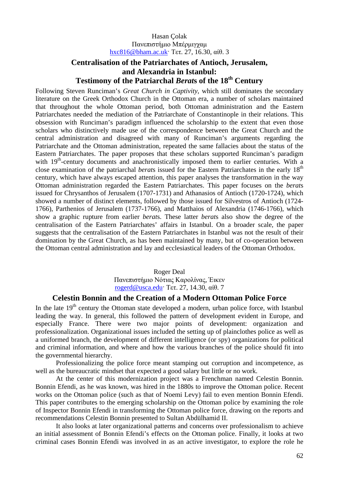#### Hasan Çolak Πανεπιστήμιο Μπέρμιγχαμ hxc816@bham.ac.uk· Τετ. 27, 16.30, αίθ. 3

# **Centralisation of the Patriarchates of Antioch, Jerusalem, and Alexandria in Istanbul: Testimony of the Patriarchal** *Berat***s of the 18th Century**

Following Steven Runciman's *Great Church in Captivity*, which still dominates the secondary literature on the Greek Orthodox Church in the Ottoman era, a number of scholars maintained that throughout the whole Ottoman period, both Ottoman administration and the Eastern Patriarchates needed the mediation of the Patriarchate of Constantinople in their relations. This obsession with Runciman's paradigm influenced the scholarship to the extent that even those scholars who distinctively made use of the correspondence between the Great Church and the central administration and disagreed with many of Runciman's arguments regarding the Patriarchate and the Ottoman administration, repeated the same fallacies about the status of the Eastern Patriarchates. The paper proposes that these scholars supported Runciman's paradigm with 19<sup>th</sup>-century documents and anachronistically imposed them to earlier centuries. With a close examination of the patriarchal *berat*s issued for the Eastern Patriarchates in the early 18th century, which have always escaped attention, this paper analyses the transformation in the way Ottoman administration regarded the Eastern Patriarchates. This paper focuses on the *berat*s issued for Chrysanthos of Jerusalem (1707-1731) and Athanasios of Antioch (1720-1724), which showed a number of distinct elements, followed by those issued for Silvestros of Antioch (1724- 1766), Parthenios of Jerusalem (1737-1766), and Matthaios of Alexandria (1746-1766), which show a graphic rupture from earlier *berat*s. These latter *berat*s also show the degree of the centralisation of the Eastern Patriarchates' affairs in Istanbul. On a broader scale, the paper suggests that the centralisation of the Eastern Patriarchates in Istanbul was not the result of their domination by the Great Church, as has been maintained by many, but of co-operation between the Ottoman central administration and lay and ecclesiastical leaders of the Ottoman Orthodox.

#### Roger Deal Πανεπιστήμιο Νότιας Καρολίνας, Έικεν rogerd@usca.edu· Τετ. 27, 14.30, αίθ. 7

#### **Celestin Bonnin and the Creation of a Modern Ottoman Police Force**

In the late 19<sup>th</sup> century the Ottoman state developed a modern, urban police force, with Istanbul leading the way. In general, this followed the pattern of development evident in Europe, and especially France. There were two major points of development: organization and professionalization. Organizational issues included the setting up of plainclothes police as well as a uniformed branch, the development of different intelligence (or spy) organizations for political and criminal information, and where and how the various branches of the police should fit into the governmental hierarchy.

Professionalizing the police force meant stamping out corruption and incompetence, as well as the bureaucratic mindset that expected a good salary but little or no work.

At the center of this modernization project was a Frenchman named Celestin Bonnin. Bonnin Efendi, as he was known, was hired in the 1880s to improve the Ottoman police. Recent works on the Ottoman police (such as that of Noemi Levy) fail to even mention Bonnin Efendi. This paper contributes to the emerging scholarship on the Ottoman police by examining the role of Inspector Bonnin Efendi in transforming the Ottoman police force, drawing on the reports and recommendations Celestin Bonnin presented to Sultan Abdülhamid II.

It also looks at later organizational patterns and concerns over professionalism to achieve an initial assessment of Bonnin Efendi's effects on the Ottoman police. Finally, it looks at two criminal cases Bonnin Efendi was involved in as an active investigator, to explore the role he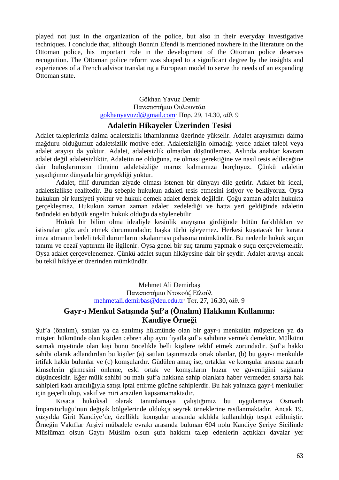played not just in the organization of the police, but also in their everyday investigative techniques. I conclude that, although Bonnin Efendi is mentioned nowhere in the literature on the Ottoman police, his important role in the development of the Ottoman police deserves recognition. The Ottoman police reform was shaped to a significant degree by the insights and experiences of a French advisor translating a European model to serve the needs of an expanding Ottoman state.

#### Gökhan Yavuz Demir Πανεπιστήμιο Ουλουντάα gokhanyavuzd@gmail.com· Παρ. 29, 14.30, αίθ. 9

#### **Adaletin Hikayeler Üzerinden Tesisi**

Adalet taleplerimiz daima adaletsizlik ithamlarımız üzerinde yükselir. Adalet arayışımızı daima mağduru olduğumuz adaletsizlik motive eder. Adaletsizliğin olmadığı yerde adalet talebi veya adalet arayışı da yoktur. Adalet, adaletsizlik olmadan düşünülemez. Aslında anahtar kavram adalet değil adaletsizliktir. Adaletin ne olduğuna, ne olması gerektiğine ve nasıl tesis edileceğine dair buluşlarımızın tümünü adaletsizliğe maruz kalmamıza borçluyuz. Çünkü adaletin yaşadığımız dünyada bir gerçekliği yoktur.

Adalet, fiilî durumdan ziyade olması istenen bir dünyayı dile getirir. Adalet bir ideal, adaletsizlikse realitedir. Bu sebeple hukukun adaleti tesis etmesini istiyor ve bekliyoruz. Oysa hukukun bir kutsiyeti yoktur ve hukuk demek adalet demek değildir. Çoğu zaman adalet hukukta gerçekleşmez. Hukukun zaman zaman adaleti zedelediği ve hatta yeri geldiğinde adaletin önündeki en büyük engelin hukuk olduğu da söylenebilir.

Hukuk bir bilim olma idealiyle kesinlik arayışına girdiğinde bütün farklılıkları ve istisnaları göz ardı etmek durumundadır; başka türlü işleyemez. Herkesi kuşatacak bir karara imza atmanın bedeli tekil durumların ıskalanması pahasına mümkündür. Bu nedenle hukuk suçun tanımı ve cezaî yaptırımı ile ilgilenir. Oysa genel bir suç tanımı yapmak o suçu çerçevelemektir. Oysa adalet çerçevelenemez. Çünkü adalet suçun hikâyesine dair bir şeydir. Adalet arayışı ancak bu tekil hikâyeler üzerinden mümkündür.

> Mehmet Ali Demirbaş Πανεπιστήμιο Ντοκούζ Εϊλούλ mehmetali.demirbas@deu.edu.tr· Τετ. 27, 16.30, αίθ. 9

# **Gayr-ı Menkul Satışında Şuf'a (Önalım) Hakkının Kullanımı: Kandiye Örneği**

Şuf'a (önalım), satılan ya da satılmış hükmünde olan bir gayr-ı menkulün müşteriden ya da müşteri hükmünde olan kişiden cebren alıp aynı fiyatla şuf'a sahibine vermek demektir. Mülkünü satmak niyetinde olan kişi bunu öncelikle belli kişilere teklif etmek zorundadır. Şuf'a hakkı sahibi olarak adlandırılan bu kişiler (a) satılan taşınmazda ortak olanlar, (b) bu gayr-ı menkulde irtifak hakkı bulunlar ve (c) komşulardır. Güdülen amaç ise, ortaklar ve komşular arasına zararlı kimselerin girmesini önleme, eski ortak ve komşuların huzur ve güvenliğini sağlama düşüncesidir. Eğer mülk sahibi bu malı şuf'a hakkına sahip olanlara haber vermeden satarsa hak sahipleri kadı aracılığıyla satışı iptal ettirme gücüne sahiplerdir. Bu hak yalnızca gayr-i menkuller için geçerli olup, vakıf ve miri arazileri kapsamamaktadır.

Kısaca hukuksal olarak tanımlamaya çalıştığımız bu uygulamaya Osmanlı İmparatorluğu'nun değişik bölgelerinde oldukça seyrek örneklerine rastlanmaktadır. Ancak 19. yüzyılda Girit Kandiye'de, özellikle komşular arasında sıklıkla kullanıldığı tespit edilmiştir. Örneğin Vakıflar Arşivi mübadele evrakı arasında bulunan 604 nolu Kandiye Şeriye Sicilinde Müslüman olsun Gayrı Müslim olsun şufa hakkını talep edenlerin açtıkları davalar yer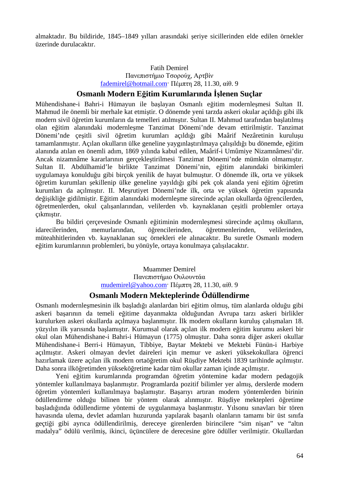almaktadır. Bu bildiride, 1845–1849 yılları arasındaki şeriye sicillerinden elde edilen örnekler üzerinde durulacaktır.

#### Fatih Demirel Πανεπιστήμιο Τσορούχ, Αρτβίν fademirel@hotmail.com· Πέμπτη 28, 11.30, αίθ. 9

# **Osmanlı Modern Eğitim Kurumlarında İşlenen Suçlar**

Mühendishane-i Bahri-i Hümayun ile başlayan Osmanlı eğitim modernleşmesi Sultan II. Mahmud ile önemli bir merhale kat etmiştir. O dönemde yeni tarzda askeri okular açıldığı gibi ilk modern sivil öğretim kurumların da temelleri atılmıştır. Sultan II. Mahmud tarafından başlatılmış olan eğitim alanındaki modernleşme Tanzimat Dönemi'nde devam ettirilmiştir. Tanzimat Dönemi'nde çeşitli sivil öğretim kurumları açıldığı gibi Maârif Nezâretinin kuruluşu tamamlanmıştır. Açılan okulların ülke geneline yaygınlaştırılmaya çalışıldığı bu dönemde, eğitim alanında atılan en önemli adım, 1869 yılında kabul edilen, Maârif-i Umûmiye Nizamnâmesi'dir. Ancak nizamnâme kararlarının gerçekleştirilmesi Tanzimat Dönemi'nde mümkün olmamıştır. Sultan II. Abdülhamid'le birlikte Tanzimat Dönemi'nin, eğitim alanındaki birikimleri uygulamaya konulduğu gibi birçok yenilik de hayat bulmuştur. O dönemde ilk, orta ve yüksek öğretim kurumları şekillenip ülke geneline yayıldığı gibi pek çok alanda yeni eğitim öğretim kurumları da açılmıştır. II. Meşrutiyet Dönemi'nde ilk, orta ve yüksek öğretim yapısında değişikliğe gidilmiştir. Eğitim alanındaki modernleşme sürecinde açılan okullarda öğrencilerden, öğretmenlerden, okul çalışanlarından, velilerden vb. kaynaklanan çeşitli problemler ortaya çıkmıştır.

Bu bildiri çerçevesinde Osmanlı eğitiminin modernleşmesi sürecinde açılmış okulların, idarecilerinden, memurlarından, öğrencilerinden, öğretmenlerinden, velilerinden, müteahhitlerinden vb. kaynaklanan suç örnekleri ele alınacaktır. Bu suretle Osmanlı modern eğitim kurumlarının problemleri, bu yönüyle, ortaya konulmaya çalışılacaktır.

# Muammer Demirel Πανεπιστήμιο Ουλουντάα mudemirel@yahoo.com· Πέμπτη 28, 11.30, αίθ. 9

### **Osmanlı Modern Mekteplerinde Ödüllendirme**

Osmanlı modernleşmesinin ilk başladığı alanlardan biri eğitim olmuş, tüm alanlarda olduğu gibi askeri başarının da temeli eğitime dayanmakta olduğundan Avrupa tarzı askeri birlikler kurulurken askeri okullarda açılmaya başlanmıştır. İlk modern okulların kuruluş çalışmaları 18. yüzyılın ilk yarısında başlamıştır. Kurumsal olarak açılan ilk modern eğitim kurumu askeri bir okul olan Mühendishane-i Bahri-i Hümayun (1775) olmuştur. Daha sonra diğer askeri okullar Mühendishane-i Berri-i Hümayun, Tibbiye, Baytar Mektebi ve Mektebi Fünün-i Harbiye açılmıştır. Askeri olmayan devlet daireleri için memur ve askeri yüksekokullara öğrenci hazırlamak üzere açılan ilk modern ortaöğretim okul Rüşdiye Mektebi 1839 tarihinde açılmıştır. Daha sonra ilköğretimden yükseköğretime kadar tüm okullar zaman içinde açılmıştır.

Yeni eğitim kurumlarında programdan öğretim yöntemine kadar modern pedagojik yöntemler kullanılmaya başlanmıştır. Programlarda pozitif bilimler yer almış, derslerde modern öğretim yöntemleri kullanılmaya başlamıştır. Başarıyı artıran modern yöntemlerden birinin ödüllendirme olduğu bilinen bir yöntem olarak alınmıştır. Rüşdiye mektepleri öğretime başladığında ödüllendirme yöntemi de uygulanmaya başlanmıştır. Yılsonu sınavları bir tören havasında ulema, devlet adamları huzurunda yapılarak başarılı olanların tamamı bir üst sınıfa geçtiği gibi ayrıca ödüllendirilmiş, dereceye girenlerden birincilere "sim nişan" ve "altın madalya" ödülü verilmiş, ikinci, üçüncülere de derecesine göre ödüller verilmiştir. Okullardan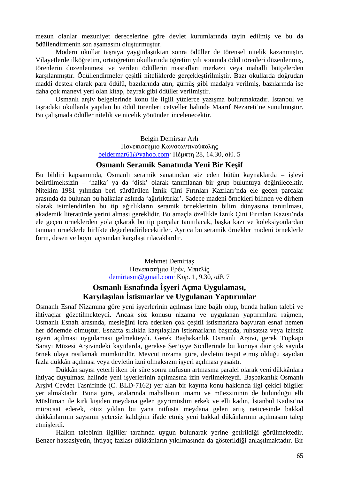mezun olanlar mezuniyet derecelerine göre devlet kurumlarında tayin edilmiş ve bu da ödüllendirmenin son aşamasını oluşturmuştur.

Modern okullar taşraya yaygınlaştıktan sonra ödüller de törensel nitelik kazanmıştır. Vilayetlerde ilköğretim, ortaöğretim okullarında öğretim yılı sonunda ödül törenleri düzenlenmiş, törenlerin düzenlenmesi ve verilen ödüllerin masrafları merkezi veya mahalli bütçelerden karşılanmıştır. Ödüllendirmeler çeşitli niteliklerde gerçekleştirilmiştir. Bazı okullarda doğrudan maddi destek olarak para ödülü, bazılarında atın, gümüş gibi madalya verilmiş, bazılarında ise daha çok manevi yeri olan kitap, bayrak gibi ödüller verilmiştir.

Osmanlı arşiv belgelerinde konu ile ilgili yüzlerce yazışma bulunmaktadır. İstanbul ve taşradaki okullarda yapılan bu ödül törenleri cetveller halinde Maarif Nezareti'ne sunulmuştur. Bu çalışmada ödüller nitelik ve nicelik yönünden incelenecektir.

> Belgin Demirsar Arlı Πανεπιστήμιο Κωνσταντινούπολης beldermar61@yahoo.com· Πέμπτη 28, 14.30, αίθ. 5

#### **Osmanlı Seramik Sanatında Yeni Bir Keşif**

Bu bildiri kapsamında, Osmanlı seramik sanatından söz eden bütün kaynaklarda – işlevi belirtilmeksizin – 'halka' ya da 'disk' olarak tanımlanan bir grup buluntuya değinilecektir. Nitekim 1981 yılından beri sürdürülen İznik Çini Fırınları Kazıları'nda ele geçen parçalar arasında da bulunan bu halkalar aslında 'ağırlıktırlar'. Sadece madeni örnekleri bilinen ve dirhem olarak isimlendirilen bu tip ağırlıkların seramik örneklerinin bilim dünyasına tanıtılması, akademik literatürde yerini alması gereklidir. Bu amaçla özellikle İznik Çini Fırınları Kazısı'nda ele geçen örneklerden yola çıkarak bu tip parçalar tanıtılacak, başka kazı ve koleksiyonlardan tanınan örneklerle birlikte değerlendirilecektirler. Ayrıca bu seramik örnekler madeni örneklerle form, desen ve boyut açısından karşılaştırılacaklardır.

> Mehmet Demirtaş Πανεπιστήμιο Ερέν, Μπιτλίς demirtasm@gmail.com· Κυρ. 1, 9.30, αίθ. 7

# **Osmanlı Esnafında İşyeri Açma Uygulaması, Karşılaşılan İstismarlar ve Uygulanan Yaptırımlar**

Osmanlı Esnaf Nizamına göre yeni işyerlerinin açılması izne bağlı olup, bunda halkın talebi ve ihtiyaçlar gözetilmekteydi. Ancak söz konusu nizama ve uygulanan yaptırımlara rağmen, Osmanlı Esnafı arasında, mesleğini icra ederken çok çeşitli istismarlara başvuran esnaf hemen her dönemde olmuştur. Esnafta sıklıkla karşılaşılan istismarların başında, ruhsatsız veya izinsiz işyeri açılması uygulaması gelmekteydi. Gerek Başbakanlık Osmanlı Arşivi, gerek Topkapı Sarayı Müzesi Arşivindeki kayıtlarda, gerekse Şer'iyye Sicillerinde bu konuya dair çok sayıda örnek olaya rastlamak mümkündür. Mevcut nizama göre, devletin tespit etmiş olduğu sayıdan fazla dükkân açılması veya devletin izni olmaksızın işyeri açılması yasaktı.

Dükkân sayısı yeterli iken bir süre sonra nüfusun artmasına paralel olarak yeni dükkânlara ihtiyaç duyulması halinde yeni işyerlerinin açılmasına izin verilmekteydi. Başbakanlık Osmanlı Arşivi Cevdet Tasnifinde (C. BLD-7162) yer alan bir kayıtta konu hakkında ilgi çekici bilgiler yer almaktadır. Buna göre, aralarında mahallenin imamı ve müezzininin de bulunduğu elli Müslüman ile kırk kişiden meydana gelen gayrimüslim erkek ve elli kadın, İstanbul Kadısı'na müracaat ederek, otuz yıldan bu yana nüfusta meydana gelen artış neticesinde bakkal dükkânlarının saysının yetersiz kaldığını ifade etmiş yeni bakkal dükânlarının açılmasını talep etmişlerdi.

Halkın talebinin ilgililer tarafında uygun bulunarak yerine getirildiği görülmektedir. Benzer hassasiyetin, ihtiyaç fazlası dükkânların yıkılmasında da gösterildiği anlaşılmaktadır. Bir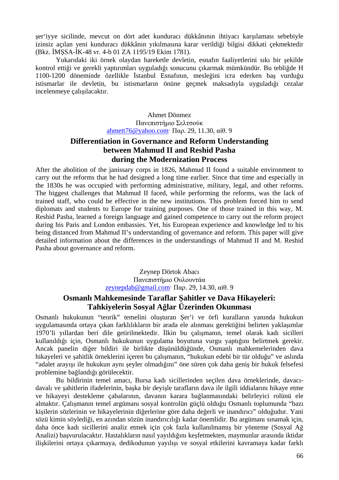şer'iyye sicilinde, mevcut on dört adet kunduracı dükkânının ihtiyacı karşılaması sebebiyle izinsiz açılan yeni kunduracı dükkânın yıkılmasına karar verildiği bilgisi dikkati çekmektedir (Bkz. İMŞSA-İK-48 vr. 4-b 01 ZA 1195/19 Ekim 1781).

Yukarıdaki iki örnek olaydan hareketle devletin, esnafın faaliyetlerini sıkı bir şekilde kontrol ettiği ve gerekli yaptırımları uyguladığı sonucunu çıkarmak mümkündür. Bu tebliğde H 1100-1200 döneminde özellikle İstanbul Esnafının, mesleğini icra ederken baş vurduğu istismarlar ile devletin, bu istismarların önüne geçmek maksadıyla uyguladığı cezalar incelenmeye çalışılacaktır.

> Ahmet Dönmez Πανεπιστήμιο Σελτσούκ ahmett76@yahoo.com· Παρ. 29, 11.30, αίθ. 9

# **Differentiation in Governance and Reform Understanding between Mahmud II and Reshid Pasha during the Modernization Process**

After the abolition of the janissary corps in 1826, Mahmud II found a suitable environment to carry out the reforms that he had designed a long time earlier. Since that time and especially in the 1830s he was occupied with performing administrative, military, legal, and other reforms. The biggest challenges that Mahmud II faced, while performing the reforms, was the lack of trained staff, who could be effective in the new institutions. This problem forced him to send diplomats and students to Europe for training purposes. One of those trained in this way, M. Reshid Pasha, learned a foreign language and gained competence to carry out the reform project during his Paris and London embassies. Yet, his European experience and knowledge led to his being distanced from Mahmud II's understanding of governance and reform. This paper will give detailed information about the differences in the understandings of Mahmud II and M. Reshid Pasha about governance and reform.

> Zeynep Dörtok Abacı Πανεπιστήμιο Ουλουντάα zeynepdab@gmail.com· Παρ. 29, 14.30, αίθ. 9

# **Osmanlı Mahkemesinde Taraflar Şahitler ve Dava Hikayeleri: Tahkiyelerin Sosyal Ağlar Üzerinden Okunması**

Osmanlı hukukunun "teorik" temelini oluşturan Şer'i ve örfi kuralların yanında hukukun uygulamasında ortaya çıkan farklılıkların bir arada ele alınması gerektiğini belirten yaklaşımlar 1970'li yıllardan beri dile getirilmektedir. İlkin bu çalışmanın, temel olarak kadı sicilleri kullanıldığı için, Osmanlı hukukunun uygulama boyutuna vurgu yaptığını belirtmek gerekir. Ancak panelin diğer bildiri ile birlikte düşünüldüğünde, Osmanlı mahkemelerinden dava hikayeleri ve şahitlik örneklerini içeren bu çalışmanın, "hukukun edebi bir tür olduğu" ve aslında "adalet arayışı ile hukukun aynı şeyler olmadığını" öne süren çok daha geniş bir hukuk felsefesi problemine bağlandığı görülecektir.

Bu bildirinin temel amacı, Bursa kadı sicillerinden seçilen dava örneklerinde, davacıdavalı ve şahitlerin ifadelerinin, başka bir deyişle tarafların dava ile ilgili iddialarını hikaye etme ve hikayeyi destekleme çabalarının, davanın karara bağlanmasındaki belirleyici rolünü ele almaktır. Çalışmanın temel argümanı sosyal kontrolün güçlü olduğu Osmanlı toplumunda "bazı kişilerin sözlerinin ve hikayelerinin diğerlerine göre daha değerli ve inandırıcı" olduğudur. Yani sözü kimin söylediği, en azından sözün inandırıcılığı kadar önemlidir. Bu argümanı sınamak için, daha önce kadı sicillerini analiz etmek için çok fazla kullanılmamış bir yönteme (Sosyal Ağ Analizi) başvurulacaktır. Hastalıkların nasıl yayıldığını keşfetmekten, maymunlar arasında iktidar ilişkilerini ortaya çıkarmaya, dedikodunun yayılışı ve sosyal etkilerini kavramaya kadar farklı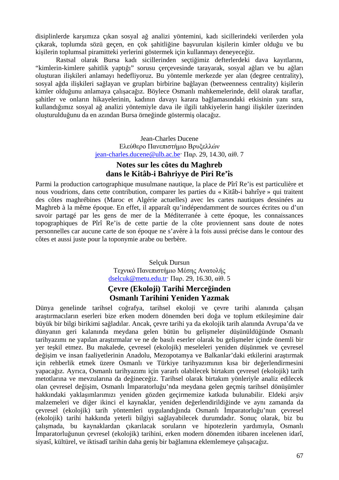disiplinlerde karşımıza çıkan sosyal ağ analizi yöntemini, kadı sicillerindeki verilerden yola çıkarak, toplumda sözü geçen, en çok şahitliğine başvurulan kişilerin kimler olduğu ve bu kişilerin toplumsal piramitteki yerlerini göstermek için kullanmayı deneyeceğiz.

Rastsal olarak Bursa kadı sicillerinden seçtiğimiz defterlerdeki dava kayıtlarını, "kimlerin-kimlere şahitlik yaptığı" sorusu çerçevesinde tarayarak, sosyal ağları ve bu ağları oluşturan ilişkileri anlamayı hedefliyoruz. Bu yöntemle merkezde yer alan (degree centrality), sosyal ağda ilişkileri sağlayan ve grupları birbirine bağlayan (betweenness centrality) kişilerin kimler olduğunu anlamaya çalışacağız. Böylece Osmanlı mahkemelerinde, delil olarak taraflar, şahitler ve onların hikayelerinin, kadının davayı karara bağlamasındaki etkisinin yanı sıra, kullandığımız sosyal ağ analizi yöntemiyle dava ile ilgili tahkiyelerin hangi ilişkiler üzerinden oluşturulduğunu da en azından Bursa örneğinde göstermiş olacağız.

> Jean-Charles Ducene Ελεύθερο Πανεπιστήμιο Βρυξελλών jean-charles.ducene@ulb.ac.be· Παρ. 29, 14.30, αίθ. 7

# **Notes sur les côtes du Maghreb dans le Kitâb-i Bahriyye de Piri Re'îs**

Parmi la production cartographique musulmane nautique, la place de Pîrî Re'is est particulière et nous voudrions, dans cette contribution, comparer les parties du « Kitâb-i bahrîye » qui traitent des côtes maghrébines (Maroc et Algérie actuelles) avec les cartes nautiques dessinées au Maghreb à la même époque. En effet, il apparaît qu'indépendamment de sources écrites ou d'un savoir partagé par les gens de mer de la Méditerranée à cette époque, les connaissances topographiques de Pîrî Re'is de cette partie de la côte proviennent sans doute de notes personnelles car aucune carte de son époque ne s'avère à la fois aussi précise dans le contour des côtes et aussi juste pour la toponymie arabe ou berbère.

> Selçuk Dursun Τεχνικό Πανεπιστήμιο Μέσης Ανατολής dselcuk@metu.edu.tr· Παρ. 29, 16.30, αίθ. 5

# **Çevre (Ekoloji) Tarihi Merceğinden Osmanlı Tarihini Yeniden Yazmak**

Dünya genelinde tarihsel coğrafya, tarihsel ekoloji ve çevre tarihi alanında çalışan araştırmacıların eserleri bize erken modern dönemden beri doğa ve toplum etkileşimine dair büyük bir bilgi birikimi sağladılar. Ancak, çevre tarihi ya da ekolojik tarih alanında Avrupa'da ve dünyanın geri kalanında meydana gelen bütün bu gelişmeler düşünüldüğünde Osmanlı tarihyazımı ne yapılan araştırmalar ve ne de basılı eserler olarak bu gelişmeler içinde önemli bir yer teşkil etmez. Bu makalede, çevresel (ekolojik) meseleleri yeniden düşünmek ve çevresel değişim ve insan faaliyetlerinin Anadolu, Mezopotamya ve Balkanlar'daki etkilerini araştırmak için rehberlik etmek üzere Osmanlı ve Türkiye tarihyazımının kısa bir değerlendirmesini yapacağız. Ayrıca, Osmanlı tarihyazımı için yararlı olabilecek birtakım çevresel (ekolojik) tarih metotlarına ve mevzularına da değineceğiz. Tarihsel olarak birtakım yönleriyle analiz edilecek olan çevresel değişim, Osmanlı İmparatorluğu'nda meydana gelen geçmiş tarihsel dönüşümler hakkındaki yaklaşımlarımızı yeniden gözden geçirmemize katkıda bulunabilir. Eldeki arşiv malzemeleri ve diğer ikinci el kaynaklar, yeniden değerlendirildiğinde ve aynı zamanda da çevresel (ekolojik) tarih yöntemleri uygulandığında Osmanlı İmparatorluğu'nun çevresel (ekolojik) tarihi hakkında yeterli bilgiyi sağlayabilecek durumdadır. Sonuç olarak, biz bu çalışmada, bu kaynaklardan çıkarılacak soruların ve hipotezlerin yardımıyla, Osmanlı İmparatorluğunun çevresel (ekolojik) tarihini, erken modern dönemden itibaren incelenen idarî, siyasî, kültürel, ve iktisadî tarihin daha geniş bir bağlamına eklemlemeye çalışacağız.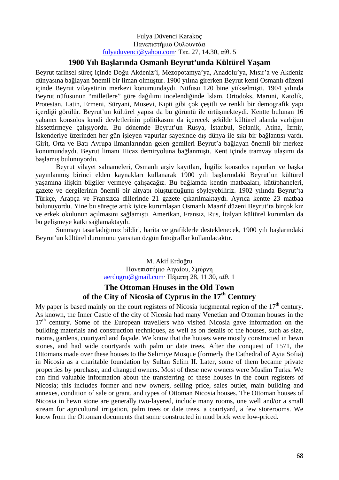#### Fulya Düvenci Karakoç Πανεπιστήμιο Ουλουντάα fulyaduvenci@yahoo.com· Τετ. 27, 14.30, αίθ. 5

# **1900 Yılı Başlarında Osmanlı Beyrut'unda Kültürel Yaşam**

Beyrut tarihsel süreç içinde Doğu Akdeniz'i, Mezopotamya'ya, Anadolu'ya, Mısır'a ve Akdeniz dünyasına bağlayan önemli bir liman olmuştur. 1900 yılına girerken Beyrut kenti Osmanlı düzeni içinde Beyrut vilayetinin merkezi konumundaydı. Nüfusu 120 bine yükselmişti. 1904 yılında Beyrut nüfusunun "milletlere" göre dağılımı incelendiğinde İslam, Ortodoks, Maruni, Katolik, Protestan, Latin, Ermeni, Süryani, Musevi, Kıpti gibi çok çeşitli ve renkli bir demografik yapı içerdiği görülür. Beyrut'un kültürel yapısı da bu görüntü ile örtüşmekteydi. Kentte bulunan 16 yabancı konsolos kendi devletlerinin politikasını da içerecek şekilde kültürel alanda varlığını hissettirmeye çalışıyordu. Bu dönemde Beyrut'un Rusya, İstanbul, Selanik, Atina, İzmir, İskenderiye üzerinden her gün işleyen vapurlar sayesinde dış dünya ile sıkı bir bağlantısı vardı. Girit, Orta ve Batı Avrupa limanlarından gelen gemileri Beyrut'a bağlayan önemli bir merkez konumundaydı. Beyrut limanı Hicaz demiryoluna bağlanmıştı. Kent içinde tramvay ulaşımı da başlamış bulunuyordu.

Beyrut vilayet salnameleri, Osmanlı arşiv kayıtları, İngiliz konsolos raporları ve başka yayınlanmış birinci elden kaynakları kullanarak 1900 yılı başlarındaki Beyrut'un kültürel yaşamına ilişkin bilgiler vermeye çalışacağız. Bu bağlamda kentin matbaaları, kütüphaneleri, gazete ve dergilerinin önemli bir altyapı oluşturduğunu söyleyebiliriz. 1902 yılında Beyrut'ta Türkçe, Arapça ve Fransızca dillerinde 21 gazete çıkarılmaktaydı. Ayrıca kentte 23 matbaa bulunuyordu. Yine bu süreçte artık iyice kurumlaşan Osmanlı Maarif düzeni Beyrut'ta birçok kız ve erkek okulunun açılmasını sağlamıştı. Amerikan, Fransız, Rus, İtalyan kültürel kurumları da bu gelişmeye katkı sağlamaktaydı.

Sunmayı tasarladığımız bildiri, harita ve grafiklerle desteklenecek, 1900 yılı başlarındaki Beyrut'un kültürel durumunu yansıtan özgün fotoğraflar kullanılacaktır.

### M. Akif Erdoğru Πανεπιστήμιο Αιγαίου, Σμύρνη aerdogru@gmail.com· Πέμπτη 28, 11.30, αίθ. 1

# **The Ottoman Houses in the Old Town of the City of Nicosia of Cyprus in the 17th Century**

My paper is based mainly on the court registers of Nicosia judgmental region of the  $17<sup>th</sup>$  century. As known, the Inner Castle of the city of Nicosia had many Venetian and Ottoman houses in the  $17<sup>th</sup>$  century. Some of the European travellers who visited Nicosia gave information on the building materials and construction techniques, as well as on details of the houses, such as size, rooms, gardens, courtyard and façade. We know that the houses were mostly constructed in hewn stones, and had wide courtyards with palm or date trees. After the conquest of 1571, the Ottomans made over these houses to the Selimiye Mosque (formerly the Cathedral of Ayia Sofia) in Nicosia as a charitable foundation by Sultan Selim II. Later, some of them became private properties by purchase, and changed owners. Most of these new owners were Muslim Turks. We can find valuable information about the transferring of these houses in the court registers of Nicosia; this includes former and new owners, selling price, sales outlet, main building and annexes, condition of sale or grant, and types of Ottoman Nicosia houses. The Ottoman houses of Nicosia in hewn stone are generally two-layered, include many rooms, one well and/or a small stream for agricultural irrigation, palm trees or date trees, a courtyard, a few storerooms. We know from the Ottoman documents that some constructed in mud brick were low-priced.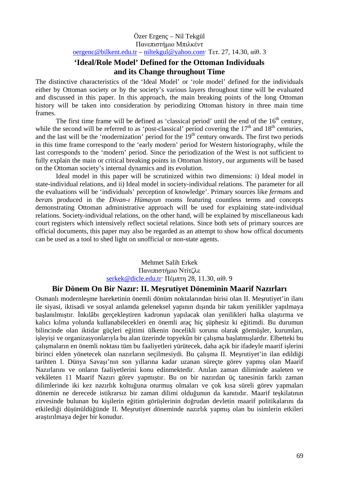#### Özer Ergenç – Nil Tekgül Πανεπιστήμιο Μπιλκέντ oergenc@bilkent.edu.tr – niltekgul@yahoo.com· Τετ. 27, 14.30, αίθ. 3

# **'Ideal/Role Model' Defined for the Ottoman Individuals and its Change throughout Time**

The distinctive characteristics of the 'Ideal Model' or 'role model' defined for the individuals either by Ottoman society or by the society's various layers throughout time will be evaluated and discussed in this paper. In this approach, the main breaking points of the long Ottoman history will be taken into consideration by periodizing Ottoman history in three main time frames.

The first time frame will be defined as 'classical period' until the end of the  $16<sup>th</sup>$  century, while the second will be referred to as 'post-classical' period covering the  $17<sup>th</sup>$  and  $18<sup>th</sup>$  centuries, and the last will be the 'modernization' period for the  $19<sup>th</sup>$  century onwards. The first two periods in this time frame correspond to the 'early modern' period for Western historiography, while the last corresponds to the 'modern' period. Since the periodization of the West is not sufficient to fully explain the main or critical breaking points in Ottoman history, our arguments will be based on the Ottoman society's internal dynamics and its evolution.

Ideal model in this paper will be scrutinized within two dimensions: i) Ideal model in state-individual relations, and ii) Ideal model in society-individual relations. The parameter for all the evaluations will be 'individuals' perception of knowledge'. Primary sources like *ferman*s and *berat*s produced in the *Divan-ı Hümayun* rooms featuring countless terms and concepts demonstrating Ottoman administrative approach will be used for explaining state-individual relations. Society-individual relations, on the other hand, will be explained by miscellaneous kadı court registers which intensively reflect societal relations. Since both sets of primary sources are official documents, this paper may also be regarded as an attempt to show how offical documents can be used as a tool to shed light on unofficial or non-state agents.

# Mehmet Salih Erkek Πανεπιστήμιο Ντίτζλε serkek@dicle.edu.tr· Πέμπτη 28, 11.30, αίθ. 9

### **Bir Dönem On Bir Nazır: II. Meşrutiyet Döneminin Maarif Nazırları**

Osmanlı modernleşme hareketinin önemli dönüm noktalarından birisi olan II. Meşrutiyet'in ilanı ile siyasi, iktisadi ve sosyal anlamda geleneksel yapının dışında bir takım yenilikler yapılmaya başlanılmıştır. İnkılâbı gerçekleştiren kadronun yapılacak olan yenilikleri halka ulaştırma ve kalıcı kılma yolunda kullanabilecekleri en önemli araç hiç şüphesiz ki eğitimdi. Bu durumun bilincinde olan iktidar güçleri eğitimi ülkenin öncelikli sorunu olarak görmüşler, kurumları, işleyişi ve organizasyonlarıyla bu alan üzerinde topyekûn bir çalışma başlatmışlardır. Elbetteki bu çalışmaların en önemli noktası tüm bu faaliyetleri yürütecek, daha açık bir ifadeyle maarif işlerini birinci elden yönetecek olan nazırların seçilmesiydi. Bu çalışma II. Meşrutiyet'in ilan edildiği tarihten I. Dünya Savaşı'nın son yıllarına kadar uzanan süreçte görev yapmış olan Maarif Nazırlarını ve onların faaliyetlerini konu edinmektedir. Anılan zaman diliminde asaleten ve vekâleten 11 Maarif Nazırı görev yapmıştır. Bu on bir nazırdan üç tanesinin farklı zaman dilimlerinde iki kez nazırlık koltuğuna oturmuş olmaları ve çok kısa süreli görev yapmaları dönemin ne derecede istikrarsız bir zaman dilimi olduğunun da kanıtıdır. Maarif teşkilatının zirvesinde bulunan bu kişilerin eğitim görüşlerinin doğrudan devletin maarif politikalarını da etkilediği düşünüldüğünde II. Meşrutiyet döneminde nazırlık yapmış olan bu isimlerin etkileri araştırılmaya değer bir konudur.